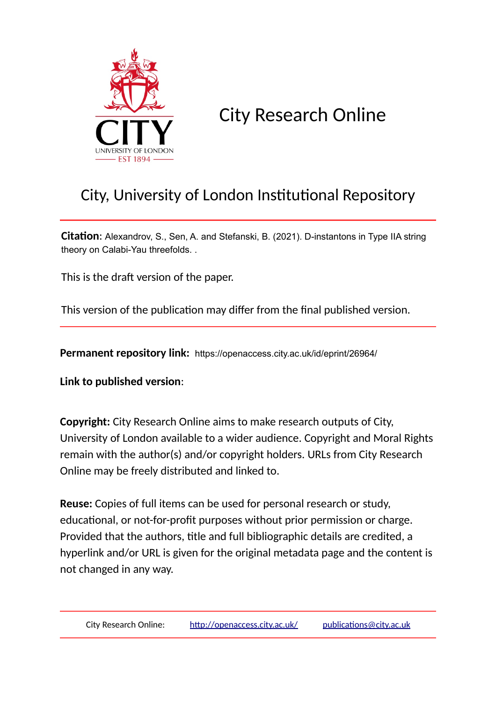

City Research Online

# City, University of London Institutional Repository

**Citation**: Alexandrov, S., Sen, A. and Stefanski, B. (2021). D-instantons in Type IIA string theory on Calabi-Yau threefolds. .

This is the draft version of the paper.

This version of the publication may differ from the final published version.

**Permanent repository link:** https://openaccess.city.ac.uk/id/eprint/26964/

**Link to published version**:

**Copyright:** City Research Online aims to make research outputs of City, University of London available to a wider audience. Copyright and Moral Rights remain with the author(s) and/or copyright holders. URLs from City Research Online may be freely distributed and linked to.

**Reuse:** Copies of full items can be used for personal research or study, educational, or not-for-profit purposes without prior permission or charge. Provided that the authors, title and full bibliographic details are credited, a hyperlink and/or URL is given for the original metadata page and the content is not changed in any way.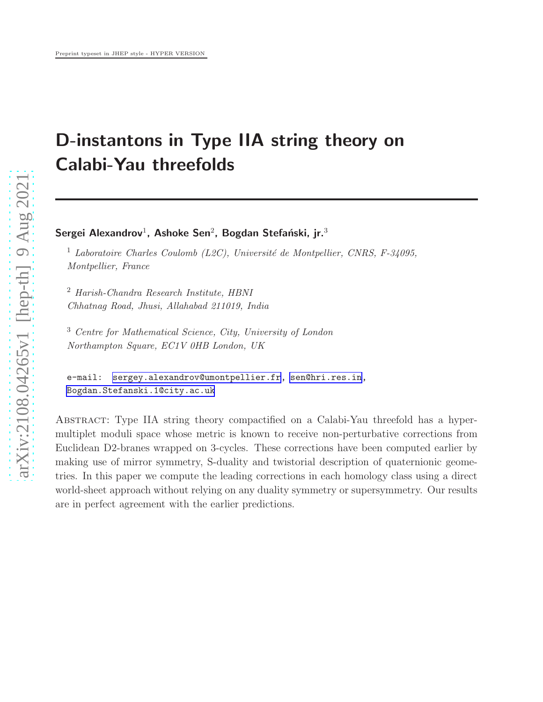# D-instantons in Type IIA string theory on Calabi-Yau threefolds

Sergei Alexandrov $^1$ , Ashoke Sen $^2$ , Bogdan Stefański, jr. $^3$ 

<sup>1</sup> *Laboratoire Charles Coulomb (L2C), Université de Montpellier, CNRS, F-34095, Montpellier, France*

<sup>2</sup> *Harish-Chandra Research Institute, HBNI Chhatnag Road, Jhusi, Allahabad 211019, India*

<sup>3</sup> *Centre for Mathematical Science, City, University of London Northampton Square, EC1V 0HB London, UK*

```
e-mail: sergey.alexandrov@umontpellier.fr, sen@hri.res.in,
Bogdan.Stefanski.1@city.ac.uk
```
ABSTRACT: Type IIA string theory compactified on a Calabi-Yau threefold has a hypermultiplet moduli space whose metric is known to receive non-perturbative corrections from Euclidean D2-branes wrapped on 3-cycles. These corrections have been computed earlier by making use of mirror symmetry, S-duality and twistorial description of quaternionic geometries. In this paper we compute the leading corrections in each homology class using a direct world-sheet approach without relying on any duality symmetry or supersymmetry. Our results are in perfect agreement with the earlier predictions.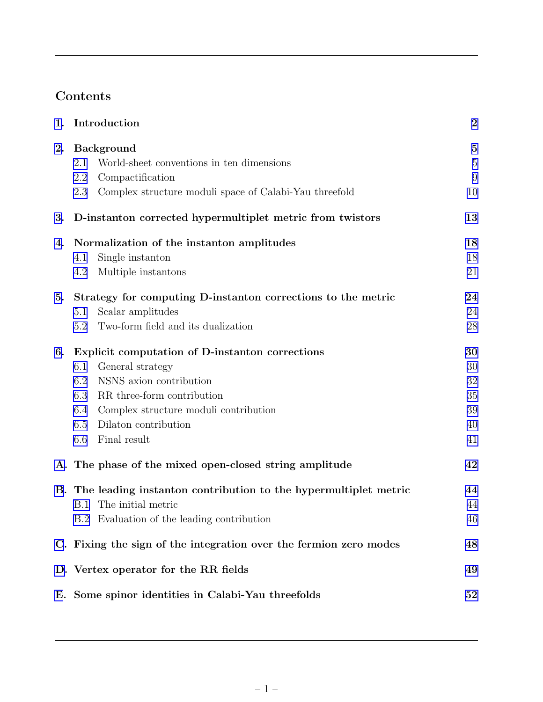## Contents

| 1. | Introduction                                                       | $\boldsymbol{2}$ |
|----|--------------------------------------------------------------------|------------------|
| 2. | <b>Background</b>                                                  | $\overline{5}$   |
|    | World-sheet conventions in ten dimensions<br>2.1                   | $\overline{5}$   |
|    | Compactification<br>2.2                                            | 9                |
|    | Complex structure moduli space of Calabi-Yau threefold<br>2.3      | 10               |
| 3. | D-instanton corrected hypermultiplet metric from twistors          | 13               |
| 4. | Normalization of the instanton amplitudes                          | 18               |
|    | Single instanton<br>4.1                                            | 18               |
|    | Multiple instantons<br>4.2                                         | 21               |
| 5. | Strategy for computing D-instanton corrections to the metric       | 24               |
|    | Scalar amplitudes<br>5.1                                           | 24               |
|    | Two-form field and its dualization<br>5.2                          | 28               |
| 6. | Explicit computation of D-instanton corrections                    | 30               |
|    | General strategy<br>6.1                                            | 30               |
|    | NSNS axion contribution<br>6.2                                     | 32               |
|    | RR three-form contribution<br>6.3                                  | 35               |
|    | Complex structure moduli contribution<br>6.4                       | 39               |
|    | 6.5<br>Dilaton contribution                                        | 40               |
|    | Final result<br>6.6                                                | 41               |
|    | A. The phase of the mixed open-closed string amplitude             | 42               |
|    | B. The leading instanton contribution to the hypermultiplet metric | 44               |
|    | B.1 The initial metric                                             | 44               |
|    | B.2 Evaluation of the leading contribution                         | 46               |
|    | C. Fixing the sign of the integration over the fermion zero modes  | 48               |
|    | D. Vertex operator for the RR fields                               | 49               |
|    | E. Some spinor identities in Calabi-Yau threefolds                 | 52               |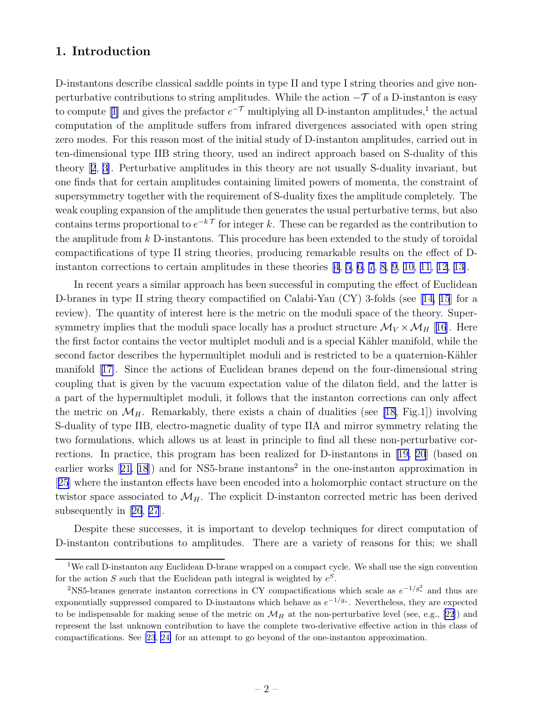## <span id="page-3-0"></span>1. Introduction

D-instantons describe classical saddle points in type II and type I string theories and give nonperturbative contributions to string amplitudes. While the action  $-\mathcal{T}$  of a D-instanton is easy to compute [\[1\]](#page-56-0) and gives the prefactor  $e^{-\mathcal{T}}$  multiplying all D-instanton amplitudes,<sup>1</sup> the actual computation of the amplitude suffers from infrared divergences associated with open string zero modes. For this reason most of the initial study of D-instanton amplitudes, carried out in ten-dimensional type IIB string theory, used an indirect approach based on S-duality of this theory[[2](#page-56-0), [3\]](#page-56-0). Perturbative amplitudes in this theory are not usually S-duality invariant, but one finds that for certain amplitudes containing limited powers of momenta, the constraint of supersymmetry together with the requirement of S-duality fixes the amplitude completely. The weak coupling expansion of the amplitude then generates the usual perturbative terms, but also contains terms proportional to  $e^{-k\mathcal{T}}$  for integer k. These can be regarded as the contribution to the amplitude from  $k$  D-instantons. This procedure has been extended to the study of toroidal compactifications of type II string theories, producing remarkable results on the effect of Dinstanton corrections to certain amplitudes in these theories [\[4, 5](#page-56-0), [6, 7](#page-57-0), [8](#page-57-0), [9, 10, 11, 12, 13\]](#page-57-0).

In recent years a similar approach has been successful in computing the effect of Euclidean D-branes in type II string theory compactified on Calabi-Yau (CY) 3-folds (see[[14, 15](#page-57-0)] for a review). The quantity of interest here is the metric on the moduli space of the theory. Supersymmetry implies that the moduli space locally has a product structure  $\mathcal{M}_V \times \mathcal{M}_H$  [[16](#page-57-0)]. Here the first factor contains the vector multiplet moduli and is a special Kähler manifold, while the second factor describes the hypermultiplet moduli and is restricted to be a quaternion-Kähler manifold[[17\]](#page-57-0). Since the actions of Euclidean branes depend on the four-dimensional string coupling that is given by the vacuum expectation value of the dilaton field, and the latter is a part of the hypermultiplet moduli, it follows that the instanton corrections can only affect the metric on  $\mathcal{M}_H$ . Remarkably, there exists a chain of dualities (see [\[18](#page-57-0), Fig.1]) involving S-duality of type IIB, electro-magnetic duality of type IIA and mirror symmetry relating the two formulations, which allows us at least in principle to find all these non-perturbative corrections. In practice, this program has been realized for D-instantons in[[19, 20](#page-57-0)] (based on earlierworks  $[21, 18]$  $[21, 18]$  $[21, 18]$  and for NS5-brane instantons<sup>2</sup> in the one-instanton approximation in [[25](#page-58-0)] where the instanton effects have been encoded into a holomorphic contact structure on the twistor space associated to  $\mathcal{M}_H$ . The explicit D-instanton corrected metric has been derived subsequently in[[26](#page-58-0), [27](#page-58-0)].

Despite these successes, it is important to develop techniques for direct computation of D-instanton contributions to amplitudes. There are a variety of reasons for this; we shall

<sup>1</sup>We call D-instanton any Euclidean D-brane wrapped on a compact cycle. We shall use the sign convention for the action S such that the Euclidean path integral is weighted by  $e^S$ .

<sup>&</sup>lt;sup>2</sup>NS5-branes generate instanton corrections in CY compactifications which scale as  $e^{-1/g_s^2}$  and thus are exponentially suppressed compared to D-instantons which behave as  $e^{-1/g_s}$ . Nevertheless, they are expected to be indispensable for making sense of the metric on  $\mathcal{M}_H$  at the non-perturbative level (see, e.g., [\[22](#page-57-0)]) and represent the last unknown contribution to have the complete two-derivative effective action in this class of compactifications. See [\[23](#page-58-0), [24\]](#page-58-0) for an attempt to go beyond of the one-instanton approximation.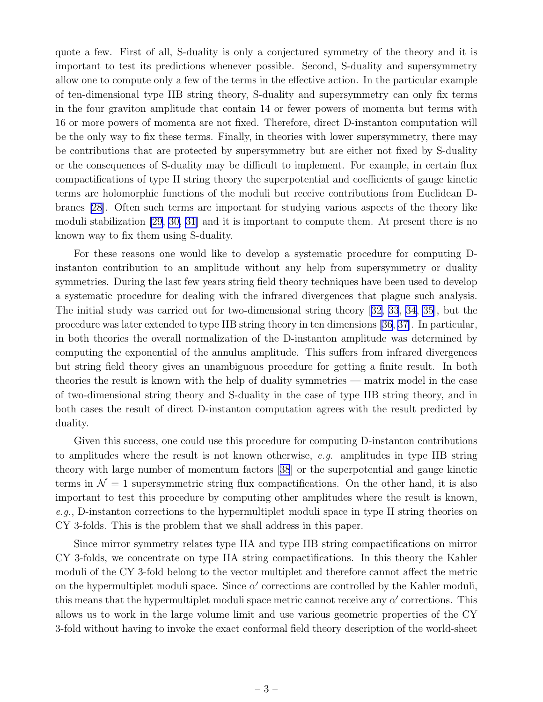quote a few. First of all, S-duality is only a conjectured symmetry of the theory and it is important to test its predictions whenever possible. Second, S-duality and supersymmetry allow one to compute only a few of the terms in the effective action. In the particular example of ten-dimensional type IIB string theory, S-duality and supersymmetry can only fix terms in the four graviton amplitude that contain 14 or fewer powers of momenta but terms with 16 or more powers of momenta are not fixed. Therefore, direct D-instanton computation will be the only way to fix these terms. Finally, in theories with lower supersymmetry, there may be contributions that are protected by supersymmetry but are either not fixed by S-duality or the consequences of S-duality may be difficult to implement. For example, in certain flux compactifications of type II string theory the superpotential and coefficients of gauge kinetic terms are holomorphic functions of the moduli but receive contributions from Euclidean Dbranes [\[28](#page-58-0)]. Often such terms are important for studying various aspects of the theory like moduli stabilization [\[29](#page-58-0), [30](#page-58-0), [31](#page-58-0)] and it is important to compute them. At present there is no known way to fix them using S-duality.

For these reasons one would like to develop a systematic procedure for computing Dinstanton contribution to an amplitude without any help from supersymmetry or duality symmetries. During the last few years string field theory techniques have been used to develop a systematic procedure for dealing with the infrared divergences that plague such analysis. The initial study was carried out for two-dimensional string theory [[32, 33, 34, 35\]](#page-58-0), but the procedure was later extended to type IIB string theory in ten dimensions [\[36, 37\]](#page-58-0). In particular, in both theories the overall normalization of the D-instanton amplitude was determined by computing the exponential of the annulus amplitude. This suffers from infrared divergences but string field theory gives an unambiguous procedure for getting a finite result. In both theories the result is known with the help of duality symmetries — matrix model in the case of two-dimensional string theory and S-duality in the case of type IIB string theory, and in both cases the result of direct D-instanton computation agrees with the result predicted by duality.

Given this success, one could use this procedure for computing D-instanton contributions to amplitudes where the result is not known otherwise, e.g. amplitudes in type IIB string theory with large number of momentum factors[[38](#page-58-0)] or the superpotential and gauge kinetic terms in  $\mathcal{N} = 1$  supersymmetric string flux compactifications. On the other hand, it is also important to test this procedure by computing other amplitudes where the result is known, e.g., D-instanton corrections to the hypermultiplet moduli space in type II string theories on CY 3-folds. This is the problem that we shall address in this paper.

Since mirror symmetry relates type IIA and type IIB string compactifications on mirror CY 3-folds, we concentrate on type IIA string compactifications. In this theory the Kahler moduli of the CY 3-fold belong to the vector multiplet and therefore cannot affect the metric on the hypermultiplet moduli space. Since  $\alpha'$  corrections are controlled by the Kahler moduli, this means that the hypermultiplet moduli space metric cannot receive any  $\alpha'$  corrections. This allows us to work in the large volume limit and use various geometric properties of the CY 3-fold without having to invoke the exact conformal field theory description of the world-sheet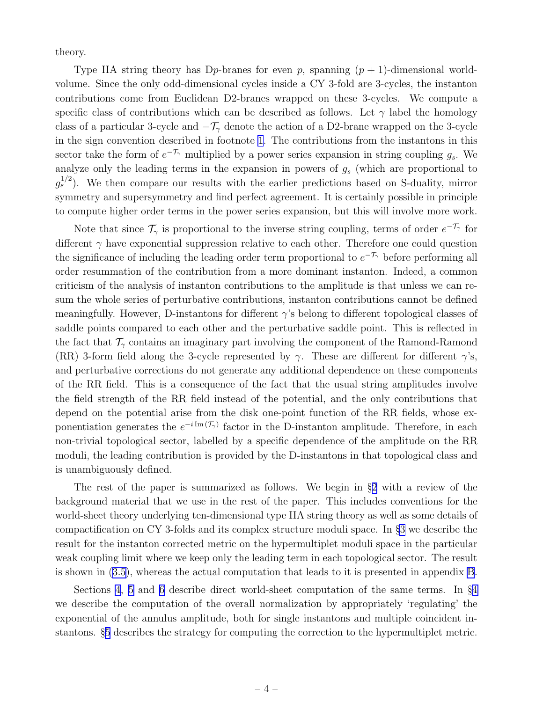theory.

Type IIA string theory has D<sub>p</sub>-branes for even p, spanning  $(p + 1)$ -dimensional worldvolume. Since the only odd-dimensional cycles inside a CY 3-fold are 3-cycles, the instanton contributions come from Euclidean D2-branes wrapped on these 3-cycles. We compute a specific class of contributions which can be described as follows. Let  $\gamma$  label the homology class of a particular 3-cycle and  $-\mathcal{T}_{\gamma}$  denote the action of a D2-brane wrapped on the 3-cycle in the sign convention described in footnote [1](#page-3-0). The contributions from the instantons in this sector take the form of  $e^{-\mathcal{T}_{\gamma}}$  multiplied by a power series expansion in string coupling  $g_s$ . We analyze only the leading terms in the expansion in powers of  $g_s$  (which are proportional to  $g_s^{1/2}$ ). We then compare our results with the earlier predictions based on S-duality, mirror symmetry and supersymmetry and find perfect agreement. It is certainly possible in principle to compute higher order terms in the power series expansion, but this will involve more work.

Note that since  $\mathcal{T}_{\gamma}$  is proportional to the inverse string coupling, terms of order  $e^{-\mathcal{T}_{\gamma}}$  for different  $\gamma$  have exponential suppression relative to each other. Therefore one could question the significance of including the leading order term proportional to  $e^{-\mathcal{T}_{\gamma}}$  before performing all order resummation of the contribution from a more dominant instanton. Indeed, a common criticism of the analysis of instanton contributions to the amplitude is that unless we can resum the whole series of perturbative contributions, instanton contributions cannot be defined meaningfully. However, D-instantons for different γ's belong to different topological classes of saddle points compared to each other and the perturbative saddle point. This is reflected in the fact that  $\mathcal{T}_{\gamma}$  contains an imaginary part involving the component of the Ramond-Ramond (RR) 3-form field along the 3-cycle represented by  $\gamma$ . These are different for different  $\gamma$ 's, and perturbative corrections do not generate any additional dependence on these components of the RR field. This is a consequence of the fact that the usual string amplitudes involve the field strength of the RR field instead of the potential, and the only contributions that depend on the potential arise from the disk one-point function of the RR fields, whose exponentiation generates the  $e^{-i \text{Im}(\mathcal{T}_{\gamma})}$  factor in the D-instanton amplitude. Therefore, in each non-trivial topological sector, labelled by a specific dependence of the amplitude on the RR moduli, the leading contribution is provided by the D-instantons in that topological class and is unambiguously defined.

The rest of the paper is summarized as follows. We begin in §[2](#page-6-0) with a review of the background material that we use in the rest of the paper. This includes conventions for the world-sheet theory underlying ten-dimensional type IIA string theory as well as some details of compactification on CY 3-folds and its complex structure moduli space. In §[3](#page-14-0) we describe the result for the instanton corrected metric on the hypermultiplet moduli space in the particular weak coupling limit where we keep only the leading term in each topological sector. The result is shown in([3.5\)](#page-16-0), whereas the actual computation that leads to it is presented in appendix [B](#page-45-0).

Sections [4](#page-19-0), [5](#page-25-0) and [6](#page-31-0) describe direct world-sheet computation of the same terms. In §[4](#page-19-0) we describe the computation of the overall normalization by appropriately 'regulating' the exponential of the annulus amplitude, both for single instantons and multiple coincident instantons. §[5](#page-25-0) describes the strategy for computing the correction to the hypermultiplet metric.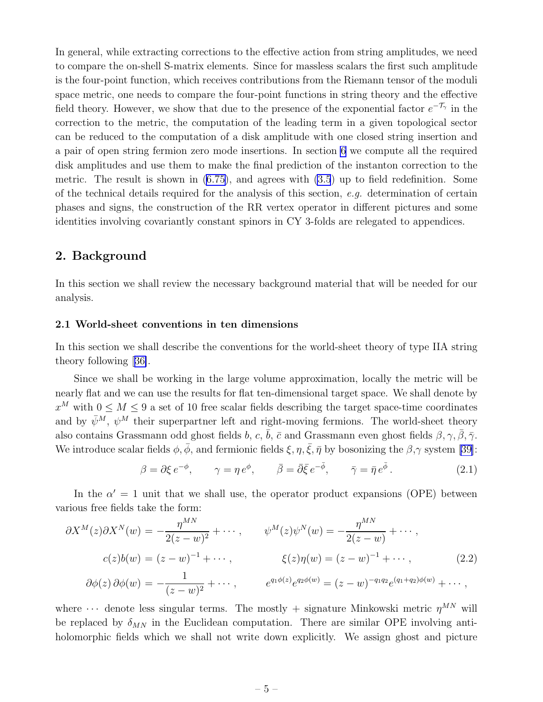<span id="page-6-0"></span>In general, while extracting corrections to the effective action from string amplitudes, we need to compare the on-shell S-matrix elements. Since for massless scalars the first such amplitude is the four-point function, which receives contributions from the Riemann tensor of the moduli space metric, one needs to compare the four-point functions in string theory and the effective field theory. However, we show that due to the presence of the exponential factor  $e^{-\mathcal{T}_{\gamma}}$  in the correction to the metric, the computation of the leading term in a given topological sector can be reduced to the computation of a disk amplitude with one closed string insertion and a pair of open string fermion zero mode insertions. In section [6](#page-31-0) we compute all the required disk amplitudes and use them to make the final prediction of the instanton correction to the metric. The result is shown in([6.75\)](#page-43-0), and agrees with [\(3.5](#page-16-0)) up to field redefinition. Some of the technical details required for the analysis of this section, e.g. determination of certain phases and signs, the construction of the RR vertex operator in different pictures and some identities involving covariantly constant spinors in CY 3-folds are relegated to appendices.

## 2. Background

In this section we shall review the necessary background material that will be needed for our analysis.

#### 2.1 World-sheet conventions in ten dimensions

In this section we shall describe the conventions for the world-sheet theory of type IIA string theory following[[36\]](#page-58-0).

Since we shall be working in the large volume approximation, locally the metric will be nearly flat and we can use the results for flat ten-dimensional target space. We shall denote by  $x^M$  with  $0 \leq M \leq 9$  a set of 10 free scalar fields describing the target space-time coordinates and by  $\bar{\psi}^M$ ,  $\psi^M$  their superpartner left and right-moving fermions. The world-sheet theory also contains Grassmann odd ghost fields b, c,  $\bar{b}$ ,  $\bar{c}$  and Grassmann even ghost fields  $\beta, \gamma, \bar{\beta}, \bar{\gamma}$ . We introduce scalar fields  $\phi$ ,  $\bar{\phi}$ , and fermionic fields  $\xi$ ,  $\eta$ ,  $\bar{\xi}$ ,  $\bar{\eta}$  by bosonizing the  $\beta$ , $\gamma$  system [\[39](#page-58-0)]:

$$
\beta = \partial \xi \, e^{-\phi}, \qquad \gamma = \eta \, e^{\phi}, \qquad \bar{\beta} = \bar{\partial} \bar{\xi} \, e^{-\bar{\phi}}, \qquad \bar{\gamma} = \bar{\eta} \, e^{\bar{\phi}}. \tag{2.1}
$$

In the  $\alpha' = 1$  unit that we shall use, the operator product expansions (OPE) between various free fields take the form:

$$
\partial X^{M}(z) \partial X^{N}(w) = -\frac{\eta^{MN}}{2(z - w)^{2}} + \cdots, \qquad \psi^{M}(z) \psi^{N}(w) = -\frac{\eta^{MN}}{2(z - w)} + \cdots,
$$
  

$$
c(z)b(w) = (z - w)^{-1} + \cdots, \qquad \xi(z)\eta(w) = (z - w)^{-1} + \cdots, \qquad (2.2)
$$
  

$$
\partial \phi(z) \partial \phi(w) = -\frac{1}{(z - w)^{2}} + \cdots, \qquad e^{q_{1}\phi(z)}e^{q_{2}\phi(w)} = (z - w)^{-q_{1}q_{2}}e^{(q_{1} + q_{2})\phi(w)} + \cdots,
$$

where  $\cdots$  denote less singular terms. The mostly + signature Minkowski metric  $\eta^{MN}$  will be replaced by  $\delta_{MN}$  in the Euclidean computation. There are similar OPE involving antiholomorphic fields which we shall not write down explicitly. We assign ghost and picture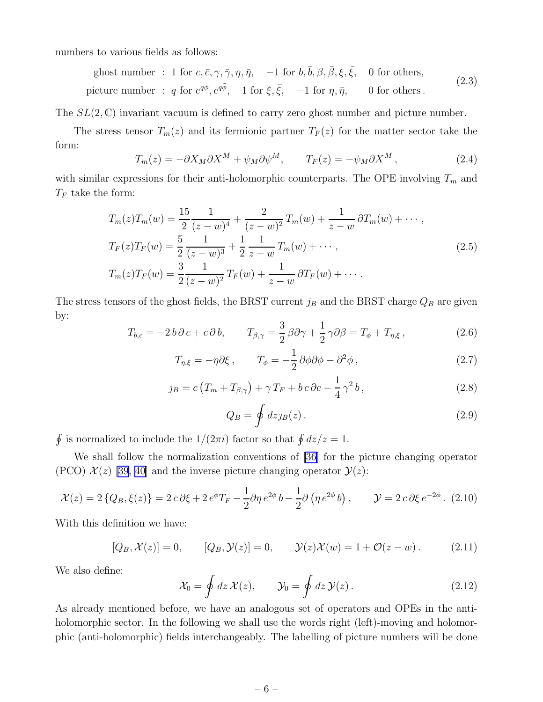numbers to various fields as follows:

ghost number : 1 for 
$$
c, \bar{c}, \gamma, \bar{\gamma}, \eta, \bar{\eta}
$$
,  $-1$  for  $b, \bar{b}, \beta, \bar{\beta}, \xi, \bar{\xi}$ , 0 for others,  
picture number :  $q$  for  $e^{q\phi}, e^{q\bar{\phi}}$ , 1 for  $\xi, \bar{\xi}$ ,  $-1$  for  $\eta, \bar{\eta}$ , 0 for others. (2.3)

The  $SL(2,\mathbb{C})$  invariant vacuum is defined to carry zero ghost number and picture number.

The stress tensor  $T_m(z)$  and its fermionic partner  $T_F(z)$  for the matter sector take the form:

$$
T_m(z) = -\partial X_M \partial X^M + \psi_M \partial \psi^M, \qquad T_F(z) = -\psi_M \partial X^M, \qquad (2.4)
$$

with similar expressions for their anti-holomorphic counterparts. The OPE involving  $T_m$  and  $T_F$  take the form:

$$
T_m(z)T_m(w) = \frac{15}{2} \frac{1}{(z-w)^4} + \frac{2}{(z-w)^2} T_m(w) + \frac{1}{z-w} \partial T_m(w) + \cdots,
$$
  
\n
$$
T_F(z)T_F(w) = \frac{5}{2} \frac{1}{(z-w)^3} + \frac{1}{2} \frac{1}{z-w} T_m(w) + \cdots,
$$
  
\n
$$
T_m(z)T_F(w) = \frac{3}{2} \frac{1}{(z-w)^2} T_F(w) + \frac{1}{z-w} \partial T_F(w) + \cdots.
$$
\n(2.5)

The stress tensors of the ghost fields, the BRST current  $j_B$  and the BRST charge  $Q_B$  are given by:

$$
T_{b,c} = -2 b \partial c + c \partial b, \qquad T_{\beta,\gamma} = \frac{3}{2} \beta \partial \gamma + \frac{1}{2} \gamma \partial \beta = T_{\phi} + T_{\eta,\xi}, \qquad (2.6)
$$

$$
T_{\eta,\xi} = -\eta \partial \xi \,, \qquad T_{\phi} = -\frac{1}{2} \partial \phi \partial \phi - \partial^2 \phi \,, \tag{2.7}
$$

$$
j_B = c \left( T_m + T_{\beta, \gamma} \right) + \gamma T_F + b c \partial c - \frac{1}{4} \gamma^2 b, \qquad (2.8)
$$

$$
Q_B = \oint dz_{JB}(z). \tag{2.9}
$$

 $\oint$  is normalized to include the  $1/(2\pi i)$  factor so that  $\oint dz/z = 1$ .

We shall follow the normalization conventions of [\[36\]](#page-58-0) for the picture changing operator (PCO)  $\mathcal{X}(z)$  [\[39](#page-58-0), [40\]](#page-58-0) and the inverse picture changing operator  $\mathcal{Y}(z)$ :

$$
\mathcal{X}(z) = 2\left\{Q_B, \xi(z)\right\} = 2\,c\,\partial\xi + 2\,e^{\phi}T_F - \frac{1}{2}\partial\eta\,e^{2\phi}\,b - \frac{1}{2}\partial\left(\eta\,e^{2\phi}\,b\right), \qquad \mathcal{Y} = 2\,c\,\partial\xi\,e^{-2\phi}.\tag{2.10}
$$

With this definition we have:

$$
[Q_B, \mathcal{X}(z)] = 0, \qquad [Q_B, \mathcal{Y}(z)] = 0, \qquad \mathcal{Y}(z)\mathcal{X}(w) = 1 + \mathcal{O}(z - w). \tag{2.11}
$$

We also define:

$$
\mathcal{X}_0 = \oint dz \, \mathcal{X}(z), \qquad \mathcal{Y}_0 = \oint dz \, \mathcal{Y}(z) \,.
$$
 (2.12)

As already mentioned before, we have an analogous set of operators and OPEs in the antiholomorphic sector. In the following we shall use the words right (left)-moving and holomorphic (anti-holomorphic) fields interchangeably. The labelling of picture numbers will be done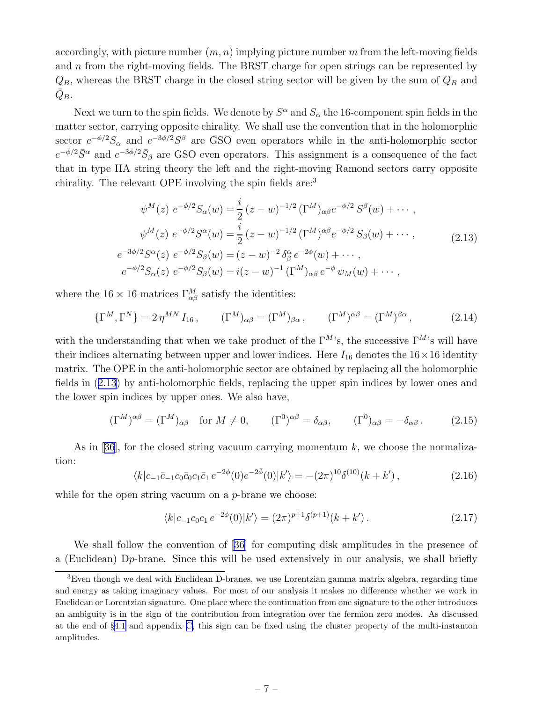<span id="page-8-0"></span>accordingly, with picture number  $(m, n)$  implying picture number m from the left-moving fields and n from the right-moving fields. The BRST charge for open strings can be represented by  $Q_B$ , whereas the BRST charge in the closed string sector will be given by the sum of  $Q_B$  and  $\bar{Q}_B.$ 

Next we turn to the spin fields. We denote by  $S^{\alpha}$  and  $S_{\alpha}$  the 16-component spin fields in the matter sector, carrying opposite chirality. We shall use the convention that in the holomorphic sector  $e^{-\phi/2}S_{\alpha}$  and  $e^{-3\phi/2}S^{\beta}$  are GSO even operators while in the anti-holomorphic sector  $e^{-\bar{\phi}/2}\bar{S}^{\alpha}$  and  $e^{-3\bar{\phi}/2}\bar{S}_{\beta}$  are GSO even operators. This assignment is a consequence of the fact that in type IIA string theory the left and the right-moving Ramond sectors carry opposite chirality. The relevant OPE involving the spin fields are:<sup>3</sup>

$$
\psi^M(z) \ e^{-\phi/2} S_\alpha(w) = \frac{i}{2} (z - w)^{-1/2} (\Gamma^M)_{\alpha\beta} e^{-\phi/2} S^\beta(w) + \cdots ,
$$
  

$$
\psi^M(z) \ e^{-\phi/2} S^\alpha(w) = \frac{i}{2} (z - w)^{-1/2} (\Gamma^M)^{\alpha\beta} e^{-\phi/2} S_\beta(w) + \cdots ,
$$
  

$$
e^{-3\phi/2} S^\alpha(z) \ e^{-\phi/2} S_\beta(w) = (z - w)^{-2} \delta^\alpha_\beta e^{-2\phi}(w) + \cdots ,
$$
  

$$
e^{-\phi/2} S_\alpha(z) \ e^{-\phi/2} S_\beta(w) = i(z - w)^{-1} (\Gamma^M)_{\alpha\beta} e^{-\phi} \psi_M(w) + \cdots ,
$$
 (2.13)

where the  $16 \times 16$  matrices  $\Gamma^M_{\alpha\beta}$  satisfy the identities:

$$
\{\Gamma^M, \Gamma^N\} = 2 \eta^{MN} I_{16}, \qquad (\Gamma^M)_{\alpha\beta} = (\Gamma^M)_{\beta\alpha}, \qquad (\Gamma^M)^{\alpha\beta} = (\Gamma^M)^{\beta\alpha}, \qquad (2.14)
$$

with the understanding that when we take product of the  $\Gamma^{M}$ 's, the successive  $\Gamma^{M}$ 's will have their indices alternating between upper and lower indices. Here  $I_{16}$  denotes the  $16 \times 16$  identity matrix. The OPE in the anti-holomorphic sector are obtained by replacing all the holomorphic fields in (2.13) by anti-holomorphic fields, replacing the upper spin indices by lower ones and the lower spin indices by upper ones. We also have,

$$
(\Gamma^M)^{\alpha\beta} = (\Gamma^M)_{\alpha\beta} \quad \text{for } M \neq 0, \qquad (\Gamma^0)^{\alpha\beta} = \delta_{\alpha\beta}, \qquad (\Gamma^0)_{\alpha\beta} = -\delta_{\alpha\beta}. \tag{2.15}
$$

Asin [[36](#page-58-0)], for the closed string vacuum carrying momentum  $k$ , we choose the normalization:

$$
\langle k|c_{-1}\bar{c}_{-1}c_0\bar{c}_0c_1\bar{c}_1 e^{-2\phi}(0)e^{-2\bar{\phi}}(0)|k'\rangle = -(2\pi)^{10}\delta^{(10)}(k+k'),\tag{2.16}
$$

while for the open string vacuum on a *p*-brane we choose:

$$
\langle k|c_{-1}c_0c_1 e^{-2\phi}(0)|k'\rangle = (2\pi)^{p+1}\delta^{(p+1)}(k+k'). \qquad (2.17)
$$

We shall follow the convention of [\[36\]](#page-58-0) for computing disk amplitudes in the presence of a (Euclidean) Dp-brane. Since this will be used extensively in our analysis, we shall briefly

<sup>&</sup>lt;sup>3</sup>Even though we deal with Euclidean D-branes, we use Lorentzian gamma matrix algebra, regarding time and energy as taking imaginary values. For most of our analysis it makes no difference whether we work in Euclidean or Lorentzian signature. One place where the continuation from one signature to the other introduces an ambiguity is in the sign of the contribution from integration over the fermion zero modes. As discussed at the end of §[4.1](#page-19-0) and appendix [C,](#page-49-0) this sign can be fixed using the cluster property of the multi-instanton amplitudes.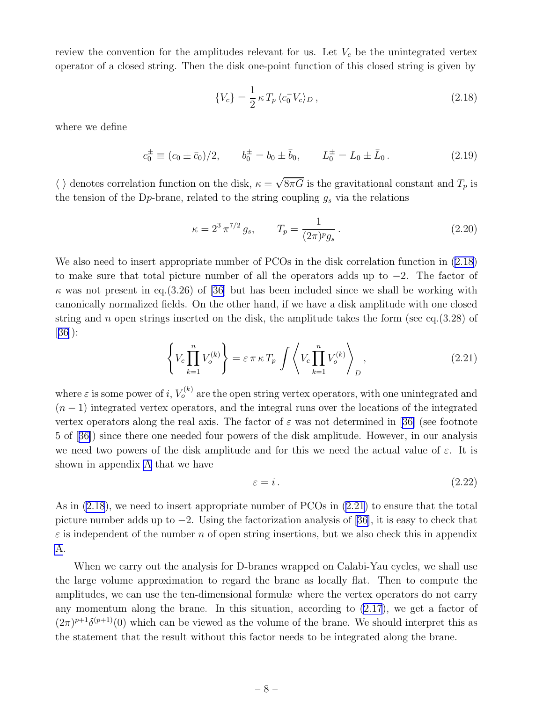<span id="page-9-0"></span>review the convention for the amplitudes relevant for us. Let  $V_c$  be the unintegrated vertex operator of a closed string. Then the disk one-point function of this closed string is given by

$$
\{V_c\} = \frac{1}{2} \kappa T_p \langle c_0^- V_c \rangle_D, \qquad (2.18)
$$

where we define

$$
c_0^{\pm} \equiv (c_0 \pm \bar{c}_0)/2, \qquad b_0^{\pm} = b_0 \pm \bar{b}_0, \qquad L_0^{\pm} = L_0 \pm \bar{L}_0.
$$
 (2.19)

 $\langle \ \rangle$  denotes correlation function on the disk,  $\kappa = \sqrt{8\pi G}$  is the gravitational constant and  $T_p$  is the tension of the D<sub>p</sub>-brane, related to the string coupling  $g_s$  via the relations

$$
\kappa = 2^3 \pi^{7/2} g_s, \qquad T_p = \frac{1}{(2\pi)^p g_s}.
$$
\n(2.20)

We also need to insert appropriate number of PCOs in the disk correlation function in  $(2.18)$ to make sure that total picture number of all the operators adds up to −2. The factor of  $\kappa$  was not present in eq.(3.26) of [\[36\]](#page-58-0) but has been included since we shall be working with canonically normalized fields. On the other hand, if we have a disk amplitude with one closed string and n open strings inserted on the disk, the amplitude takes the form (see eq.  $(3.28)$ ) of  $|36|$  $|36|$  $|36|$ :

$$
\left\{ V_c \prod_{k=1}^n V_o^{(k)} \right\} = \varepsilon \pi \kappa T_p \int \left\langle V_c \prod_{k=1}^n V_o^{(k)} \right\rangle_D, \qquad (2.21)
$$

where  $\varepsilon$  is some power of i,  $V_o^{(k)}$  are the open string vertex operators, with one unintegrated and  $(n-1)$  integrated vertex operators, and the integral runs over the locations of the integrated vertexoperators along the real axis. The factor of  $\varepsilon$  was not determined in [[36\]](#page-58-0) (see footnote 5 of[[36\]](#page-58-0)) since there one needed four powers of the disk amplitude. However, in our analysis we need two powers of the disk amplitude and for this we need the actual value of  $\varepsilon$ . It is shown in appendix [A](#page-43-0) that we have

$$
\varepsilon = i. \tag{2.22}
$$

As in  $(2.18)$ , we need to insert appropriate number of PCOs in  $(2.21)$  to ensure that the total picture number adds up to −2. Using the factorization analysis of[[36\]](#page-58-0), it is easy to check that  $\varepsilon$  is independent of the number n of open string insertions, but we also check this in appendix [A](#page-43-0).

When we carry out the analysis for D-branes wrapped on Calabi-Yau cycles, we shall use the large volume approximation to regard the brane as locally flat. Then to compute the amplitudes, we can use the ten-dimensional formulæ where the vertex operators do not carry any momentum along the brane. In this situation, according to [\(2.17](#page-8-0)), we get a factor of  $(2\pi)^{p+1}\delta^{(p+1)}(0)$  which can be viewed as the volume of the brane. We should interpret this as the statement that the result without this factor needs to be integrated along the brane.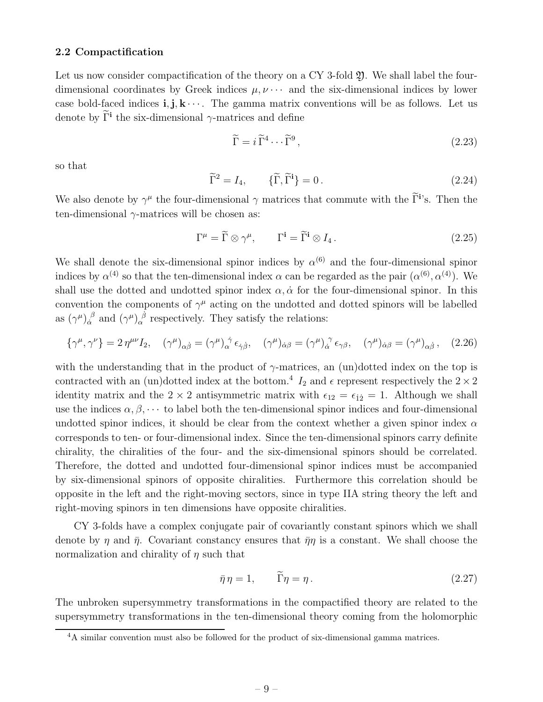#### <span id="page-10-0"></span>2.2 Compactification

Let us now consider compactification of the theory on a CY 3-fold  $\mathfrak{Y}$ . We shall label the fourdimensional coordinates by Greek indices  $\mu, \nu \cdots$  and the six-dimensional indices by lower case bold-faced indices  $\mathbf{i}, \mathbf{j}, \mathbf{k} \cdots$ . The gamma matrix conventions will be as follows. Let us denote by  $\Gamma$ <sup>i</sup> the six-dimensional  $\gamma$ -matrices and define

$$
\widetilde{\Gamma} = i \widetilde{\Gamma}^4 \cdots \widetilde{\Gamma}^9 \,, \tag{2.23}
$$

so that

$$
\widetilde{\Gamma}^2 = I_4, \qquad \{\widetilde{\Gamma}, \widetilde{\Gamma}^i\} = 0. \tag{2.24}
$$

We also denote by  $\gamma^{\mu}$  the four-dimensional  $\gamma$  matrices that commute with the  $\tilde{\Gamma}$ <sup>i</sup>'s. Then the ten-dimensional  $\gamma$ -matrices will be chosen as:

$$
\Gamma^{\mu} = \widetilde{\Gamma} \otimes \gamma^{\mu}, \qquad \Gamma^{\mathbf{i}} = \widetilde{\Gamma}^{\mathbf{i}} \otimes I_4. \tag{2.25}
$$

We shall denote the six-dimensional spinor indices by  $\alpha^{(6)}$  and the four-dimensional spinor indices by  $\alpha^{(4)}$  so that the ten-dimensional index  $\alpha$  can be regarded as the pair  $(\alpha^{(6)}, \alpha^{(4)})$ . We shall use the dotted and undotted spinor index  $\alpha$ ,  $\dot{\alpha}$  for the four-dimensional spinor. In this convention the components of  $\gamma^{\mu}$  acting on the undotted and dotted spinors will be labelled as  $(\gamma^{\mu})_{\dot{\alpha}}^{\ \beta}$  $\int_{\alpha}^{\beta}$  and  $(\gamma^{\mu})_{\alpha}^{\beta}$  respectively. They satisfy the relations:

$$
\{\gamma^{\mu}, \gamma^{\nu}\} = 2 \eta^{\mu\nu} I_2, \quad (\gamma^{\mu})_{\alpha\dot{\beta}} = (\gamma^{\mu})_{\alpha}^{\dot{\gamma}} \epsilon_{\dot{\gamma}\dot{\beta}}, \quad (\gamma^{\mu})_{\dot{\alpha}\beta} = (\gamma^{\mu})_{\dot{\alpha}}^{\dot{\gamma}} \epsilon_{\gamma\beta}, \quad (\gamma^{\mu})_{\dot{\alpha}\beta} = (\gamma^{\mu})_{\alpha\dot{\beta}}, \quad (2.26)
$$

with the understanding that in the product of  $\gamma$ -matrices, an (un)dotted index on the top is contracted with an (un)dotted index at the bottom.<sup>4</sup>  $I_2$  and  $\epsilon$  represent respectively the  $2 \times 2$ identity matrix and the 2 × 2 antisymmetric matrix with  $\epsilon_{12} = \epsilon_{12} = 1$ . Although we shall use the indices  $\alpha, \beta, \cdots$  to label both the ten-dimensional spinor indices and four-dimensional undotted spinor indices, it should be clear from the context whether a given spinor index  $\alpha$ corresponds to ten- or four-dimensional index. Since the ten-dimensional spinors carry definite chirality, the chiralities of the four- and the six-dimensional spinors should be correlated. Therefore, the dotted and undotted four-dimensional spinor indices must be accompanied by six-dimensional spinors of opposite chiralities. Furthermore this correlation should be opposite in the left and the right-moving sectors, since in type IIA string theory the left and right-moving spinors in ten dimensions have opposite chiralities.

CY 3-folds have a complex conjugate pair of covariantly constant spinors which we shall denote by  $\eta$  and  $\bar{\eta}$ . Covariant constancy ensures that  $\bar{\eta}\eta$  is a constant. We shall choose the normalization and chirality of  $\eta$  such that

$$
\bar{\eta}\eta = 1, \qquad \Gamma \eta = \eta. \tag{2.27}
$$

The unbroken supersymmetry transformations in the compactified theory are related to the supersymmetry transformations in the ten-dimensional theory coming from the holomorphic

<sup>&</sup>lt;sup>4</sup>A similar convention must also be followed for the product of six-dimensional gamma matrices.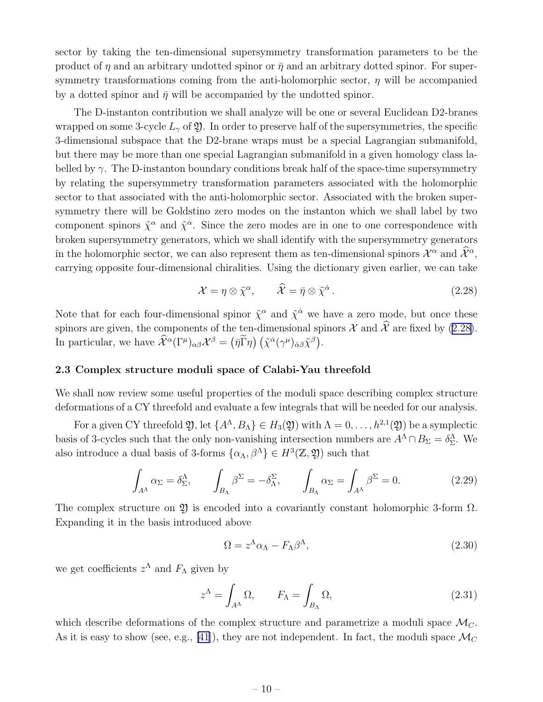<span id="page-11-0"></span>sector by taking the ten-dimensional supersymmetry transformation parameters to be the product of  $\eta$  and an arbitrary undotted spinor or  $\bar{\eta}$  and an arbitrary dotted spinor. For supersymmetry transformations coming from the anti-holomorphic sector,  $\eta$  will be accompanied by a dotted spinor and  $\bar{\eta}$  will be accompanied by the undotted spinor.

The D-instanton contribution we shall analyze will be one or several Euclidean D2-branes wrapped on some 3-cycle  $L_{\gamma}$  of  $\mathfrak{Y}$ . In order to preserve half of the supersymmetries, the specific 3-dimensional subspace that the D2-brane wraps must be a special Lagrangian submanifold, but there may be more than one special Lagrangian submanifold in a given homology class labelled by  $\gamma$ . The D-instanton boundary conditions break half of the space-time supersymmetry by relating the supersymmetry transformation parameters associated with the holomorphic sector to that associated with the anti-holomorphic sector. Associated with the broken supersymmetry there will be Goldstino zero modes on the instanton which we shall label by two component spinors  $\tilde{\chi}^{\alpha}$  and  $\tilde{\chi}^{\dot{\alpha}}$ . Since the zero modes are in one to one correspondence with broken supersymmetry generators, which we shall identify with the supersymmetry generators in the holomorphic sector, we can also represent them as ten-dimensional spinors  $\mathcal{X}^{\alpha}$  and  $\hat{\mathcal{X}}^{\alpha}$ , carrying opposite four-dimensional chiralities. Using the dictionary given earlier, we can take

$$
\mathcal{X} = \eta \otimes \tilde{\chi}^{\alpha}, \qquad \widehat{\mathcal{X}} = \bar{\eta} \otimes \tilde{\chi}^{\dot{\alpha}}.
$$
 (2.28)

Note that for each four-dimensional spinor  $\tilde{\chi}^{\alpha}$  and  $\tilde{\chi}^{\dot{\alpha}}$  we have a zero mode, but once these spinors are given, the components of the ten-dimensional spinors  $\mathcal X$  and  $\hat{\mathcal X}$  are fixed by (2.28). In particular, we have  $\widehat{\mathcal{X}}^{\alpha}(\Gamma^{\mu})_{\alpha\beta}\mathcal{X}^{\beta} = (\bar{\eta}\widetilde{\Gamma}\eta) (\tilde{\chi}^{\dot{\alpha}}(\gamma^{\mu})_{\dot{\alpha}\beta}\tilde{\chi}^{\beta}).$ 

#### 2.3 Complex structure moduli space of Calabi-Yau threefold

We shall now review some useful properties of the moduli space describing complex structure deformations of a CY threefold and evaluate a few integrals that will be needed for our analysis.

For a given CY threefold  $\mathfrak{Y}$ , let  $\{A^{\Lambda}, B_{\Lambda}\} \in H_3(\mathfrak{Y})$  with  $\Lambda = 0, \ldots, h^{2,1}(\mathfrak{Y})$  be a symplectic basis of 3-cycles such that the only non-vanishing intersection numbers are  $A^{\Lambda} \cap B_{\Sigma} = \delta^{\Lambda}_{\Sigma}$ . We also introduce a dual basis of 3-forms  $\{\alpha_{\Lambda}, \beta^{\Lambda}\}\in H^3(\mathbb{Z}, \mathfrak{Y})$  such that

$$
\int_{A^{\Lambda}} \alpha_{\Sigma} = \delta^{\Lambda}_{\Sigma}, \qquad \int_{B_{\Lambda}} \beta^{\Sigma} = -\delta^{\Sigma}_{\Lambda}, \qquad \int_{B_{\Lambda}} \alpha_{\Sigma} = \int_{A^{\Lambda}} \beta^{\Sigma} = 0. \tag{2.29}
$$

The complex structure on  $\mathfrak V$  is encoded into a covariantly constant holomorphic 3-form  $\Omega$ . Expanding it in the basis introduced above

$$
\Omega = z^{\Lambda} \alpha_{\Lambda} - F_{\Lambda} \beta^{\Lambda}, \qquad (2.30)
$$

we get coefficients  $z^{\Lambda}$  and  $F_{\Lambda}$  given by

$$
z^{\Lambda} = \int_{A^{\Lambda}} \Omega, \qquad F_{\Lambda} = \int_{B_{\Lambda}} \Omega,
$$
\n(2.31)

which describe deformations of the complex structure and parametrize a moduli space  $\mathcal{M}_C$ . As it is easy to show (see, e.g., [\[41\]](#page-58-0)), they are not independent. In fact, the moduli space  $\mathcal{M}_C$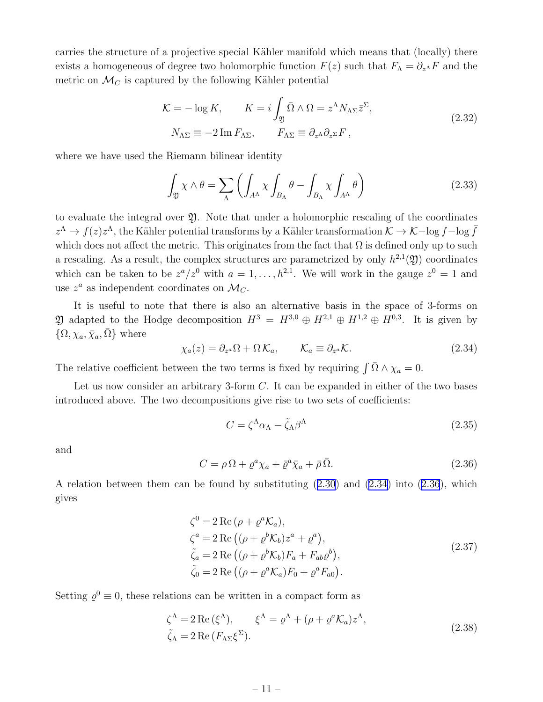<span id="page-12-0"></span>carries the structure of a projective special Kähler manifold which means that (locally) there exists a homogeneous of degree two holomorphic function  $F(z)$  such that  $F_{\Lambda} = \partial_{z^{\Lambda}} F$  and the metric on  $\mathcal{M}_C$  is captured by the following Kähler potential

$$
\mathcal{K} = -\log K, \qquad K = i \int_{\mathfrak{Y}} \bar{\Omega} \wedge \Omega = z^{\Lambda} N_{\Lambda \Sigma} \bar{z}^{\Sigma},
$$
  
\n
$$
N_{\Lambda \Sigma} \equiv -2 \operatorname{Im} F_{\Lambda \Sigma}, \qquad F_{\Lambda \Sigma} \equiv \partial_{z^{\Lambda}} \partial_{z^{\Sigma}} F,
$$
\n(2.32)

where we have used the Riemann bilinear identity

$$
\int_{\mathfrak{Y}} \chi \wedge \theta = \sum_{\Lambda} \left( \int_{A^{\Lambda}} \chi \int_{B_{\Lambda}} \theta - \int_{B_{\Lambda}} \chi \int_{A^{\Lambda}} \theta \right) \tag{2.33}
$$

to evaluate the integral over  $\mathfrak{Y}$ . Note that under a holomorphic rescaling of the coordinates  $z^{\Lambda} \to f(z)z^{\Lambda}$ , the Kähler potential transforms by a Kähler transformation  $\mathcal{K} \to \mathcal{K} - \log f - \log \bar{f}$ which does not affect the metric. This originates from the fact that  $\Omega$  is defined only up to such a rescaling. As a result, the complex structures are parametrized by only  $h^{2,1}(\mathfrak{Y})$  coordinates which can be taken to be  $z^a/z^0$  with  $a=1,\ldots,h^{2,1}$ . We will work in the gauge  $z^0=1$  and use  $z^a$  as independent coordinates on  $\mathcal{M}_C$ .

It is useful to note that there is also an alternative basis in the space of 3-forms on 20 adapted to the Hodge decomposition  $H^3 = H^{3,0} \oplus H^{2,1} \oplus H^{1,2} \oplus H^{0,3}$ . It is given by  $\{\Omega, \chi_a, \bar{\chi}_a, \bar{\Omega}\}\$  where

$$
\chi_a(z) = \partial_{z^a} \Omega + \Omega \, \mathcal{K}_a, \qquad \mathcal{K}_a \equiv \partial_{z^a} \mathcal{K}.
$$

The relative coefficient between the two terms is fixed by requiring  $\int \bar{\Omega} \wedge \chi_a = 0$ .

Let us now consider an arbitrary 3-form  $C$ . It can be expanded in either of the two bases introduced above. The two decompositions give rise to two sets of coefficients:

$$
C = \zeta^{\Lambda} \alpha_{\Lambda} - \tilde{\zeta}_{\Lambda} \beta^{\Lambda} \tag{2.35}
$$

and

$$
C = \rho \Omega + \varrho^a \chi_a + \bar{\varrho}^a \bar{\chi}_a + \bar{\rho} \bar{\Omega}.
$$
\n(2.36)

A relation between them can be found by substituting([2.30](#page-11-0)) and (2.34) into (2.36), which gives

$$
\zeta^0 = 2 \operatorname{Re} (\rho + \varrho^a \mathcal{K}_a),
$$
  
\n
$$
\zeta^a = 2 \operatorname{Re} ((\rho + \varrho^b \mathcal{K}_b) z^a + \varrho^a),
$$
  
\n
$$
\tilde{\zeta}_a = 2 \operatorname{Re} ((\rho + \varrho^b \mathcal{K}_b) F_a + F_{ab} \varrho^b),
$$
  
\n
$$
\tilde{\zeta}_0 = 2 \operatorname{Re} ((\rho + \varrho^a \mathcal{K}_a) F_0 + \varrho^a F_{a0}).
$$
\n(2.37)

Setting  $\varrho^0 \equiv 0$ , these relations can be written in a compact form as

$$
\zeta^{\Lambda} = 2 \operatorname{Re} \left( \xi^{\Lambda} \right), \qquad \xi^{\Lambda} = \varrho^{\Lambda} + (\rho + \varrho^{a} \mathcal{K}_{a}) z^{\Lambda},
$$
  
\n
$$
\tilde{\zeta}_{\Lambda} = 2 \operatorname{Re} \left( F_{\Lambda \Sigma} \xi^{\Sigma} \right). \tag{2.38}
$$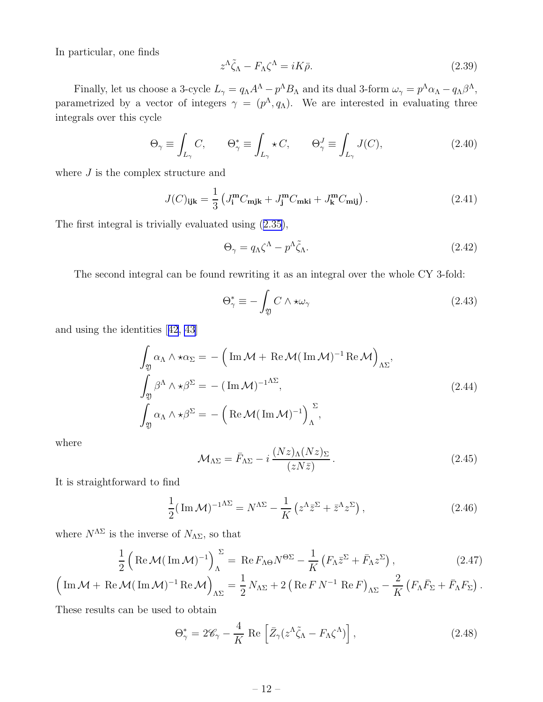<span id="page-13-0"></span>In particular, one finds

$$
z^{\Lambda}\tilde{\zeta}_{\Lambda} - F_{\Lambda}\zeta^{\Lambda} = iK\bar{\rho}.
$$
\n(2.39)

Finally, let us choose a 3-cycle  $L_{\gamma} = q_{\Lambda} A^{\Lambda} - p^{\Lambda} B_{\Lambda}$  and its dual 3-form  $\omega_{\gamma} = p^{\Lambda} \alpha_{\Lambda} - q_{\Lambda} \beta^{\Lambda}$ , parametrized by a vector of integers  $\gamma = (p^{\Lambda}, q_{\Lambda})$ . We are interested in evaluating three integrals over this cycle

$$
\Theta_{\gamma} \equiv \int_{L_{\gamma}} C, \qquad \Theta_{\gamma}^{*} \equiv \int_{L_{\gamma}} \star C, \qquad \Theta_{\gamma}^{J} \equiv \int_{L_{\gamma}} J(C), \tag{2.40}
$$

where  $J$  is the complex structure and

$$
J(C)_{ijk} = \frac{1}{3} \left( J_i^{\mathbf{m}} C_{\mathbf{m}jk} + J_j^{\mathbf{m}} C_{\mathbf{m}ki} + J_k^{\mathbf{m}} C_{\mathbf{m}ij} \right). \tag{2.41}
$$

The first integral is trivially evaluated using([2.35\)](#page-12-0),

$$
\Theta_{\gamma} = q_{\Lambda} \zeta^{\Lambda} - p^{\Lambda} \tilde{\zeta}_{\Lambda}.
$$
\n(2.42)

The second integral can be found rewriting it as an integral over the whole CY 3-fold:

$$
\Theta_{\gamma}^{*} \equiv -\int_{\mathfrak{Y}} C \wedge \star \omega_{\gamma} \tag{2.43}
$$

and using the identities[[42](#page-59-0), [43](#page-59-0)]

$$
\int_{\mathfrak{Y}} \alpha_{\Lambda} \wedge \star \alpha_{\Sigma} = -\left( \operatorname{Im} \mathcal{M} + \operatorname{Re} \mathcal{M} (\operatorname{Im} \mathcal{M})^{-1} \operatorname{Re} \mathcal{M} \right)_{\Lambda \Sigma},
$$
\n
$$
\int_{\mathfrak{Y}} \beta^{\Lambda} \wedge \star \beta^{\Sigma} = -(\operatorname{Im} \mathcal{M})^{-1}^{\Lambda \Sigma},
$$
\n
$$
\int_{\mathfrak{Y}} \alpha_{\Lambda} \wedge \star \beta^{\Sigma} = -\left( \operatorname{Re} \mathcal{M} (\operatorname{Im} \mathcal{M})^{-1} \right)_{\Lambda}^{\Sigma},
$$
\n(2.44)

where

$$
\mathcal{M}_{\Lambda\Sigma} = \bar{F}_{\Lambda\Sigma} - i \frac{(Nz)_{\Lambda}(Nz)_{\Sigma}}{(zN\bar{z})} \,. \tag{2.45}
$$

It is straightforward to find

$$
\frac{1}{2}(\operatorname{Im}\mathcal{M})^{-1^{\Lambda\Sigma}} = N^{\Lambda\Sigma} - \frac{1}{K} \left( z^{\Lambda} \bar{z}^{\Sigma} + \bar{z}^{\Lambda} z^{\Sigma} \right),\tag{2.46}
$$

where  $N^{\Lambda\Sigma}$  is the inverse of  $N_{\Lambda\Sigma},$  so that

$$
\frac{1}{2} \left( \text{Re}\,\mathcal{M}(\text{Im}\,\mathcal{M})^{-1} \right)_{\Lambda}^{\Sigma} = \text{Re}\, F_{\Lambda\Theta} N^{\Theta\Sigma} - \frac{1}{K} \left( F_{\Lambda} \bar{z}^{\Sigma} + \bar{F}_{\Lambda} z^{\Sigma} \right),\tag{2.47}
$$

$$
\left(\text{Im}\,\mathcal{M}+\text{Re}\,\mathcal{M}(\text{Im}\,\mathcal{M})^{-1}\text{Re}\,\mathcal{M}\right)_{\Lambda\Sigma}=\frac{1}{2}\,N_{\Lambda\Sigma}+2\left(\text{Re}\,F\,N^{-1}\,\text{Re}\,F\right)_{\Lambda\Sigma}-\frac{2}{K}\left(F_{\Lambda}\bar{F}_{\Sigma}+\bar{F}_{\Lambda}F_{\Sigma}\right).
$$

These results can be used to obtain

$$
\Theta_{\gamma}^{*} = 2\mathscr{C}_{\gamma} - \frac{4}{K} \text{ Re } \left[ \bar{Z}_{\gamma} (z^{\Lambda} \tilde{\zeta}_{\Lambda} - F_{\Lambda} \zeta^{\Lambda}) \right], \qquad (2.48)
$$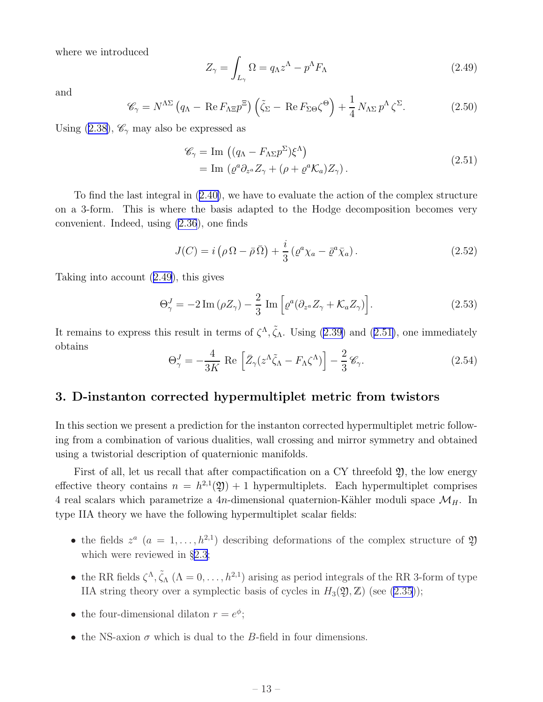<span id="page-14-0"></span>where we introduced

$$
Z_{\gamma} = \int_{L_{\gamma}} \Omega = q_{\Lambda} z^{\Lambda} - p^{\Lambda} F_{\Lambda}
$$
 (2.49)

and

$$
\mathscr{C}_{\gamma} = N^{\Lambda \Sigma} \left( q_{\Lambda} - \text{Re} \, F_{\Lambda \Xi} p^{\Xi} \right) \left( \tilde{\zeta}_{\Sigma} - \text{Re} \, F_{\Sigma \Theta} \zeta^{\Theta} \right) + \frac{1}{4} \, N_{\Lambda \Sigma} \, p^{\Lambda} \, \zeta^{\Sigma}.
$$
 (2.50)

Using([2.38\)](#page-12-0),  $\mathscr{C}_{\gamma}$  may also be expressed as

$$
\mathscr{C}_{\gamma} = \text{Im} \left( (q_{\Lambda} - F_{\Lambda \Sigma} p^{\Sigma}) \xi^{\Lambda} \right)
$$
  
= 
$$
\text{Im} \left( \varrho^{a} \partial_{z^{a}} Z_{\gamma} + (\rho + \varrho^{a} \mathcal{K}_{a}) Z_{\gamma} \right).
$$
 (2.51)

To find the last integral in([2.40\)](#page-13-0), we have to evaluate the action of the complex structure on a 3-form. This is where the basis adapted to the Hodge decomposition becomes very convenient. Indeed, using [\(2.36](#page-12-0)), one finds

$$
J(C) = i\left(\rho \Omega - \bar{\rho} \,\bar{\Omega}\right) + \frac{i}{3}\left(\varrho^a \chi_a - \bar{\varrho}^a \bar{\chi}_a\right). \tag{2.52}
$$

Taking into account (2.49), this gives

$$
\Theta_{\gamma}^{J} = -2 \operatorname{Im} \left( \rho Z_{\gamma} \right) - \frac{2}{3} \operatorname{Im} \left[ \varrho^{a} \left( \partial_{z^{a}} Z_{\gamma} + \mathcal{K}_{a} Z_{\gamma} \right) \right]. \tag{2.53}
$$

Itremains to express this result in terms of  $\zeta^{\Lambda}$ ,  $\tilde{\zeta}_{\Lambda}$ . Using ([2.39\)](#page-13-0) and (2.51), one immediately obtains

$$
\Theta_{\gamma}^{J} = -\frac{4}{3K} \text{ Re } \left[ \bar{Z}_{\gamma} (z^{\Lambda} \tilde{\zeta}_{\Lambda} - F_{\Lambda} \zeta^{\Lambda}) \right] - \frac{2}{3} \mathscr{C}_{\gamma}.
$$
 (2.54)

## 3. D-instanton corrected hypermultiplet metric from twistors

In this section we present a prediction for the instanton corrected hypermultiplet metric following from a combination of various dualities, wall crossing and mirror symmetry and obtained using a twistorial description of quaternionic manifolds.

First of all, let us recall that after compactification on a CY threefold  $\mathfrak{Y}$ , the low energy effective theory contains  $n = h^{2,1}(\mathfrak{Y}) + 1$  hypermultiplets. Each hypermultiplet comprises 4 real scalars which parametrize a 4n-dimensional quaternion-Kähler moduli space  $\mathcal{M}_H$ . In type IIA theory we have the following hypermultiplet scalar fields:

- the fields  $z^a$   $(a = 1, ..., h^{2,1})$  describing deformations of the complex structure of  $\mathfrak{Y}$ which were reviewed in §[2.3;](#page-11-0)
- the RR fields  $\zeta^{\Lambda}$ ,  $\tilde{\zeta}_{\Lambda}$  ( $\Lambda = 0, \ldots, h^{2,1}$ ) arising as period integrals of the RR 3-form of type IIA string theory over a symplectic basis of cycles in  $H_3(\mathfrak{Y}, \mathbb{Z})$  (see [\(2.35](#page-12-0)));
- the four-dimensional dilaton  $r = e^{\phi}$ ;
- the NS-axion  $\sigma$  which is dual to the B-field in four dimensions.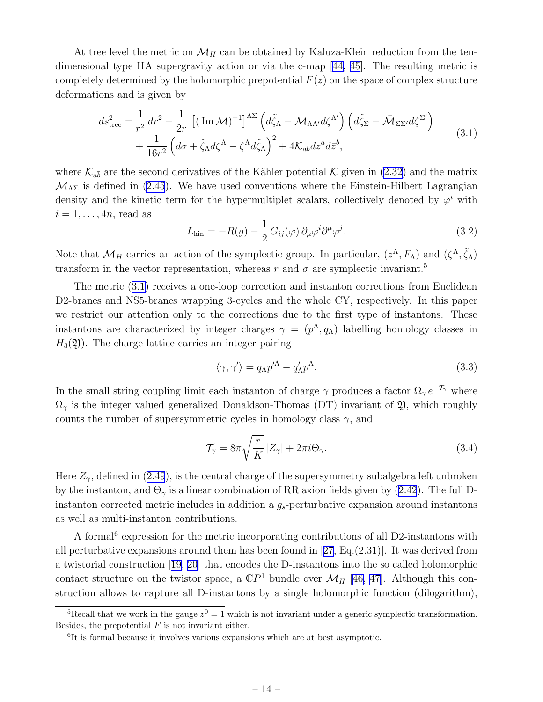<span id="page-15-0"></span>At tree level the metric on  $\mathcal{M}_H$  can be obtained by Kaluza-Klein reduction from the tendimensional type IIA supergravity action or via the c-map [\[44, 45](#page-59-0)]. The resulting metric is completely determined by the holomorphic prepotential  $F(z)$  on the space of complex structure deformations and is given by

$$
ds_{\text{tree}}^2 = \frac{1}{r^2} dr^2 - \frac{1}{2r} \left[ (\text{Im } \mathcal{M})^{-1} \right]^{\Lambda \Sigma} \left( d\tilde{\zeta}_{\Lambda} - \mathcal{M}_{\Lambda \Lambda'} d\zeta^{\Lambda'} \right) \left( d\tilde{\zeta}_{\Sigma} - \bar{\mathcal{M}}_{\Sigma \Sigma'} d\zeta^{\Sigma'} \right) + \frac{1}{16r^2} \left( d\sigma + \tilde{\zeta}_{\Lambda} d\zeta^{\Lambda} - \zeta^{\Lambda} d\tilde{\zeta}_{\Lambda} \right)^2 + 4\mathcal{K}_{a\bar{b}} dz^a d\bar{z}^{\bar{b}},
$$
(3.1)

where  $\mathcal{K}_{a\bar{b}}$  are the second derivatives of the Kähler potential K given in [\(2.32\)](#page-12-0) and the matrix  $M_{\Lambda\Sigma}$  is defined in [\(2.45](#page-13-0)). We have used conventions where the Einstein-Hilbert Lagrangian density and the kinetic term for the hypermultiplet scalars, collectively denoted by  $\varphi^i$  with  $i = 1, \ldots, 4n$ , read as

$$
L_{\rm kin} = -R(g) - \frac{1}{2} G_{ij}(\varphi) \, \partial_\mu \varphi^i \partial^\mu \varphi^j. \tag{3.2}
$$

Note that  $\mathcal{M}_H$  carries an action of the symplectic group. In particular,  $(z^{\Lambda}, F_{\Lambda})$  and  $(\zeta^{\Lambda}, \tilde{\zeta}_{\Lambda})$ transform in the vector representation, whereas r and  $\sigma$  are symplectic invariant.<sup>5</sup>

The metric (3.1) receives a one-loop correction and instanton corrections from Euclidean D2-branes and NS5-branes wrapping 3-cycles and the whole CY, respectively. In this paper we restrict our attention only to the corrections due to the first type of instantons. These instantons are characterized by integer charges  $\gamma = (p^{\Lambda}, q_{\Lambda})$  labelling homology classes in  $H_3(\mathfrak{Y})$ . The charge lattice carries an integer pairing

$$
\langle \gamma, \gamma' \rangle = q_{\Lambda} p^{\Lambda} - q_{\Lambda}' p^{\Lambda}.
$$
 (3.3)

In the small string coupling limit each instanton of charge  $\gamma$  produces a factor  $\Omega_{\gamma} e^{-\mathcal{T}_{\gamma}}$  where  $\Omega_{\gamma}$  is the integer valued generalized Donaldson-Thomas (DT) invariant of 2, which roughly counts the number of supersymmetric cycles in homology class  $\gamma$ , and

$$
\mathcal{T}_{\gamma} = 8\pi \sqrt{\frac{r}{K}} |Z_{\gamma}| + 2\pi i \Theta_{\gamma}.
$$
\n(3.4)

Here $Z_{\gamma}$ , defined in ([2.49](#page-14-0)), is the central charge of the supersymmetry subalgebra left unbroken bythe instanton, and  $\Theta_{\gamma}$  is a linear combination of RR axion fields given by ([2.42](#page-13-0)). The full Dinstanton corrected metric includes in addition a  $g_s$ -perturbative expansion around instantons as well as multi-instanton contributions.

A formal<sup>6</sup> expression for the metric incorporating contributions of all D2-instantons with allperturbative expansions around them has been found in  $[27, Eq. (2.31)]$  $[27, Eq. (2.31)]$  $[27, Eq. (2.31)]$ . It was derived from a twistorial construction[[19, 20\]](#page-57-0) that encodes the D-instantons into the so called holomorphic contact structure on the twistor space, a  $\mathbb{C}P^1$  bundle over  $\mathcal{M}_H$  [[46, 47\]](#page-59-0). Although this construction allows to capture all D-instantons by a single holomorphic function (dilogarithm),

<sup>&</sup>lt;sup>5</sup>Recall that we work in the gauge  $z^0 = 1$  which is not invariant under a generic symplectic transformation. Besides, the prepotential  $F$  is not invariant either.

<sup>6</sup> It is formal because it involves various expansions which are at best asymptotic.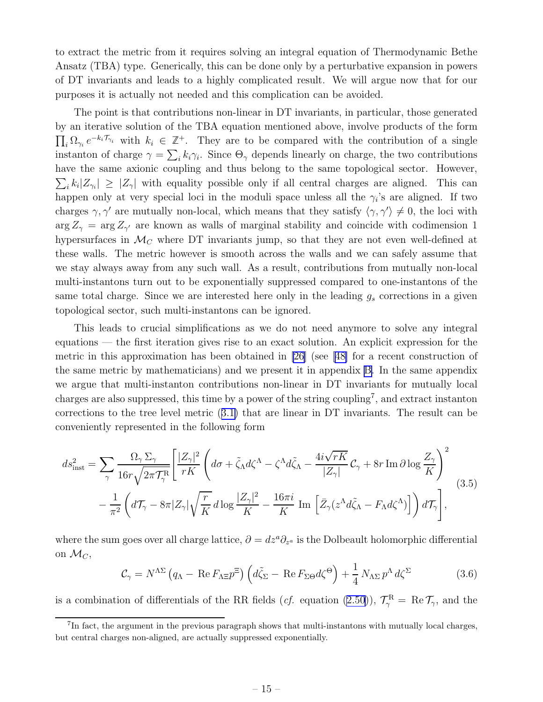<span id="page-16-0"></span>to extract the metric from it requires solving an integral equation of Thermodynamic Bethe Ansatz (TBA) type. Generically, this can be done only by a perturbative expansion in powers of DT invariants and leads to a highly complicated result. We will argue now that for our purposes it is actually not needed and this complication can be avoided.

The point is that contributions non-linear in DT invariants, in particular, those generated by an iterative solution of the TBA equation mentioned above, involve products of the form  $\prod_i \Omega_{\gamma_i} e^{-k_i \mathcal{T}_{\gamma_i}}$  with  $k_i \in \mathbb{Z}^+$ . They are to be compared with the contribution of a single instanton of charge  $\gamma = \sum_i k_i \gamma_i$ . Since  $\Theta_{\gamma}$  depends linearly on charge, the two contributions have the same axionic coupling and thus belong to the same topological sector. However,  $\sum_i k_i |Z_{\gamma_i}| \geq |Z_{\gamma}|$  with equality possible only if all central charges are aligned. This can happen only at very special loci in the moduli space unless all the  $\gamma_i$ 's are aligned. If two charges  $\gamma$ ,  $\gamma'$  are mutually non-local, which means that they satisfy  $\langle \gamma, \gamma' \rangle \neq 0$ , the loci with  $\arg Z_{\gamma} = \arg Z_{\gamma'}$  are known as walls of marginal stability and coincide with codimension 1 hypersurfaces in  $\mathcal{M}_C$  where DT invariants jump, so that they are not even well-defined at these walls. The metric however is smooth across the walls and we can safely assume that we stay always away from any such wall. As a result, contributions from mutually non-local multi-instantons turn out to be exponentially suppressed compared to one-instantons of the same total charge. Since we are interested here only in the leading  $g_s$  corrections in a given topological sector, such multi-instantons can be ignored.

This leads to crucial simplifications as we do not need anymore to solve any integral equations — the first iteration gives rise to an exact solution. An explicit expression for the metric in this approximation has been obtained in [\[26](#page-58-0)] (see [\[48\]](#page-59-0) for a recent construction of the same metric by mathematicians) and we present it in appendix [B](#page-45-0). In the same appendix we argue that multi-instanton contributions non-linear in DT invariants for mutually local charges are also suppressed, this time by a power of the string coupling<sup>7</sup>, and extract instanton corrections to the tree level metric([3.1\)](#page-15-0) that are linear in DT invariants. The result can be conveniently represented in the following form

$$
ds_{\rm inst}^2 = \sum_{\gamma} \frac{\Omega_{\gamma} \Sigma_{\gamma}}{16r \sqrt{2\pi \mathcal{T}_{\gamma}^{\rm R}}} \left[ \frac{|Z_{\gamma}|^2}{rK} \left( d\sigma + \tilde{\zeta}_{\Lambda} d\zeta^{\Lambda} - \zeta^{\Lambda} d\tilde{\zeta}_{\Lambda} - \frac{4i\sqrt{rK}}{|Z_{\gamma}|} \mathcal{C}_{\gamma} + 8r \operatorname{Im} \partial \log \frac{Z_{\gamma}}{K} \right)^2 \right. \\ - \frac{1}{\pi^2} \left( d\mathcal{T}_{\gamma} - 8\pi |Z_{\gamma}| \sqrt{\frac{r}{K}} d\log \frac{|Z_{\gamma}|^2}{K} - \frac{16\pi i}{K} \operatorname{Im} \left[ \bar{Z}_{\gamma} (z^{\Lambda} d\tilde{\zeta}_{\Lambda} - F_{\Lambda} d\zeta^{\Lambda}) \right] \right) d\mathcal{T}_{\gamma} \right], \tag{3.5}
$$

where the sum goes over all charge lattice,  $\partial = dz^a \partial_{z^a}$  is the Dolbeault holomorphic differential on  $\mathcal{M}_C$ ,

$$
\mathcal{C}_{\gamma} = N^{\Lambda \Sigma} \left( q_{\Lambda} - \text{Re} \, F_{\Lambda \Xi} p^{\Xi} \right) \left( d \tilde{\zeta}_{\Sigma} - \text{Re} \, F_{\Sigma \Theta} d \zeta^{\Theta} \right) + \frac{1}{4} \, N_{\Lambda \Sigma} \, p^{\Lambda} \, d \zeta^{\Sigma} \tag{3.6}
$$

is a combination of differentials of the RR fields (*cf.* equation [\(2.50\)](#page-14-0)),  $\mathcal{T}_{\gamma}^{\text{R}} = \text{Re } \mathcal{T}_{\gamma}$ , and the

<sup>&</sup>lt;sup>7</sup>In fact, the argument in the previous paragraph shows that multi-instantons with mutually local charges, but central charges non-aligned, are actually suppressed exponentially.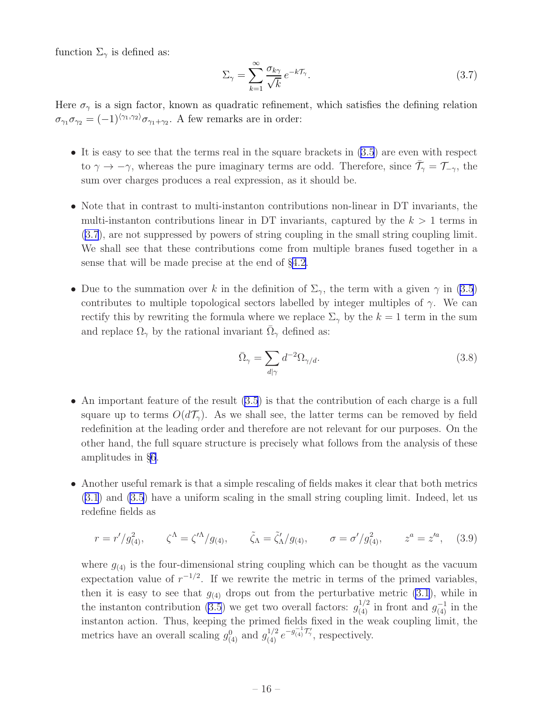<span id="page-17-0"></span>function  $\Sigma_{\gamma}$  is defined as:

$$
\Sigma_{\gamma} = \sum_{k=1}^{\infty} \frac{\sigma_{k\gamma}}{\sqrt{k}} e^{-k\mathcal{T}_{\gamma}}.
$$
\n(3.7)

Here  $\sigma_{\gamma}$  is a sign factor, known as quadratic refinement, which satisfies the defining relation  $\sigma_{\gamma_1}\sigma_{\gamma_2}=(-1)^{\langle\gamma_1,\gamma_2\rangle}\sigma_{\gamma_1+\gamma_2}$ . A few remarks are in order:

- It is easy to see that the terms real in the square brackets in  $(3.5)$  are even with respect to  $\gamma \to -\gamma$ , whereas the pure imaginary terms are odd. Therefore, since  $\bar{\mathcal{T}}_{\gamma} = \mathcal{T}_{-\gamma}$ , the sum over charges produces a real expression, as it should be.
- Note that in contrast to multi-instanton contributions non-linear in DT invariants, the multi-instanton contributions linear in DT invariants, captured by the  $k > 1$  terms in (3.7), are not suppressed by powers of string coupling in the small string coupling limit. We shall see that these contributions come from multiple branes fused together in a sense that will be made precise at the end of §[4.2.](#page-22-0)
- Due to the summation over k in the definition of  $\Sigma_{\gamma}$ , the term with a given  $\gamma$  in [\(3.5](#page-16-0)) contributes to multiple topological sectors labelled by integer multiples of  $\gamma$ . We can rectify this by rewriting the formula where we replace  $\Sigma_{\gamma}$  by the  $k = 1$  term in the sum and replace  $\Omega_{\gamma}$  by the rational invariant  $\overline{\Omega}_{\gamma}$  defined as:

$$
\bar{\Omega}_{\gamma} = \sum_{d|\gamma} d^{-2} \Omega_{\gamma/d}.
$$
\n(3.8)

- An important feature of the result [\(3.5](#page-16-0)) is that the contribution of each charge is a full square up to terms  $O(d\mathcal{T}_{\gamma})$ . As we shall see, the latter terms can be removed by field redefinition at the leading order and therefore are not relevant for our purposes. On the other hand, the full square structure is precisely what follows from the analysis of these amplitudes in §[6](#page-31-0).
- Another useful remark is that a simple rescaling of fields makes it clear that both metrics [\(3.1](#page-15-0)) and [\(3.5](#page-16-0)) have a uniform scaling in the small string coupling limit. Indeed, let us redefine fields as

$$
r = r'/g_{(4)}^2
$$
,  $\zeta^{\Lambda} = \zeta'^{\Lambda}/g_{(4)}$ ,  $\tilde{\zeta}_{\Lambda} = \tilde{\zeta}'_{\Lambda}/g_{(4)}$ ,  $\sigma = \sigma'/g_{(4)}^2$ ,  $z^a = z'^a$ , (3.9)

where  $g_{(4)}$  is the four-dimensional string coupling which can be thought as the vacuum expectation value of  $r^{-1/2}$ . If we rewrite the metric in terms of the primed variables, then it is easy to see that  $g_{(4)}$  drops out from the perturbative metric [\(3.1](#page-15-0)), while in the instanton contribution [\(3.5](#page-16-0)) we get two overall factors:  $g_{(4)}^{1/2}$  in front and  $g_{(4)}^{-1}$  in the instanton action. Thus, keeping the primed fields fixed in the weak coupling limit, the metrics have an overall scaling  $g_{(4)}^0$  and  $g_{(4)}^{1/2} e^{-g_{(4)}^{-1}\mathcal{T}'_{\gamma}}$ , respectively.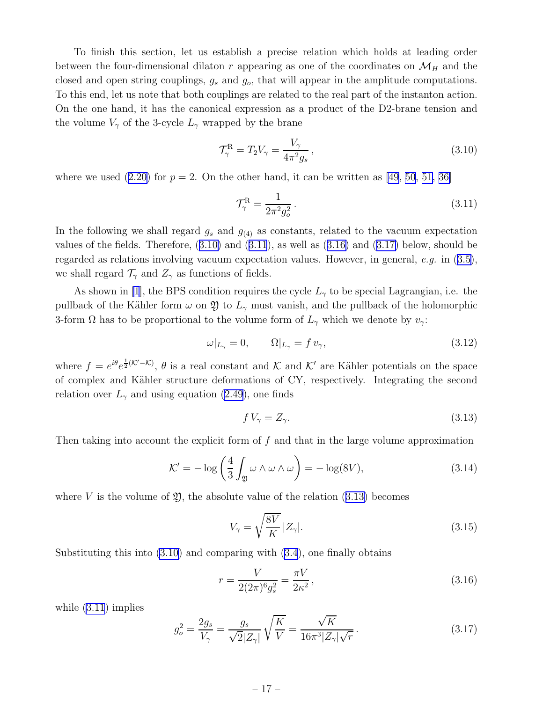<span id="page-18-0"></span>To finish this section, let us establish a precise relation which holds at leading order between the four-dimensional dilaton r appearing as one of the coordinates on  $\mathcal{M}_H$  and the closed and open string couplings,  $g_s$  and  $g_o$ , that will appear in the amplitude computations. To this end, let us note that both couplings are related to the real part of the instanton action. On the one hand, it has the canonical expression as a product of the D2-brane tension and the volume  $V_{\gamma}$  of the 3-cycle  $L_{\gamma}$  wrapped by the brane

$$
\mathcal{T}_{\gamma}^{\mathcal{R}} = T_2 V_{\gamma} = \frac{V_{\gamma}}{4\pi^2 g_s},\tag{3.10}
$$

wherewe used  $(2.20)$  $(2.20)$  for  $p = 2$ . On the other hand, it can be written as [\[49, 50, 51,](#page-59-0) [36\]](#page-58-0)

$$
\mathcal{T}_{\gamma}^{\rm R} = \frac{1}{2\pi^2 g_o^2} \,. \tag{3.11}
$$

In the following we shall regard  $g_s$  and  $g_{(4)}$  as constants, related to the vacuum expectation values of the fields. Therefore,  $(3.10)$  and  $(3.11)$ , as well as  $(3.16)$  and  $(3.17)$  below, should be regardedas relations involving vacuum expectation values. However, in general, e.g. in  $(3.5)$  $(3.5)$ , we shall regard  $\mathcal{T}_{\gamma}$  and  $Z_{\gamma}$  as functions of fields.

As shown in [\[1](#page-56-0)], the BPS condition requires the cycle  $L_{\gamma}$  to be special Lagrangian, i.e. the pullback of the Kähler form  $\omega$  on  $\mathfrak Y$  to  $L_\gamma$  must vanish, and the pullback of the holomorphic 3-form  $\Omega$  has to be proportional to the volume form of  $L_{\gamma}$  which we denote by  $v_{\gamma}$ :

$$
\omega|_{L_{\gamma}} = 0, \qquad \Omega|_{L_{\gamma}} = f v_{\gamma}, \tag{3.12}
$$

where  $f = e^{i\theta}e^{\frac{1}{2}(\mathcal{K}'-\mathcal{K})}$ ,  $\theta$  is a real constant and  $\mathcal{K}$  and  $\mathcal{K}'$  are Kähler potentials on the space of complex and Kähler structure deformations of CY, respectively. Integrating the second relation over  $L_{\gamma}$  and using equation [\(2.49](#page-14-0)), one finds

$$
f V_{\gamma} = Z_{\gamma}.\tag{3.13}
$$

Then taking into account the explicit form of  $f$  and that in the large volume approximation

$$
\mathcal{K}' = -\log\left(\frac{4}{3}\int_{\mathfrak{Y}} \omega \wedge \omega \wedge \omega\right) = -\log(8V),\tag{3.14}
$$

where V is the volume of  $\mathfrak{Y}$ , the absolute value of the relation (3.13) becomes

$$
V_{\gamma} = \sqrt{\frac{8V}{K}} |Z_{\gamma}|. \tag{3.15}
$$

Substitutingthis into  $(3.10)$  and comparing with  $(3.4)$  $(3.4)$ , one finally obtains

$$
r = \frac{V}{2(2\pi)^6 g_s^2} = \frac{\pi V}{2\kappa^2},\tag{3.16}
$$

while (3.11) implies

$$
g_o^2 = \frac{2g_s}{V_\gamma} = \frac{g_s}{\sqrt{2}|Z_\gamma|} \sqrt{\frac{K}{V}} = \frac{\sqrt{K}}{16\pi^3 |Z_\gamma|\sqrt{r}}.
$$
 (3.17)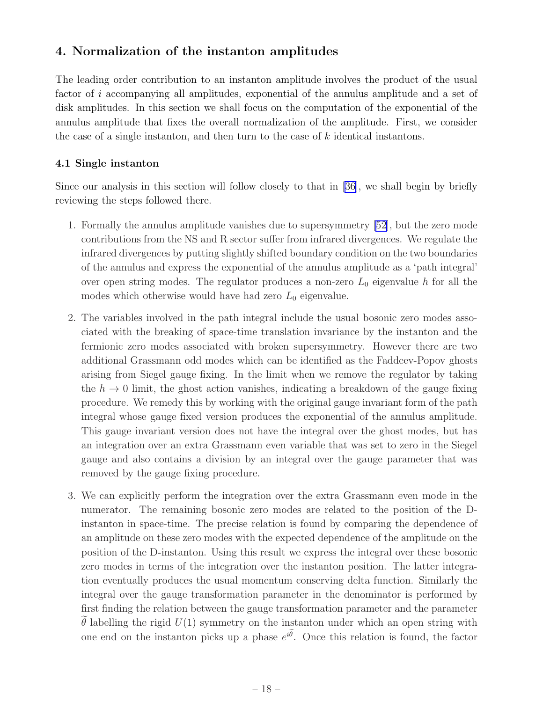## <span id="page-19-0"></span>4. Normalization of the instanton amplitudes

The leading order contribution to an instanton amplitude involves the product of the usual factor of i accompanying all amplitudes, exponential of the annulus amplitude and a set of disk amplitudes. In this section we shall focus on the computation of the exponential of the annulus amplitude that fixes the overall normalization of the amplitude. First, we consider the case of a single instanton, and then turn to the case of k identical instantons.

## 4.1 Single instanton

Since our analysis in this section will follow closely to that in [\[36\]](#page-58-0), we shall begin by briefly reviewing the steps followed there.

- 1. Formally the annulus amplitude vanishes due to supersymmetry [\[52\]](#page-59-0), but the zero mode contributions from the NS and R sector suffer from infrared divergences. We regulate the infrared divergences by putting slightly shifted boundary condition on the two boundaries of the annulus and express the exponential of the annulus amplitude as a 'path integral' over open string modes. The regulator produces a non-zero  $L_0$  eigenvalue h for all the modes which otherwise would have had zero  $L_0$  eigenvalue.
- 2. The variables involved in the path integral include the usual bosonic zero modes associated with the breaking of space-time translation invariance by the instanton and the fermionic zero modes associated with broken supersymmetry. However there are two additional Grassmann odd modes which can be identified as the Faddeev-Popov ghosts arising from Siegel gauge fixing. In the limit when we remove the regulator by taking the  $h \to 0$  limit, the ghost action vanishes, indicating a breakdown of the gauge fixing procedure. We remedy this by working with the original gauge invariant form of the path integral whose gauge fixed version produces the exponential of the annulus amplitude. This gauge invariant version does not have the integral over the ghost modes, but has an integration over an extra Grassmann even variable that was set to zero in the Siegel gauge and also contains a division by an integral over the gauge parameter that was removed by the gauge fixing procedure.
- 3. We can explicitly perform the integration over the extra Grassmann even mode in the numerator. The remaining bosonic zero modes are related to the position of the Dinstanton in space-time. The precise relation is found by comparing the dependence of an amplitude on these zero modes with the expected dependence of the amplitude on the position of the D-instanton. Using this result we express the integral over these bosonic zero modes in terms of the integration over the instanton position. The latter integration eventually produces the usual momentum conserving delta function. Similarly the integral over the gauge transformation parameter in the denominator is performed by first finding the relation between the gauge transformation parameter and the parameter  $\theta$  labelling the rigid  $U(1)$  symmetry on the instanton under which an open string with one end on the instanton picks up a phase  $e^{i\tilde{\theta}}$ . Once this relation is found, the factor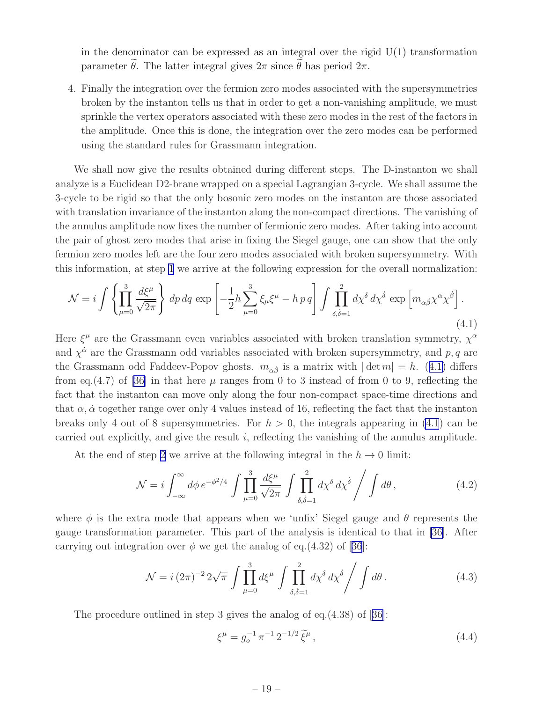<span id="page-20-0"></span>in the denominator can be expressed as an integral over the rigid  $U(1)$  transformation parameter  $\tilde{\theta}$ . The latter integral gives  $2\pi$  since  $\tilde{\theta}$  has period  $2\pi$ .

4. Finally the integration over the fermion zero modes associated with the supersymmetries broken by the instanton tells us that in order to get a non-vanishing amplitude, we must sprinkle the vertex operators associated with these zero modes in the rest of the factors in the amplitude. Once this is done, the integration over the zero modes can be performed using the standard rules for Grassmann integration.

We shall now give the results obtained during different steps. The D-instanton we shall analyze is a Euclidean D2-brane wrapped on a special Lagrangian 3-cycle. We shall assume the 3-cycle to be rigid so that the only bosonic zero modes on the instanton are those associated with translation invariance of the instanton along the non-compact directions. The vanishing of the annulus amplitude now fixes the number of fermionic zero modes. After taking into account the pair of ghost zero modes that arise in fixing the Siegel gauge, one can show that the only fermion zero modes left are the four zero modes associated with broken supersymmetry. With this information, at step [1](#page-19-0) we arrive at the following expression for the overall normalization:

$$
\mathcal{N} = i \int \left\{ \prod_{\mu=0}^{3} \frac{d\xi^{\mu}}{\sqrt{2\pi}} \right\} dp dq \exp \left[ -\frac{1}{2} h \sum_{\mu=0}^{3} \xi_{\mu} \xi^{\mu} - h \, p \, q \right] \int \prod_{\delta,\dot{\delta}=1}^{2} d\chi^{\delta} d\chi^{\dot{\delta}} \exp \left[ m_{\alpha\dot{\beta}} \chi^{\alpha} \chi^{\dot{\beta}} \right]. \tag{4.1}
$$

Here  $\xi^{\mu}$  are the Grassmann even variables associated with broken translation symmetry,  $\chi^{\alpha}$ and  $\chi^{\dot{\alpha}}$  are the Grassmann odd variables associated with broken supersymmetry, and p, q are the Grassmann odd Faddeev-Popov ghosts.  $m_{\alpha\dot{\beta}}$  is a matrix with  $|\det m| = h$ . (4.1) differs fromeq.(4.7) of [[36\]](#page-58-0) in that here  $\mu$  ranges from 0 to 3 instead of from 0 to 9, reflecting the fact that the instanton can move only along the four non-compact space-time directions and that  $\alpha$ ,  $\dot{\alpha}$  together range over only 4 values instead of 16, reflecting the fact that the instanton breaks only 4 out of 8 supersymmetries. For  $h > 0$ , the integrals appearing in (4.1) can be carried out explicitly, and give the result  $i$ , reflecting the vanishing of the annulus amplitude.

At the end of step [2](#page-19-0) we arrive at the following integral in the  $h \to 0$  limit:

$$
\mathcal{N} = i \int_{-\infty}^{\infty} d\phi \, e^{-\phi^2/4} \int \prod_{\mu=0}^{3} \frac{d\xi^{\mu}}{\sqrt{2\pi}} \int \prod_{\delta,\dot{\delta}=1}^{2} d\chi^{\delta} \, d\chi^{\dot{\delta}} \Bigg/ \int d\theta \,, \tag{4.2}
$$

where  $\phi$  is the extra mode that appears when we 'unfix' Siegel gauge and  $\theta$  represents the gauge transformation parameter. This part of the analysis is identical to that in [\[36\]](#page-58-0). After carryingout integration over  $\phi$  we get the analog of eq.(4.32) of [[36](#page-58-0)]:

$$
\mathcal{N} = i (2\pi)^{-2} 2\sqrt{\pi} \int \prod_{\mu=0}^{3} d\xi^{\mu} \int \prod_{\delta,\dot{\delta}=1}^{2} d\chi^{\delta} d\chi^{\dot{\delta}} \Bigg/ \int d\theta \,. \tag{4.3}
$$

The procedure outlined in step 3 gives the analog of eq.(4.38) of[[36\]](#page-58-0):

$$
\xi^{\mu} = g_o^{-1} \pi^{-1} 2^{-1/2} \tilde{\xi}^{\mu}, \qquad (4.4)
$$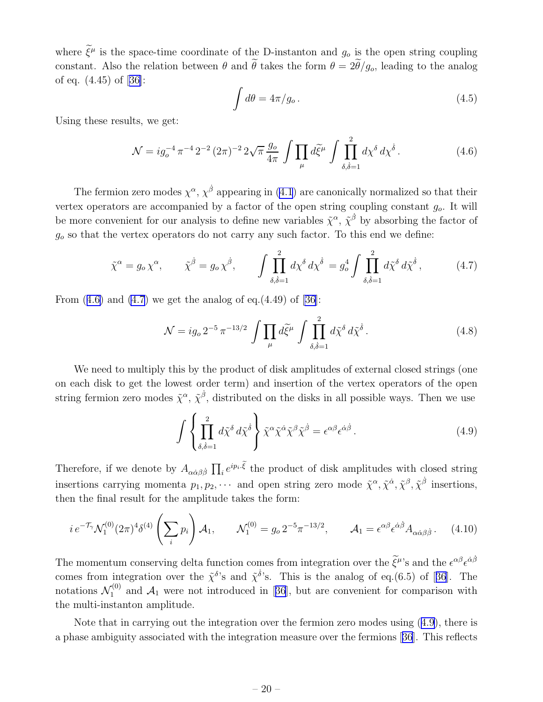<span id="page-21-0"></span>where  $\xi^{\mu}$  is the space-time coordinate of the D-instanton and  $g_o$  is the open string coupling constant. Also the relation between  $\theta$  and  $\tilde{\theta}$  takes the form  $\theta = 2\tilde{\theta}/g_o$ , leading to the analog of eq. (4.45) of[[36\]](#page-58-0):

$$
\int d\theta = 4\pi/g_o.
$$
\n(4.5)

Using these results, we get:

$$
\mathcal{N} = ig_o^{-4} \pi^{-4} 2^{-2} (2\pi)^{-2} 2\sqrt{\pi} \frac{g_o}{4\pi} \int \prod_{\mu} d\tilde{\xi}^{\mu} \int \prod_{\delta, \delta = 1}^2 d\chi^{\delta} d\chi^{\delta}.
$$
 (4.6)

The fermion zero modes  $\chi^{\alpha}$ ,  $\chi^{\dot{\beta}}$  appearing in [\(4.1](#page-20-0)) are canonically normalized so that their vertex operators are accompanied by a factor of the open string coupling constant  $g<sub>o</sub>$ . It will be more convenient for our analysis to define new variables  $\tilde{\chi}^{\alpha}$ ,  $\tilde{\chi}^{\beta}$  by absorbing the factor of  $g<sub>o</sub>$  so that the vertex operators do not carry any such factor. To this end we define:

$$
\tilde{\chi}^{\alpha} = g_o \chi^{\alpha}, \qquad \tilde{\chi}^{\dot{\beta}} = g_o \chi^{\dot{\beta}}, \qquad \int \prod_{\delta, \dot{\delta}=1}^{2} d\chi^{\delta} d\chi^{\dot{\delta}} = g_o^4 \int \prod_{\delta, \dot{\delta}=1}^{2} d\tilde{\chi}^{\delta} d\tilde{\chi}^{\dot{\delta}}, \tag{4.7}
$$

From  $(4.6)$  and  $(4.7)$  we get the analog of eq. $(4.49)$  of  $[36]$ :

$$
\mathcal{N} = ig_o 2^{-5} \pi^{-13/2} \int \prod_{\mu} d\tilde{\xi}^{\mu} \int \prod_{\delta, \dot{\delta} = 1}^{2} d\tilde{\chi}^{\delta} d\tilde{\chi}^{\dot{\delta}}.
$$
 (4.8)

We need to multiply this by the product of disk amplitudes of external closed strings (one on each disk to get the lowest order term) and insertion of the vertex operators of the open string fermion zero modes  $\tilde{\chi}^{\alpha}$ ,  $\tilde{\chi}^{\dot{\beta}}$ , distributed on the disks in all possible ways. Then we use

$$
\int \left\{ \prod_{\delta,\dot{\delta}=1}^{2} d\tilde{\chi}^{\delta} d\tilde{\chi}^{\dot{\delta}} \right\} \tilde{\chi}^{\alpha} \tilde{\chi}^{\dot{\alpha}} \tilde{\chi}^{\beta} \tilde{\chi}^{\dot{\beta}} = \epsilon^{\alpha \beta} \epsilon^{\dot{\alpha} \dot{\beta}}.
$$
\n(4.9)

Therefore, if we denote by  $A_{\alpha\dot{\alpha}\beta\dot{\beta}}\prod_i e^{ip_i\cdot\tilde{\xi}}$  the product of disk amplitudes with closed string insertions carrying momenta  $p_1, p_2, \cdots$  and open string zero mode  $\tilde{\chi}^\alpha$ ,  $\tilde{\chi}^\dot{\alpha}$ ,  $\tilde{\chi}^\beta$ ,  $\tilde{\chi}^\beta$  insertions, then the final result for the amplitude takes the form:

$$
i e^{-\mathcal{T}_{\gamma}} \mathcal{N}_1^{(0)}(2\pi)^4 \delta^{(4)}\left(\sum_i p_i\right) \mathcal{A}_1, \qquad \mathcal{N}_1^{(0)} = g_o 2^{-5} \pi^{-13/2}, \qquad \mathcal{A}_1 = \epsilon^{\alpha \beta} \epsilon^{\dot{\alpha} \dot{\beta}} A_{\alpha \dot{\alpha} \beta \dot{\beta}}.
$$
 (4.10)

The momentum conserving delta function comes from integration over the  $\tilde{\xi}^{\mu}$ 's and the  $\epsilon^{\alpha\beta}\epsilon^{\dot{\alpha}\dot{\beta}}$ comesfrom integration over the  $\tilde{\chi}^{\delta}$ 's and  $\tilde{\chi}^{\delta}$ 's. This is the analog of eq.(6.5) of [[36](#page-58-0)]. The notations  $\mathcal{N}_1^{(0)}$  $1^{(0)}$ and  $A_1$  were not introduced in [[36](#page-58-0)], but are convenient for comparison with the multi-instanton amplitude.

Note that in carrying out the integration over the fermion zero modes using (4.9), there is a phase ambiguity associated with the integration measure over the fermions[[36](#page-58-0)]. This reflects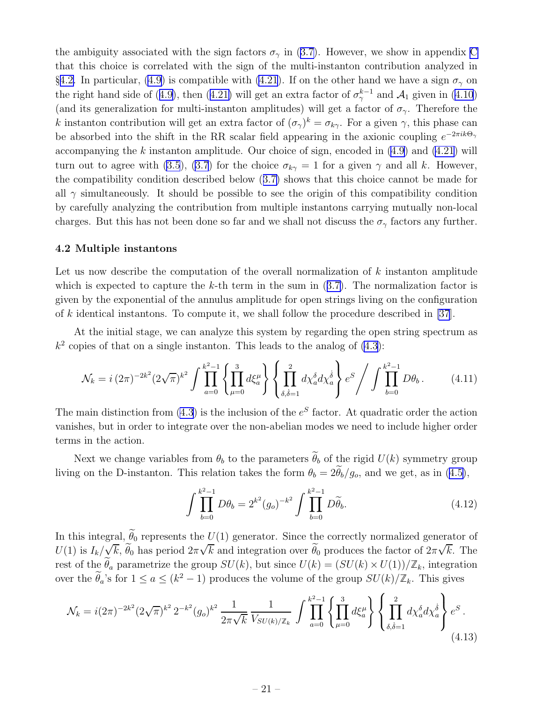<span id="page-22-0"></span>theambiguity associated with the sign factors  $\sigma_{\gamma}$  in ([3.7\)](#page-17-0). However, we show in appendix [C](#page-49-0) that this choice is correlated with the sign of the multi-instanton contribution analyzed in §4.2. In particular, [\(4.9](#page-21-0)) is compatible with [\(4.21](#page-23-0)). If on the other hand we have a sign  $\sigma_{\gamma}$  on theright hand side of ([4.9\)](#page-21-0), then ([4.21\)](#page-23-0) will get an extra factor of  $\sigma_{\gamma}^{k-1}$  and  $\mathcal{A}_1$  given in [\(4.10](#page-21-0)) (and its generalization for multi-instanton amplitudes) will get a factor of  $\sigma_{\gamma}$ . Therefore the k instanton contribution will get an extra factor of  $(\sigma_\gamma)^k = \sigma_{k\gamma}$ . For a given  $\gamma$ , this phase can be absorbed into the shift in the RR scalar field appearing in the axionic coupling  $e^{-2\pi i k\Theta_{\gamma}}$ accompanying the k instanton amplitude. Our choice of sign, encoded in  $(4.9)$  and  $(4.21)$  will turn out to agree with [\(3.5](#page-16-0)), [\(3.7](#page-17-0)) for the choice  $\sigma_{k\gamma} = 1$  for a given  $\gamma$  and all k. However, the compatibility condition described below([3.7\)](#page-17-0) shows that this choice cannot be made for all  $\gamma$  simultaneously. It should be possible to see the origin of this compatibility condition by carefully analyzing the contribution from multiple instantons carrying mutually non-local charges. But this has not been done so far and we shall not discuss the  $\sigma_{\gamma}$  factors any further.

#### 4.2 Multiple instantons

Let us now describe the computation of the overall normalization of  $k$  instanton amplitude whichis expected to capture the k-th term in the sum in  $(3.7)$  $(3.7)$ . The normalization factor is given by the exponential of the annulus amplitude for open strings living on the configuration of k identical instantons. To compute it, we shall follow the procedure described in [\[37](#page-58-0)].

At the initial stage, we can analyze this system by regarding the open string spectrum as  $k<sup>2</sup>$  copies of that on a single instanton. This leads to the analog of  $(4.3)$ :

$$
\mathcal{N}_k = i (2\pi)^{-2k^2} (2\sqrt{\pi})^{k^2} \int \prod_{a=0}^{k^2-1} \left\{ \prod_{\mu=0}^3 d\xi_a^\mu \right\} \left\{ \prod_{\delta,\dot{\delta}=1}^2 d\chi_a^{\delta} d\chi_a^{\dot{\delta}} \right\} e^S \Bigg/ \int \prod_{b=0}^{k^2-1} D\theta_b \,. \tag{4.11}
$$

The main distinction from  $(4.3)$  is the inclusion of the  $e^{S}$  factor. At quadratic order the action vanishes, but in order to integrate over the non-abelian modes we need to include higher order terms in the action.

Next we change variables from  $\theta_b$  to the parameters  $\widetilde{\theta}_b$  of the rigid  $U(k)$  symmetry group livingon the D-instanton. This relation takes the form  $\theta_b = 2\theta_b/g_o$ , and we get, as in ([4.5\)](#page-21-0),

$$
\int \prod_{b=0}^{k^2-1} D\theta_b = 2^{k^2} (g_o)^{-k^2} \int \prod_{b=0}^{k^2-1} D\widetilde{\theta}_b.
$$
\n(4.12)

In this integral,  $\widetilde{\theta}_0$  represents the  $U(1)$  generator. Since the correctly normalized generator of  $U(1)$  is  $I_k/\sqrt{k}, \tilde{\theta}_0$  has period  $2\pi\sqrt{k}$  and integration over  $\tilde{\theta}_0$  produces the factor of  $2\pi\sqrt{k}$ . The rest of the  $\tilde{\theta}_a$  parametrize the group  $SU(k)$ , but since  $U(k) = (SU(k) \times U(1))/\mathbb{Z}_k$ , integration over the  $\tilde{\theta}_a$ 's for  $1 \le a \le (k^2 - 1)$  produces the volume of the group  $SU(k)/\mathbb{Z}_k$ . This gives

$$
\mathcal{N}_k = i(2\pi)^{-2k^2} (2\sqrt{\pi})^{k^2} 2^{-k^2} (g_o)^{k^2} \frac{1}{2\pi\sqrt{k}} \frac{1}{V_{SU(k)/\mathbb{Z}_k}} \int \prod_{a=0}^{k^2-1} \left\{ \prod_{\mu=0}^3 d\xi_a^\mu \right\} \left\{ \prod_{\delta,\delta=1}^2 d\chi_a^\delta d\chi_a^\delta \right\} e^S.
$$
\n(4.13)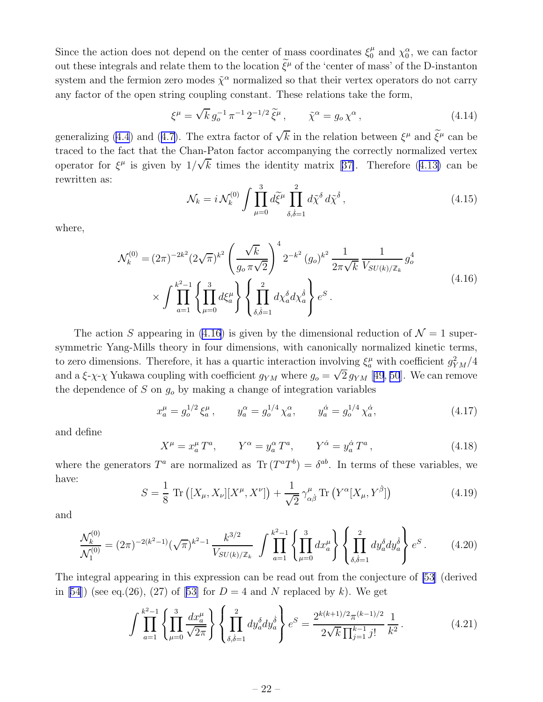<span id="page-23-0"></span>Since the action does not depend on the center of mass coordinates  $\xi_0^{\mu}$  $y_0^{\mu}$  and  $\chi_0^{\alpha}$ , we can factor out these integrals and relate them to the location  $\tilde{\xi}^{\mu}$  of the 'center of mass' of the D-instanton system and the fermion zero modes  $\tilde{\chi}^{\alpha}$  normalized so that their vertex operators do not carry any factor of the open string coupling constant. These relations take the form,

$$
\xi^{\mu} = \sqrt{k} g_o^{-1} \pi^{-1} 2^{-1/2} \tilde{\xi}^{\mu}, \qquad \tilde{\chi}^{\alpha} = g_o \chi^{\alpha}, \qquad (4.14)
$$

generalizing [\(4.4](#page-20-0))and ([4.7\)](#page-21-0). The extra factor of  $\sqrt{k}$  in the relation between  $\xi^{\mu}$  and  $\tilde{\xi}^{\mu}$  can be traced to the fact that the Chan-Paton factor accompanying the correctly normalized vertex operatorfor  $\xi^{\mu}$  is given by  $1/\sqrt{k}$  times the identity matrix [[37\]](#page-58-0). Therefore ([4.13\)](#page-22-0) can be rewritten as:

$$
\mathcal{N}_k = i \mathcal{N}_k^{(0)} \int \prod_{\mu=0}^3 d\tilde{\xi}^\mu \prod_{\delta,\dot{\delta}=1}^2 d\tilde{\chi}^\delta d\tilde{\chi}^{\dot{\delta}}, \qquad (4.15)
$$

where,

$$
\mathcal{N}_k^{(0)} = (2\pi)^{-2k^2} (2\sqrt{\pi})^{k^2} \left(\frac{\sqrt{k}}{g_o \pi \sqrt{2}}\right)^4 2^{-k^2} (g_o)^{k^2} \frac{1}{2\pi \sqrt{k}} \frac{1}{V_{SU(k)/\mathbb{Z}_k}} g_o^4
$$
\n
$$
\times \int \prod_{a=1}^{k^2-1} \left\{ \prod_{\mu=0}^3 d\xi_a^\mu \right\} \left\{ \prod_{\delta,\delta=1}^2 dx_a^\delta dx_a^\delta \right\} e^S.
$$
\n(4.16)

The action S appearing in (4.16) is given by the dimensional reduction of  $\mathcal{N} = 1$  supersymmetric Yang-Mills theory in four dimensions, with canonically normalized kinetic terms, to zero dimensions. Therefore, it has a quartic interaction involving  $\xi_a^{\mu}$  with coefficient  $g_{YM}^2/4$ and a  $\xi-\chi-\chi$  Yukawa coupling with coefficient  $g_{YM}$  where  $g_o = \sqrt{2} g_{YM}$  [[49](#page-59-0), [50](#page-59-0)]. We can remove the dependence of S on  $g<sub>o</sub>$  by making a change of integration variables

$$
x_a^{\mu} = g_o^{1/2} \xi_a^{\mu}, \qquad y_a^{\alpha} = g_o^{1/4} \chi_a^{\alpha}, \qquad y_a^{\dot{\alpha}} = g_o^{1/4} \chi_a^{\dot{\alpha}}, \tag{4.17}
$$

and define

$$
X^{\mu} = x_a^{\mu} T^a, \qquad Y^{\alpha} = y_a^{\alpha} T^a, \qquad Y^{\dot{\alpha}} = y_a^{\dot{\alpha}} T^a, \tag{4.18}
$$

where the generators  $T^a$  are normalized as  $\text{Tr} (T^a T^b) = \delta^{ab}$ . In terms of these variables, we have:

$$
S = \frac{1}{8} \operatorname{Tr} \left( [X_{\mu}, X_{\nu}][X^{\mu}, X^{\nu}] \right) + \frac{1}{\sqrt{2}} \gamma^{\mu}_{\alpha\dot{\beta}} \operatorname{Tr} \left( Y^{\alpha} [X_{\mu}, Y^{\dot{\beta}}] \right) \tag{4.19}
$$

and

$$
\frac{\mathcal{N}_k^{(0)}}{\mathcal{N}_1^{(0)}} = (2\pi)^{-2(k^2-1)} (\sqrt{\pi})^{k^2-1} \frac{k^{3/2}}{V_{SU(k)/\mathbb{Z}_k}} \int \prod_{a=1}^{k^2-1} \left\{ \prod_{\mu=0}^3 dx_a^\mu \right\} \left\{ \prod_{\delta,\dot{\delta}=1}^2 dy_a^\delta dy_a^\dot{\delta} \right\} e^S \,. \tag{4.20}
$$

The integral appearing in this expression can be read out from the conjecture of [\[53\]](#page-59-0) (derived in [\[54\]](#page-59-0))(see eq.(26), (27) of [[53\]](#page-59-0) for  $D = 4$  and N replaced by k). We get

$$
\int \prod_{a=1}^{k^2-1} \left\{ \prod_{\mu=0}^3 \frac{dx_a^{\mu}}{\sqrt{2\pi}} \right\} \left\{ \prod_{\delta,\delta=1}^2 dy_a^{\delta} dy_a^{\delta} \right\} e^S = \frac{2^{k(k+1)/2} \pi^{(k-1)/2}}{2\sqrt{k} \prod_{j=1}^{k-1} j!} \frac{1}{k^2}.
$$
 (4.21)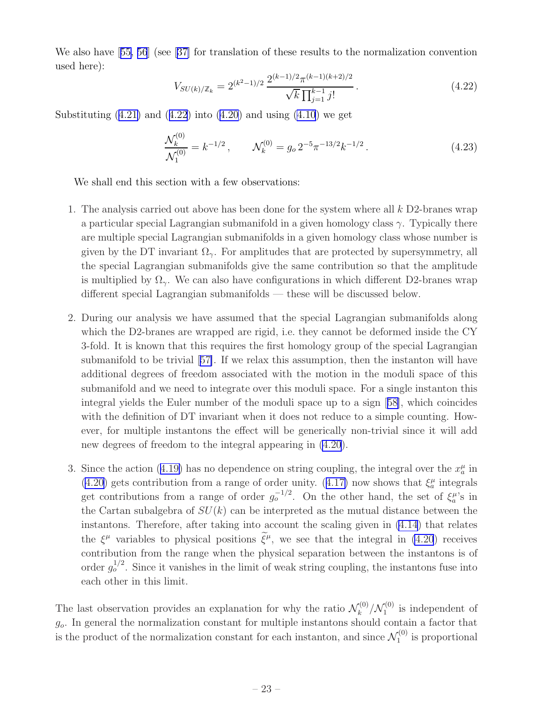<span id="page-24-0"></span>We also have[[55, 56](#page-59-0)] (see[[37\]](#page-58-0) for translation of these results to the normalization convention used here):

$$
V_{SU(k)/\mathbb{Z}_k} = 2^{(k^2 - 1)/2} \frac{2^{(k-1)/2} \pi^{(k-1)(k+2)/2}}{\sqrt{k} \prod_{j=1}^{k-1} j!}.
$$
 (4.22)

Substituting $(4.21)$  $(4.21)$  and  $(4.22)$  into  $(4.20)$  and using  $(4.10)$  we get

$$
\frac{\mathcal{N}_k^{(0)}}{\mathcal{N}_1^{(0)}} = k^{-1/2}, \qquad \mathcal{N}_k^{(0)} = g_o \, 2^{-5} \pi^{-13/2} k^{-1/2} \,. \tag{4.23}
$$

We shall end this section with a few observations:

- 1. The analysis carried out above has been done for the system where all k D2-branes wrap a particular special Lagrangian submanifold in a given homology class  $\gamma$ . Typically there are multiple special Lagrangian submanifolds in a given homology class whose number is given by the DT invariant  $\Omega_{\gamma}$ . For amplitudes that are protected by supersymmetry, all the special Lagrangian submanifolds give the same contribution so that the amplitude is multiplied by  $\Omega_{\gamma}$ . We can also have configurations in which different D2-branes wrap different special Lagrangian submanifolds — these will be discussed below.
- 2. During our analysis we have assumed that the special Lagrangian submanifolds along which the D2-branes are wrapped are rigid, i.e. they cannot be deformed inside the CY 3-fold. It is known that this requires the first homology group of the special Lagrangian submanifold to be trivial[[57\]](#page-59-0). If we relax this assumption, then the instanton will have additional degrees of freedom associated with the motion in the moduli space of this submanifold and we need to integrate over this moduli space. For a single instanton this integral yields the Euler number of the moduli space up to a sign[[58\]](#page-59-0), which coincides with the definition of DT invariant when it does not reduce to a simple counting. However, for multiple instantons the effect will be generically non-trivial since it will add new degrees of freedom to the integral appearing in [\(4.20](#page-23-0)).
- 3.Since the action ([4.19\)](#page-23-0) has no dependence on string coupling, the integral over the  $x_a^{\mu}$  in [\(4.20](#page-23-0))gets contribution from a range of order unity. ([4.17\)](#page-23-0) now shows that  $\xi_a^{\mu}$  integrals get contributions from a range of order  $g_o^{-1/2}$ . On the other hand, the set of  $\xi_a^{\mu}$ 's in the Cartan subalgebra of  $SU(k)$  can be interpreted as the mutual distance between the instantons. Therefore, after taking into account the scaling given in [\(4.14](#page-23-0)) that relates the  $\xi^{\mu}$  variables to physical positions  $\xi^{\mu}$ , we see that the integral in [\(4.20](#page-23-0)) receives contribution from the range when the physical separation between the instantons is of order  $g_o^{1/2}$ . Since it vanishes in the limit of weak string coupling, the instantons fuse into each other in this limit.

The last observation provides an explanation for why the ratio  $\mathcal{N}_k^{(0)}$  $\binom{10}{k}$  /  $\mathcal{N}_1^{(0)}$  $\int_1^{(0)}$  is independent of  $g<sub>o</sub>$ . In general the normalization constant for multiple instantons should contain a factor that is the product of the normalization constant for each instanton, and since  $\mathcal{N}_1^{(0)}$  $\tilde{I}^{(0)}_1$  is proportional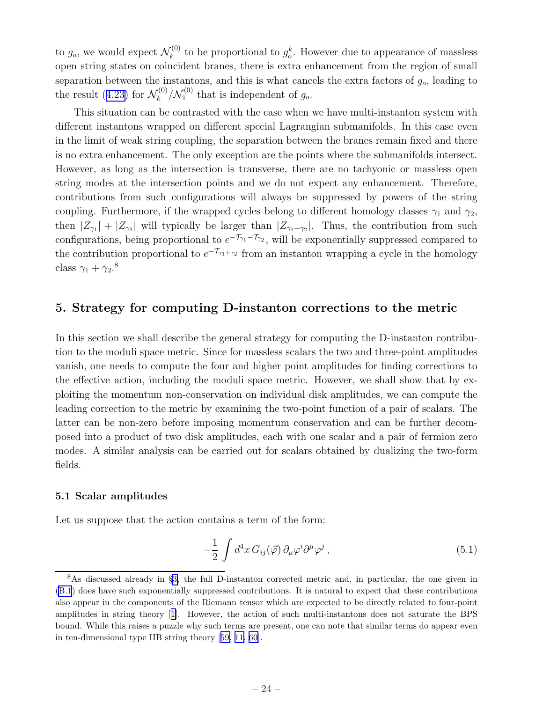<span id="page-25-0"></span>to  $g_o$ , we would expect  $\mathcal{N}_k^{(0)}$ <sup> $\zeta_{k}^{(0)}$ </sup> to be proportional to  $g_o^k$ . However due to appearance of massless open string states on coincident branes, there is extra enhancement from the region of small separation between the instantons, and this is what cancels the extra factors of  $g<sub>o</sub>$ , leading to theresult ([4.23\)](#page-24-0) for  $\mathcal{N}_k^{(0)}$  $\int_k^{(0)}/\mathcal{N}_1^{(0)}$  $I_1^{(0)}$  that is independent of  $g_o$ .

This situation can be contrasted with the case when we have multi-instanton system with different instantons wrapped on different special Lagrangian submanifolds. In this case even in the limit of weak string coupling, the separation between the branes remain fixed and there is no extra enhancement. The only exception are the points where the submanifolds intersect. However, as long as the intersection is transverse, there are no tachyonic or massless open string modes at the intersection points and we do not expect any enhancement. Therefore, contributions from such configurations will always be suppressed by powers of the string coupling. Furthermore, if the wrapped cycles belong to different homology classes  $\gamma_1$  and  $\gamma_2$ , then  $|Z_{\gamma_1}| + |Z_{\gamma_2}|$  will typically be larger than  $|Z_{\gamma_1+\gamma_2}|$ . Thus, the contribution from such configurations, being proportional to  $e^{-\mathcal{T}_{\gamma_1}-\mathcal{T}_{\gamma_2}}$ , will be exponentially suppressed compared to the contribution proportional to  $e^{-\mathcal{T}_{\gamma_1+\gamma_2}}$  from an instanton wrapping a cycle in the homology class  $\gamma_1 + \gamma_2$ .<sup>8</sup>

## 5. Strategy for computing D-instanton corrections to the metric

In this section we shall describe the general strategy for computing the D-instanton contribution to the moduli space metric. Since for massless scalars the two and three-point amplitudes vanish, one needs to compute the four and higher point amplitudes for finding corrections to the effective action, including the moduli space metric. However, we shall show that by exploiting the momentum non-conservation on individual disk amplitudes, we can compute the leading correction to the metric by examining the two-point function of a pair of scalars. The latter can be non-zero before imposing momentum conservation and can be further decomposed into a product of two disk amplitudes, each with one scalar and a pair of fermion zero modes. A similar analysis can be carried out for scalars obtained by dualizing the two-form fields.

#### 5.1 Scalar amplitudes

Let us suppose that the action contains a term of the form:

$$
-\frac{1}{2} \int d^4x \, G_{ij}(\vec{\varphi}) \, \partial_\mu \varphi^i \partial^\mu \varphi^j , \qquad (5.1)
$$

<sup>8</sup>As discussed already in §[3,](#page-14-0) the full D-instanton corrected metric and, in particular, the one given in [\(B.1](#page-45-0)) does have such exponentially suppressed contributions. It is natural to expect that these contributions also appear in the components of the Riemann tensor which are expected to be directly related to four-point amplitudes in string theory[[1\]](#page-56-0). However, the action of such multi-instantons does not saturate the BPS bound. While this raises a puzzle why such terms are present, one can note that similar terms do appear even in ten-dimensional type IIB string theory[[59,](#page-59-0) [11,](#page-57-0) [60\]](#page-59-0).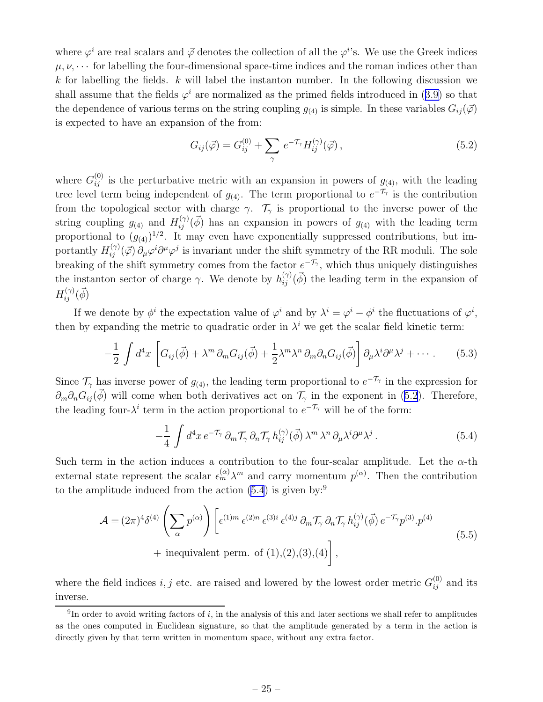<span id="page-26-0"></span>where  $\varphi^i$  are real scalars and  $\vec{\varphi}$  denotes the collection of all the  $\varphi^{i}$ 's. We use the Greek indices  $\mu, \nu, \cdots$  for labelling the four-dimensional space-time indices and the roman indices other than k for labelling the fields.  $k$  will label the instanton number. In the following discussion we shallassume that the fields  $\varphi^i$  are normalized as the primed fields introduced in ([3.9\)](#page-17-0) so that the dependence of various terms on the string coupling  $g_{(4)}$  is simple. In these variables  $G_{ij}(\vec{\varphi})$ is expected to have an expansion of the from:

$$
G_{ij}(\vec{\varphi}) = G_{ij}^{(0)} + \sum_{\gamma} e^{-\mathcal{T}_{\gamma}} H_{ij}^{(\gamma)}(\vec{\varphi}) , \qquad (5.2)
$$

where  $G_{ij}^{(0)}$  is the perturbative metric with an expansion in powers of  $g_{(4)}$ , with the leading tree level term being independent of  $g_{(4)}$ . The term proportional to  $e^{-\mathcal{T}_{\gamma}}$  is the contribution from the topological sector with charge  $\gamma$ .  $\mathcal{T}_{\gamma}$  is proportional to the inverse power of the string coupling  $g_{(4)}$  and  $H_{ij}^{(\gamma)}(\vec{\phi})$  has an expansion in powers of  $g_{(4)}$  with the leading term proportional to  $(g_{(4)})^{1/2}$ . It may even have exponentially suppressed contributions, but importantly  $H_{ij}^{(\gamma)}(\vec{\varphi}) \partial_\mu \varphi^i \partial^\mu \varphi^j$  is invariant under the shift symmetry of the RR moduli. The sole breaking of the shift symmetry comes from the factor  $e^{-\mathcal{T}_{\gamma}}$ , which thus uniquely distinguishes the instanton sector of charge  $\gamma$ . We denote by  $h_{ij}^{(\gamma)}(\vec{\phi})$  the leading term in the expansion of  $H_{ij}^{(\gamma)}(\vec{\phi})$ 

If we denote by  $\phi^i$  the expectation value of  $\varphi^i$  and by  $\lambda^i = \varphi^i - \phi^i$  the fluctuations of  $\varphi^i$ , then by expanding the metric to quadratic order in  $\lambda^i$  we get the scalar field kinetic term:

$$
-\frac{1}{2}\int d^4x \left[ G_{ij}(\vec{\phi}) + \lambda^m \partial_m G_{ij}(\vec{\phi}) + \frac{1}{2}\lambda^m \lambda^n \partial_m \partial_n G_{ij}(\vec{\phi}) \right] \partial_\mu \lambda^i \partial^\mu \lambda^j + \cdots. \tag{5.3}
$$

Since  $\mathcal{T}_{\gamma}$  has inverse power of  $g_{(4)}$ , the leading term proportional to  $e^{-\mathcal{T}_{\gamma}}$  in the expression for  $\partial_m \partial_n G_{ij}(\vec{\phi})$  will come when both derivatives act on  $\mathcal{T}_{\gamma}$  in the exponent in (5.2). Therefore, the leading four- $\lambda^{i}$  term in the action proportional to  $e^{-\mathcal{T}_{\gamma}}$  will be of the form:

$$
-\frac{1}{4} \int d^4x \, e^{-\mathcal{T}_\gamma} \, \partial_m \mathcal{T}_\gamma \, \partial_n \mathcal{T}_\gamma \, h_{ij}^{(\gamma)}(\vec{\phi}) \, \lambda^m \, \lambda^n \, \partial_\mu \lambda^i \partial^\mu \lambda^j \,. \tag{5.4}
$$

Such term in the action induces a contribution to the four-scalar amplitude. Let the  $\alpha$ -th external state represent the scalar  $\epsilon_m^{(\alpha)}\lambda^m$  and carry momentum  $p^{(\alpha)}$ . Then the contribution to the amplitude induced from the action  $(5.4)$  is given by:<sup>9</sup>

$$
\mathcal{A} = (2\pi)^4 \delta^{(4)} \left( \sum_{\alpha} p^{(\alpha)} \right) \left[ \epsilon^{(1)m} \epsilon^{(2)n} \epsilon^{(3)i} \epsilon^{(4)j} \partial_m \mathcal{T}_\gamma \partial_n \mathcal{T}_\gamma h_{ij}^{(\gamma)}(\vec{\phi}) e^{-\mathcal{T}_\gamma} p^{(3)} \cdot p^{(4)} \right. \\
\left. + \text{inequivalent perm. of } (1), (2), (3), (4) \right],
$$
\n
$$
(5.5)
$$

where the field indices  $i, j$  etc. are raised and lowered by the lowest order metric  $G_{ij}^{(0)}$  and its inverse.

<sup>&</sup>lt;sup>9</sup>In order to avoid writing factors of i, in the analysis of this and later sections we shall refer to amplitudes as the ones computed in Euclidean signature, so that the amplitude generated by a term in the action is directly given by that term written in momentum space, without any extra factor.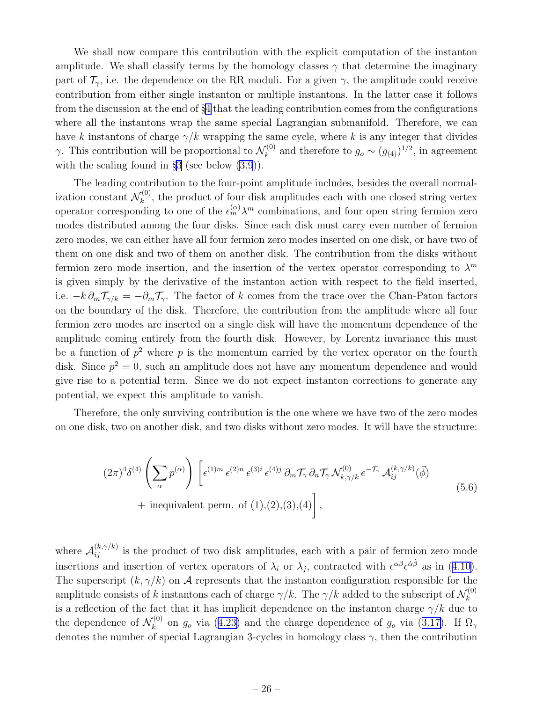<span id="page-27-0"></span>We shall now compare this contribution with the explicit computation of the instanton amplitude. We shall classify terms by the homology classes  $\gamma$  that determine the imaginary part of  $\mathcal{T}_{\gamma}$ , i.e. the dependence on the RR moduli. For a given  $\gamma$ , the amplitude could receive contribution from either single instanton or multiple instantons. In the latter case it follows from the discussion at the end of §[4](#page-19-0) that the leading contribution comes from the configurations where all the instantons wrap the same special Lagrangian submanifold. Therefore, we can have k instantons of charge  $\gamma/k$  wrapping the same cycle, where k is any integer that divides  $\gamma$ . This contribution will be proportional to  $\mathcal{N}_k^{(0)}$  $g_k^{(0)}$  and therefore to  $g_o \sim (g_{(4)})^{1/2}$ , in agreement with the scaling found in  $\S3$  $\S3$  (see below  $(3.9)$ ).

The leading contribution to the four-point amplitude includes, besides the overall normalization constant  $\mathcal{N}_k^{(0)}$  $\mathbf{k}^{(0)}$ , the product of four disk amplitudes each with one closed string vertex operator corresponding to one of the  $\epsilon_m^{(\alpha)} \lambda^m$  combinations, and four open string fermion zero modes distributed among the four disks. Since each disk must carry even number of fermion zero modes, we can either have all four fermion zero modes inserted on one disk, or have two of them on one disk and two of them on another disk. The contribution from the disks without fermion zero mode insertion, and the insertion of the vertex operator corresponding to  $\lambda^m$ is given simply by the derivative of the instanton action with respect to the field inserted, i.e.  $-k \partial_m \mathcal{T}_{\gamma/k} = -\partial_m \mathcal{T}_{\gamma}$ . The factor of k comes from the trace over the Chan-Paton factors on the boundary of the disk. Therefore, the contribution from the amplitude where all four fermion zero modes are inserted on a single disk will have the momentum dependence of the amplitude coming entirely from the fourth disk. However, by Lorentz invariance this must be a function of  $p^2$  where p is the momentum carried by the vertex operator on the fourth disk. Since  $p^2 = 0$ , such an amplitude does not have any momentum dependence and would give rise to a potential term. Since we do not expect instanton corrections to generate any potential, we expect this amplitude to vanish.

Therefore, the only surviving contribution is the one where we have two of the zero modes on one disk, two on another disk, and two disks without zero modes. It will have the structure:

$$
(2\pi)^4 \delta^{(4)} \left( \sum_{\alpha} p^{(\alpha)} \right) \left[ \epsilon^{(1)m} \epsilon^{(2)n} \epsilon^{(3)i} \epsilon^{(4)j} \partial_m \mathcal{T}_\gamma \partial_n \mathcal{T}_\gamma \mathcal{N}_{k,\gamma/k}^{(0)} e^{-\mathcal{T}_\gamma} \mathcal{A}_{ij}^{(k,\gamma/k)} (\vec{\phi}) + \text{inequivalent perm. of } (1), (2), (3), (4) \right],
$$
\n
$$
(5.6)
$$

where  $\mathcal{A}_{ij}^{(k,\gamma/k)}$  is the product of two disk amplitudes, each with a pair of fermion zero mode insertionsand insertion of vertex operators of  $\lambda_i$  or  $\lambda_j$ , contracted with  $\epsilon^{\alpha\beta}\epsilon^{\dot{\alpha}\dot{\beta}}$  as in ([4.10\)](#page-21-0). The superscript  $(k, \gamma/k)$  on A represents that the instanton configuration responsible for the amplitude consists of k instantons each of charge  $\gamma/k$ . The  $\gamma/k$  added to the subscript of  $\mathcal{N}_k^{(0)}$ k is a reflection of the fact that it has implicit dependence on the instanton charge  $\gamma/k$  due to the dependence of  $\mathcal{N}_k^{(0)}$ <sup>(0)</sup>on  $g_o$  via ([4.23\)](#page-24-0) and the charge dependence of  $g_o$  via ([3.17\)](#page-18-0). If  $\Omega_\gamma$ denotes the number of special Lagrangian 3-cycles in homology class  $\gamma$ , then the contribution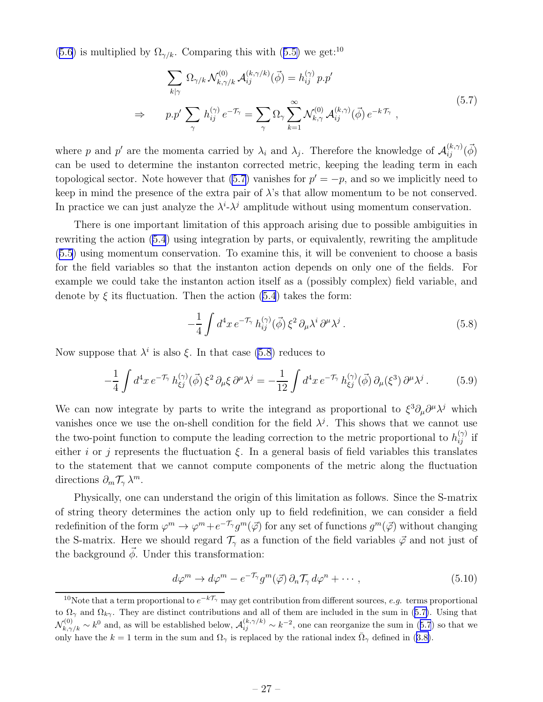<span id="page-28-0"></span>([5.6\)](#page-27-0)is multiplied by  $\Omega_{\gamma/k}$ . Comparing this with ([5.5\)](#page-26-0) we get:<sup>10</sup>

$$
\sum_{k|\gamma} \Omega_{\gamma/k} \mathcal{N}_{k,\gamma/k}^{(0)} \mathcal{A}_{ij}^{(k,\gamma/k)}(\vec{\phi}) = h_{ij}^{(\gamma)} p.p'
$$
\n
$$
\Rightarrow \qquad p.p' \sum_{\gamma} h_{ij}^{(\gamma)} e^{-\mathcal{T}_{\gamma}} = \sum_{\gamma} \Omega_{\gamma} \sum_{k=1}^{\infty} \mathcal{N}_{k,\gamma}^{(0)} \mathcal{A}_{ij}^{(k,\gamma)}(\vec{\phi}) e^{-k\mathcal{T}_{\gamma}} ,
$$
\n(5.7)

where p and p' are the momenta carried by  $\lambda_i$  and  $\lambda_j$ . Therefore the knowledge of  $\mathcal{A}_{ij}^{(k,\gamma)}(\vec{\phi})$ can be used to determine the instanton corrected metric, keeping the leading term in each topological sector. Note however that  $(5.7)$  vanishes for  $p' = -p$ , and so we implicitly need to keep in mind the presence of the extra pair of  $\lambda$ 's that allow momentum to be not conserved. In practice we can just analyze the  $\lambda^i \cdot \lambda^j$  amplitude without using momentum conservation.

There is one important limitation of this approach arising due to possible ambiguities in rewriting the action [\(5.4](#page-26-0)) using integration by parts, or equivalently, rewriting the amplitude ([5.5\)](#page-26-0) using momentum conservation. To examine this, it will be convenient to choose a basis for the field variables so that the instanton action depends on only one of the fields. For example we could take the instanton action itself as a (possibly complex) field variable, and denote by  $\xi$  its fluctuation. Then the action [\(5.4](#page-26-0)) takes the form:

$$
-\frac{1}{4} \int d^4x \, e^{-\mathcal{T}_\gamma} \, h_{ij}^{(\gamma)}(\vec{\phi}) \, \xi^2 \, \partial_\mu \lambda^i \, \partial^\mu \lambda^j \,. \tag{5.8}
$$

Now suppose that  $\lambda^i$  is also  $\xi$ . In that case (5.8) reduces to

$$
-\frac{1}{4}\int d^4x \, e^{-\mathcal{T}_\gamma} \, h_{\xi j}^{(\gamma)}(\vec{\phi}) \, \xi^2 \, \partial_\mu \xi \, \partial^\mu \lambda^j = -\frac{1}{12} \int d^4x \, e^{-\mathcal{T}_\gamma} \, h_{\xi j}^{(\gamma)}(\vec{\phi}) \, \partial_\mu (\xi^3) \, \partial^\mu \lambda^j \,. \tag{5.9}
$$

We can now integrate by parts to write the integrand as proportional to  $\xi^3 \partial_\mu \partial^\mu \lambda^j$  which vanishes once we use the on-shell condition for the field  $\lambda^j$ . This shows that we cannot use the two-point function to compute the leading correction to the metric proportional to  $h_{ij}^{(\gamma)}$  if either i or j represents the fluctuation  $\xi$ . In a general basis of field variables this translates to the statement that we cannot compute components of the metric along the fluctuation directions  $\partial_m \mathcal{T}_{\gamma} \lambda^m$ .

Physically, one can understand the origin of this limitation as follows. Since the S-matrix of string theory determines the action only up to field redefinition, we can consider a field redefinition of the form  $\varphi^m \to \varphi^m + e^{-\mathcal{T}_\gamma} g^m(\vec{\varphi})$  for any set of functions  $g^m(\vec{\varphi})$  without changing the S-matrix. Here we should regard  $\mathcal{T}_{\gamma}$  as a function of the field variables  $\vec{\varphi}$  and not just of the background  $\phi$ . Under this transformation:

$$
d\varphi^m \to d\varphi^m - e^{-\mathcal{T}_\gamma} g^m(\vec{\varphi}) \, \partial_n \mathcal{T}_\gamma \, d\varphi^n + \cdots, \qquad (5.10)
$$

<sup>&</sup>lt;sup>10</sup>Note that a term proportional to  $e^{-k\mathcal{T}_{\gamma}}$  may get contribution from different sources, *e.g.* terms proportional to  $\Omega_{\gamma}$  and  $\Omega_{k\gamma}$ . They are distinct contributions and all of them are included in the sum in (5.7). Using that  $\mathcal{N}_{k,\gamma/k}^{(0)} \sim k^0$  and, as will be established below,  $\mathcal{A}_{ij}^{(k,\gamma/k)} \sim k^{-2}$ , one can reorganize the sum in (5.7) so that we onlyhave the  $k = 1$  term in the sum and  $\Omega_{\gamma}$  is replaced by the rational index  $\overline{\Omega}_{\gamma}$  defined in ([3.8\)](#page-17-0).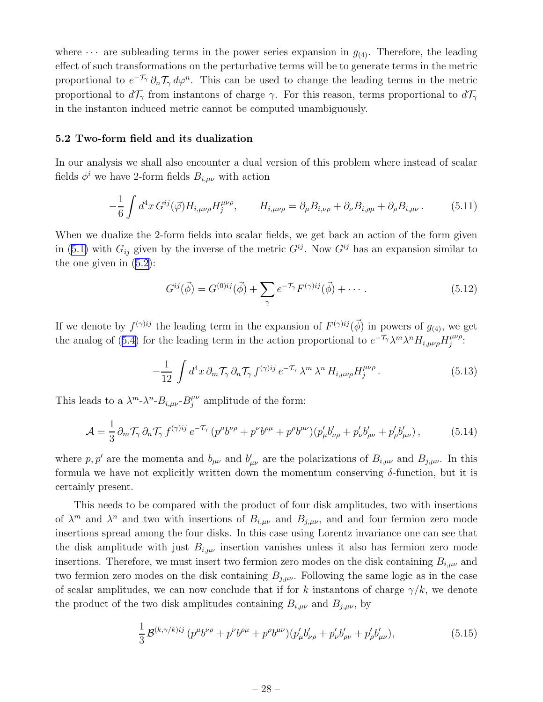<span id="page-29-0"></span>where  $\cdots$  are subleading terms in the power series expansion in  $g_{(4)}$ . Therefore, the leading effect of such transformations on the perturbative terms will be to generate terms in the metric proportional to  $e^{-\mathcal{T}_{\gamma}} \partial_n \mathcal{T}_{\gamma} d\varphi^n$ . This can be used to change the leading terms in the metric proportional to  $d\mathcal{T}_{\gamma}$  from instantons of charge  $\gamma$ . For this reason, terms proportional to  $d\mathcal{T}_{\gamma}$ in the instanton induced metric cannot be computed unambiguously.

#### 5.2 Two-form field and its dualization

In our analysis we shall also encounter a dual version of this problem where instead of scalar fields  $\phi^i$  we have 2-form fields  $B_{i,\mu\nu}$  with action

$$
-\frac{1}{6}\int d^4x G^{ij}(\vec{\varphi})H_{i,\mu\nu\rho}H_j^{\mu\nu\rho}, \qquad H_{i,\mu\nu\rho} = \partial_\mu B_{i,\nu\rho} + \partial_\nu B_{i,\rho\mu} + \partial_\rho B_{i,\mu\nu}.
$$
 (5.11)

When we dualize the 2-form fields into scalar fields, we get back an action of the form given in([5.1\)](#page-25-0) with  $G_{ij}$  given by the inverse of the metric  $G^{ij}$ . Now  $G^{ij}$  has an expansion similar to the one given in([5.2\)](#page-26-0):

$$
G^{ij}(\vec{\phi}) = G^{(0)ij}(\vec{\phi}) + \sum_{\gamma} e^{-\mathcal{T}_{\gamma}} F^{(\gamma)ij}(\vec{\phi}) + \cdots
$$
 (5.12)

If we denote by  $f^{(\gamma)ij}$  the leading term in the expansion of  $F^{(\gamma)ij}(\vec{\phi})$  in powers of  $g_{(4)}$ , we get theanalog of ([5.4\)](#page-26-0) for the leading term in the action proportional to  $e^{-\mathcal{T}_{\gamma}}\lambda^{m}\lambda^{n}H_{i,\mu\nu\rho}H_{i}^{\mu\nu\rho}$  $_{j}^{\mu \nu \rho}.$ 

$$
-\frac{1}{12}\int d^4x\,\partial_m\mathcal{T}_\gamma\,\partial_n\mathcal{T}_\gamma\,f^{(\gamma)ij}\,e^{-\mathcal{T}_\gamma}\,\lambda^m\,\lambda^n\,H_{i,\mu\nu\rho}H_j^{\mu\nu\rho}.
$$
 (5.13)

This leads to a  $\lambda^{m} \lambda^{n} B_{i,\mu\nu} B_{i}^{\mu\nu}$  $j^{\mu\nu}_{j}$  amplitude of the form:

$$
\mathcal{A} = \frac{1}{3} \partial_m \mathcal{T}_{\gamma} \partial_n \mathcal{T}_{\gamma} f^{(\gamma)ij} e^{-\mathcal{T}_{\gamma}} (p^{\mu} b^{\nu \rho} + p^{\nu} b^{\rho \mu} + p^{\rho} b^{\mu \nu}) (p'_{\mu} b'_{\nu \rho} + p'_{\nu} b'_{\rho \nu} + p'_{\rho} b'_{\mu \nu}), \qquad (5.14)
$$

where p, p' are the momenta and  $b_{\mu\nu}$  and  $b'_{\mu\nu}$  are the polarizations of  $B_{i,\mu\nu}$  and  $B_{j,\mu\nu}$ . In this formula we have not explicitly written down the momentum conserving  $\delta$ -function, but it is certainly present.

This needs to be compared with the product of four disk amplitudes, two with insertions of  $\lambda^m$  and  $\lambda^n$  and two with insertions of  $B_{i,\mu\nu}$  and  $B_{j,\mu\nu}$ , and and four fermion zero mode insertions spread among the four disks. In this case using Lorentz invariance one can see that the disk amplitude with just  $B_{i,\mu\nu}$  insertion vanishes unless it also has fermion zero mode insertions. Therefore, we must insert two fermion zero modes on the disk containing  $B_{i,\mu\nu}$  and two fermion zero modes on the disk containing  $B_{j,\mu\nu}$ . Following the same logic as in the case of scalar amplitudes, we can now conclude that if for k instantons of charge  $\gamma/k$ , we denote the product of the two disk amplitudes containing  $B_{i,\mu\nu}$  and  $B_{j,\mu\nu}$ , by

$$
\frac{1}{3}\mathcal{B}^{(k,\gamma/k)ij} (p^{\mu}b^{\nu\rho} + p^{\nu}b^{\rho\mu} + p^{\rho}b^{\mu\nu})(p'_{\mu}b'_{\nu\rho} + p'_{\nu}b'_{\rho\nu} + p'_{\rho}b'_{\mu\nu}), \qquad (5.15)
$$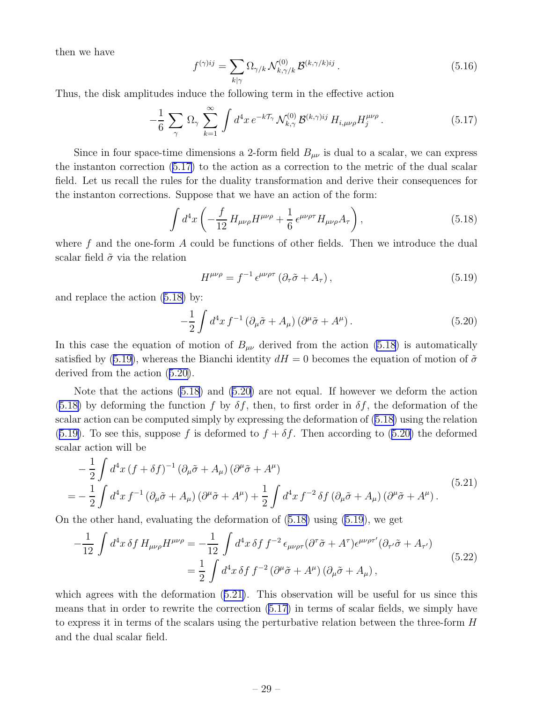<span id="page-30-0"></span>then we have

$$
f^{(\gamma)ij} = \sum_{k|\gamma} \Omega_{\gamma/k} \mathcal{N}_{k,\gamma/k}^{(0)} \mathcal{B}^{(k,\gamma/k)ij} . \qquad (5.16)
$$

Thus, the disk amplitudes induce the following term in the effective action

$$
-\frac{1}{6}\sum_{\gamma}\Omega_{\gamma}\sum_{k=1}^{\infty}\int d^4x\,e^{-k\mathcal{T}_{\gamma}}\mathcal{N}_{k,\gamma}^{(0)}\mathcal{B}^{(k,\gamma)ij}\,H_{i,\mu\nu\rho}H_j^{\mu\nu\rho}.
$$
 (5.17)

Since in four space-time dimensions a 2-form field  $B_{\mu\nu}$  is dual to a scalar, we can express the instanton correction (5.17) to the action as a correction to the metric of the dual scalar field. Let us recall the rules for the duality transformation and derive their consequences for the instanton corrections. Suppose that we have an action of the form:

$$
\int d^4x \left( -\frac{f}{12} H_{\mu\nu\rho} H^{\mu\nu\rho} + \frac{1}{6} \epsilon^{\mu\nu\rho\tau} H_{\mu\nu\rho} A_{\tau} \right), \tag{5.18}
$$

where  $f$  and the one-form  $A$  could be functions of other fields. Then we introduce the dual scalar field  $\tilde{\sigma}$  via the relation

$$
H^{\mu\nu\rho} = f^{-1} \epsilon^{\mu\nu\rho\tau} \left( \partial_{\tau} \tilde{\sigma} + A_{\tau} \right), \tag{5.19}
$$

and replace the action (5.18) by:

$$
-\frac{1}{2} \int d^4x f^{-1} \left(\partial_\mu \tilde{\sigma} + A_\mu\right) \left(\partial^\mu \tilde{\sigma} + A^\mu\right). \tag{5.20}
$$

In this case the equation of motion of  $B_{\mu\nu}$  derived from the action (5.18) is automatically satisfied by (5.19), whereas the Bianchi identity  $dH = 0$  becomes the equation of motion of  $\tilde{\sigma}$ derived from the action (5.20).

Note that the actions  $(5.18)$  and  $(5.20)$  are not equal. If however we deform the action (5.18) by deforming the function f by  $\delta f$ , then, to first order in  $\delta f$ , the deformation of the scalar action can be computed simply by expressing the deformation of (5.18) using the relation (5.19). To see this, suppose f is deformed to  $f + \delta f$ . Then according to (5.20) the deformed scalar action will be

$$
-\frac{1}{2}\int d^4x \left(f+\delta f\right)^{-1} \left(\partial_\mu\tilde{\sigma} + A_\mu\right) \left(\partial^\mu\tilde{\sigma} + A^\mu\right)
$$
  
=\left.-\frac{1}{2}\int d^4x f^{-1} \left(\partial\_\mu\tilde{\sigma} + A\_\mu\right) \left(\partial^\mu\tilde{\sigma} + A^\mu\right) + \frac{1}{2}\int d^4x f^{-2} \delta f \left(\partial\_\mu\tilde{\sigma} + A\_\mu\right) \left(\partial^\mu\tilde{\sigma} + A^\mu\right). (5.21)

On the other hand, evaluating the deformation of (5.18) using (5.19), we get

$$
-\frac{1}{12} \int d^4x \,\delta f \, H_{\mu\nu\rho} H^{\mu\nu\rho} = -\frac{1}{12} \int d^4x \,\delta f \, f^{-2} \, \epsilon_{\mu\nu\rho\tau} (\partial^\tau \tilde{\sigma} + A^\tau) \epsilon^{\mu\nu\rho\tau'} (\partial_{\tau'} \tilde{\sigma} + A_{\tau'})
$$
\n
$$
= \frac{1}{2} \int d^4x \,\delta f \, f^{-2} \, (\partial^\mu \tilde{\sigma} + A^\mu) \, (\partial_\mu \tilde{\sigma} + A_\mu) \,, \tag{5.22}
$$

which agrees with the deformation  $(5.21)$ . This observation will be useful for us since this means that in order to rewrite the correction (5.17) in terms of scalar fields, we simply have to express it in terms of the scalars using the perturbative relation between the three-form H and the dual scalar field.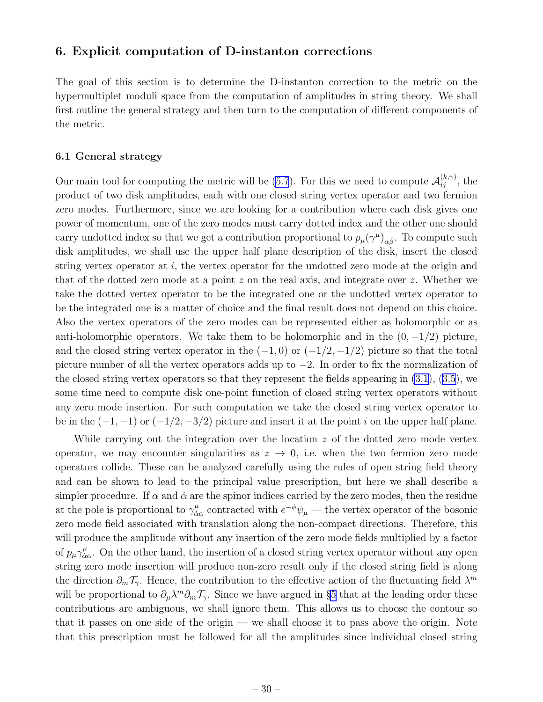#### <span id="page-31-0"></span>6. Explicit computation of D-instanton corrections

The goal of this section is to determine the D-instanton correction to the metric on the hypermultiplet moduli space from the computation of amplitudes in string theory. We shall first outline the general strategy and then turn to the computation of different components of the metric.

#### 6.1 General strategy

Our main tool for computing the metric will be [\(5.7](#page-28-0)). For this we need to compute  $\mathcal{A}_{ij}^{(k,\gamma)}$ , the product of two disk amplitudes, each with one closed string vertex operator and two fermion zero modes. Furthermore, since we are looking for a contribution where each disk gives one power of momentum, one of the zero modes must carry dotted index and the other one should carry undotted index so that we get a contribution proportional to  $p_{\mu}(\gamma^{\mu})_{\alpha\dot{\beta}}$ . To compute such disk amplitudes, we shall use the upper half plane description of the disk, insert the closed string vertex operator at i, the vertex operator for the undotted zero mode at the origin and that of the dotted zero mode at a point z on the real axis, and integrate over z. Whether we take the dotted vertex operator to be the integrated one or the undotted vertex operator to be the integrated one is a matter of choice and the final result does not depend on this choice. Also the vertex operators of the zero modes can be represented either as holomorphic or as anti-holomorphic operators. We take them to be holomorphic and in the  $(0, -1/2)$  picture, and the closed string vertex operator in the  $(-1,0)$  or  $(-1/2,-1/2)$  picture so that the total picture number of all the vertex operators adds up to −2. In order to fix the normalization of the closed string vertex operators so that they represent the fields appearing in [\(3.1](#page-15-0)), [\(3.5](#page-16-0)), we some time need to compute disk one-point function of closed string vertex operators without any zero mode insertion. For such computation we take the closed string vertex operator to be in the  $(-1, -1)$  or  $(-1/2, -3/2)$  picture and insert it at the point i on the upper half plane.

While carrying out the integration over the location  $z$  of the dotted zero mode vertex operator, we may encounter singularities as  $z \rightarrow 0$ , i.e. when the two fermion zero mode operators collide. These can be analyzed carefully using the rules of open string field theory and can be shown to lead to the principal value prescription, but here we shall describe a simpler procedure. If  $\alpha$  and  $\dot{\alpha}$  are the spinor indices carried by the zero modes, then the residue at the pole is proportional to  $\gamma^{\mu}_{\dot{\alpha}}$  $\frac{\mu}{\dot{\alpha}\alpha}$  contracted with  $e^{-\phi}\psi_{\mu}$  — the vertex operator of the bosonic zero mode field associated with translation along the non-compact directions. Therefore, this will produce the amplitude without any insertion of the zero mode fields multiplied by a factor of  $p_\mu \gamma^\mu_{\dot{\alpha}}$  $\frac{\mu}{\dot{\alpha}\alpha}$ . On the other hand, the insertion of a closed string vertex operator without any open string zero mode insertion will produce non-zero result only if the closed string field is along the direction  $\partial_m \mathcal{T}_{\gamma}$ . Hence, the contribution to the effective action of the fluctuating field  $\lambda^m$ will be proportional to  $\partial_\mu \lambda^m \partial_m \mathcal{T}_{\gamma}$ . Since we have argued in §[5](#page-25-0) that at the leading order these contributions are ambiguous, we shall ignore them. This allows us to choose the contour so that it passes on one side of the origin — we shall choose it to pass above the origin. Note that this prescription must be followed for all the amplitudes since individual closed string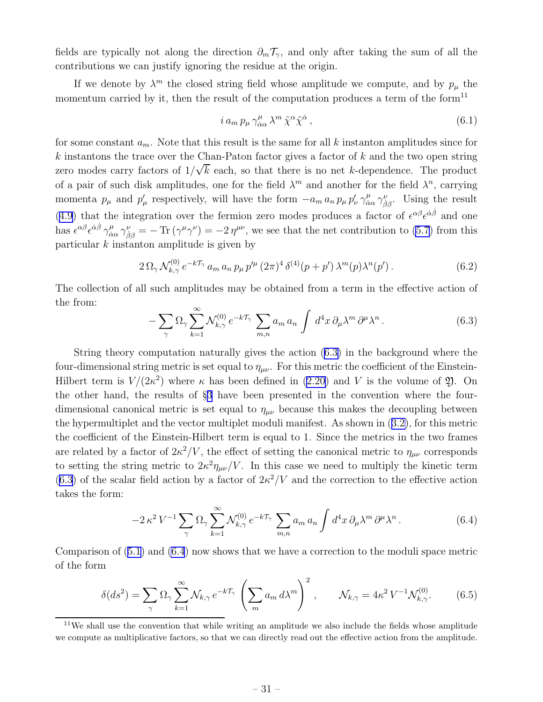<span id="page-32-0"></span>fields are typically not along the direction  $\partial_m \mathcal{T}_{\gamma}$ , and only after taking the sum of all the contributions we can justify ignoring the residue at the origin.

If we denote by  $\lambda^m$  the closed string field whose amplitude we compute, and by  $p_\mu$  the momentum carried by it, then the result of the computation produces a term of the form<sup>11</sup>

$$
i a_m p_\mu \gamma^\mu_{\dot{\alpha}\alpha} \lambda^m \tilde{\chi}^\alpha \tilde{\chi}^{\dot{\alpha}} \,, \tag{6.1}
$$

for some constant  $a_m$ . Note that this result is the same for all k instanton amplitudes since for  $k$  instantons the trace over the Chan-Paton factor gives a factor of  $k$  and the two open string zero modes carry factors of  $1/\sqrt{k}$  each, so that there is no net k-dependence. The product of a pair of such disk amplitudes, one for the field  $\lambda^m$  and another for the field  $\lambda^n$ , carrying momenta  $p_{\mu}$  and  $p'_{\mu}$  respectively, will have the form  $-a_m a_n p_{\mu} p'_{\nu} \gamma^{\mu}_{\dot{\alpha}}$  $\frac{\mu}{\dot{\alpha}\alpha}\gamma^{\nu}_{\dot{\beta}\beta}$ . Using the result ([4.9\)](#page-21-0) that the integration over the fermion zero modes produces a factor of  $\epsilon^{\alpha\beta}\epsilon^{\dot{\alpha}\dot{\beta}}$  and one has  $\epsilon^{\alpha\beta}\epsilon^{\dot{\alpha}\dot{\beta}}\gamma^{\mu}_{\dot{\alpha}}$  $\frac{\mu}{\dot{\alpha}\alpha}\gamma_{\dot{\beta}\beta}^{\nu} = -\text{Tr}(\gamma^{\mu}\gamma^{\nu}) = -2\eta^{\mu\nu}$ , we see that the net contribution to [\(5.7](#page-28-0)) from this particular  $k$  instanton amplitude is given by

$$
2\,\Omega_{\gamma}\,\mathcal{N}_{k,\gamma}^{(0)}\,e^{-k\mathcal{T}_{\gamma}}\,a_{m}\,a_{n}\,p_{\mu}\,p'^{\mu}\,(2\pi)^{4}\,\delta^{(4)}(p+p')\,\lambda^{m}(p)\lambda^{n}(p').\tag{6.2}
$$

The collection of all such amplitudes may be obtained from a term in the effective action of the from:

$$
- \sum_{\gamma} \Omega_{\gamma} \sum_{k=1}^{\infty} \mathcal{N}_{k,\gamma}^{(0)} e^{-k\mathcal{T}_{\gamma}} \sum_{m,n} a_m a_n \int d^4x \, \partial_{\mu} \lambda^m \partial^{\mu} \lambda^n. \tag{6.3}
$$

String theory computation naturally gives the action (6.3) in the background where the four-dimensional string metric is set equal to  $\eta_{\mu\nu}$ . For this metric the coefficient of the EinsteinHilbertterm is  $V/(2\kappa^2)$  where  $\kappa$  has been defined in ([2.20\)](#page-9-0) and V is the volume of  $\mathfrak{Y}$ . On the other hand, the results of §[3](#page-14-0) have been presented in the convention where the fourdimensional canonical metric is set equal to  $\eta_{\mu\nu}$  because this makes the decoupling between the hypermultiplet and the vector multiplet moduli manifest. As shown in([3.2\)](#page-15-0), for this metric the coefficient of the Einstein-Hilbert term is equal to 1. Since the metrics in the two frames are related by a factor of  $2\kappa^2/V$ , the effect of setting the canonical metric to  $\eta_{\mu\nu}$  corresponds to setting the string metric to  $2\kappa^2 \eta_{\mu\nu}/V$ . In this case we need to multiply the kinetic term  $(6.3)$  of the scalar field action by a factor of  $2\kappa^2/V$  and the correction to the effective action takes the form:

$$
-2\kappa^2 V^{-1} \sum_{\gamma} \Omega_{\gamma} \sum_{k=1}^{\infty} \mathcal{N}_{k,\gamma}^{(0)} e^{-k\mathcal{T}_{\gamma}} \sum_{m,n} a_m a_n \int d^4x \, \partial_{\mu} \lambda^m \partial^{\mu} \lambda^n. \tag{6.4}
$$

Comparison of([5.1\)](#page-25-0) and (6.4) now shows that we have a correction to the moduli space metric of the form

$$
\delta(ds^2) = \sum_{\gamma} \Omega_{\gamma} \sum_{k=1}^{\infty} \mathcal{N}_{k,\gamma} e^{-k\mathcal{T}_{\gamma}} \left( \sum_{m} a_m d\lambda^m \right)^2, \qquad \mathcal{N}_{k,\gamma} = 4\kappa^2 V^{-1} \mathcal{N}_{k,\gamma}^{(0)}.
$$
 (6.5)

 $11$ We shall use the convention that while writing an amplitude we also include the fields whose amplitude we compute as multiplicative factors, so that we can directly read out the effective action from the amplitude.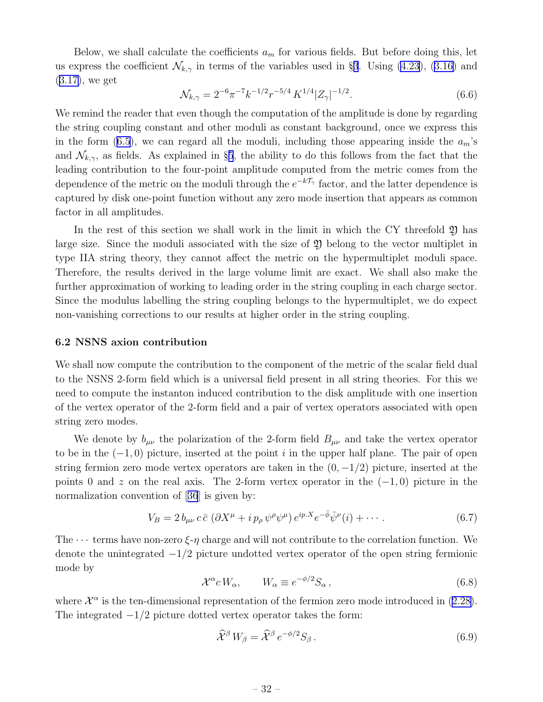<span id="page-33-0"></span>Below, we shall calculate the coefficients  $a_m$  for various fields. But before doing this, let usexpress the coefficient  $\mathcal{N}_{k,\gamma}$  in terms of the variables used in §[3](#page-14-0). Using [\(4.23](#page-24-0)), ([3.16\)](#page-18-0) and ([3.17\)](#page-18-0), we get

$$
\mathcal{N}_{k,\gamma} = 2^{-6} \pi^{-7} k^{-1/2} r^{-5/4} K^{1/4} |Z_{\gamma}|^{-1/2}.
$$
\n(6.6)

We remind the reader that even though the computation of the amplitude is done by regarding the string coupling constant and other moduli as constant background, once we express this inthe form ([6.5\)](#page-32-0), we can regard all the moduli, including those appearing inside the  $a_m$ 's and  $\mathcal{N}_{k,\gamma}$ , as fields. As explained in §[5](#page-25-0), the ability to do this follows from the fact that the leading contribution to the four-point amplitude computed from the metric comes from the dependence of the metric on the moduli through the  $e^{-k\mathcal{T}_{\gamma}}$  factor, and the latter dependence is captured by disk one-point function without any zero mode insertion that appears as common factor in all amplitudes.

In the rest of this section we shall work in the limit in which the CY threefold  $\mathfrak V$  has large size. Since the moduli associated with the size of  $\mathfrak V$  belong to the vector multiplet in type IIA string theory, they cannot affect the metric on the hypermultiplet moduli space. Therefore, the results derived in the large volume limit are exact. We shall also make the further approximation of working to leading order in the string coupling in each charge sector. Since the modulus labelling the string coupling belongs to the hypermultiplet, we do expect non-vanishing corrections to our results at higher order in the string coupling.

#### 6.2 NSNS axion contribution

We shall now compute the contribution to the component of the metric of the scalar field dual to the NSNS 2-form field which is a universal field present in all string theories. For this we need to compute the instanton induced contribution to the disk amplitude with one insertion of the vertex operator of the 2-form field and a pair of vertex operators associated with open string zero modes.

We denote by  $b_{\mu\nu}$  the polarization of the 2-form field  $B_{\mu\nu}$  and take the vertex operator to be in the  $(-1, 0)$  picture, inserted at the point i in the upper half plane. The pair of open string fermion zero mode vertex operators are taken in the  $(0, -1/2)$  picture, inserted at the points 0 and z on the real axis. The 2-form vertex operator in the  $(-1, 0)$  picture in the normalization convention of[[36](#page-58-0)] is given by:

$$
V_B = 2 b_{\mu\nu} c \bar{c} \left( \partial X^{\mu} + i p_{\rho} \psi^{\rho} \psi^{\mu} \right) e^{ip.X} e^{-\bar{\phi}} \bar{\psi}^{\nu}(i) + \cdots \tag{6.7}
$$

The  $\cdots$  terms have non-zero  $\xi$ -η charge and will not contribute to the correlation function. We denote the unintegrated  $-1/2$  picture undotted vertex operator of the open string fermionic mode by

$$
\mathcal{X}^{\alpha} c W_{\alpha}, \qquad W_{\alpha} \equiv e^{-\phi/2} S_{\alpha}, \qquad (6.8)
$$

where $\mathcal{X}^{\alpha}$  is the ten-dimensional representation of the fermion zero mode introduced in ([2.28\)](#page-11-0). The integrated  $-1/2$  picture dotted vertex operator takes the form:

$$
\hat{\mathcal{X}}^{\beta} W_{\beta} = \hat{\mathcal{X}}^{\beta} e^{-\phi/2} S_{\beta} . \tag{6.9}
$$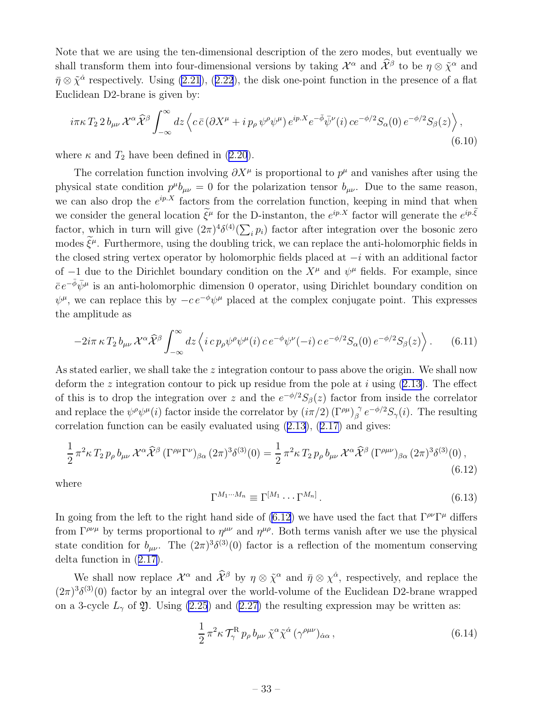<span id="page-34-0"></span>Note that we are using the ten-dimensional description of the zero modes, but eventually we shall transform them into four-dimensional versions by taking  $\mathcal{X}^{\alpha}$  and  $\hat{\mathcal{X}}^{\beta}$  to be  $\eta \otimes \tilde{\chi}^{\alpha}$  and  $\bar{\eta} \otimes \tilde{\chi}^{\dot{\alpha}}$  $\bar{\eta} \otimes \tilde{\chi}^{\dot{\alpha}}$  $\bar{\eta} \otimes \tilde{\chi}^{\dot{\alpha}}$  respectively. Using [\(2.21](#page-9-0)), ([2.22](#page-9-0)), the disk one-point function in the presence of a flat Euclidean D2-brane is given by:

$$
i\pi\kappa T_2 2 b_{\mu\nu} \mathcal{X}^\alpha \widehat{\mathcal{X}}^\beta \int_{-\infty}^{\infty} dz \left\langle c \,\bar{c} \left( \partial X^\mu + i \, p_\rho \, \psi^\rho \psi^\mu \right) e^{ip.X} e^{-\bar{\phi}} \bar{\psi}^\nu(i) \, c e^{-\phi/2} S_\alpha(0) \, e^{-\phi/2} S_\beta(z) \right\rangle, \tag{6.10}
$$

where  $\kappa$  and  $T_2$  have been defined in [\(2.20](#page-9-0)).

The correlation function involving  $\partial X^{\mu}$  is proportional to  $p^{\mu}$  and vanishes after using the physical state condition  $p^{\mu}b_{\mu\nu} = 0$  for the polarization tensor  $b_{\mu\nu}$ . Due to the same reason, we can also drop the  $e^{ip.X}$  factors from the correlation function, keeping in mind that when we consider the general location  $\tilde{\xi}^{\mu}$  for the D-instanton, the  $e^{ip.X}$  factor will generate the  $e^{ip.\tilde{\xi}}$ factor, which in turn will give  $(2\pi)^4 \delta^{(4)}(\sum_i p_i)$  factor after integration over the bosonic zero modes  $\xi^{\mu}$ . Furthermore, using the doubling trick, we can replace the anti-holomorphic fields in the closed string vertex operator by holomorphic fields placed at  $-i$  with an additional factor of  $-1$  due to the Dirichlet boundary condition on the  $X^{\mu}$  and  $\psi^{\mu}$  fields. For example, since  $\bar{c}e^{-\bar{\phi}}\bar{\psi}^{\mu}$  is an anti-holomorphic dimension 0 operator, using Dirichlet boundary condition on  $\psi^{\mu}$ , we can replace this by  $-c e^{-\phi} \psi^{\mu}$  placed at the complex conjugate point. This expresses the amplitude as

$$
-2i\pi \kappa T_2 b_{\mu\nu} \mathcal{X}^\alpha \widehat{\mathcal{X}}^\beta \int_{-\infty}^{\infty} dz \left\langle i \, c \, p_\rho \psi^\rho \psi^\mu(i) \, c \, e^{-\phi} \psi^\nu(-i) \, c \, e^{-\phi/2} S_\alpha(0) \, e^{-\phi/2} S_\beta(z) \right\rangle. \tag{6.11}
$$

As stated earlier, we shall take the  $z$  integration contour to pass above the origin. We shall now deform the z integration contour to pick up residue from the pole at i using  $(2.13)$ . The effect of this is to drop the integration over z and the  $e^{-\phi/2}S_{\beta}(z)$  factor from inside the correlator and replace the  $\psi^{\rho}\psi^{\mu}(i)$  factor inside the correlator by  $(i\pi/2)$  ( $\Gamma^{\rho\mu}$ ) $^{\gamma}_{\beta}$  $\int_{\beta}^{\gamma} e^{-\phi/2} S_{\gamma}(i)$ . The resulting correlationfunction can be easily evaluated using  $(2.13)$  $(2.13)$ ,  $(2.17)$  $(2.17)$  and gives:

$$
\frac{1}{2}\pi^2 \kappa T_2 p_\rho b_{\mu\nu} \mathcal{X}^\alpha \widehat{\mathcal{X}}^\beta (\Gamma^{\rho\mu} \Gamma^\nu)_{\beta\alpha} (2\pi)^3 \delta^{(3)}(0) = \frac{1}{2}\pi^2 \kappa T_2 p_\rho b_{\mu\nu} \mathcal{X}^\alpha \widehat{\mathcal{X}}^\beta (\Gamma^{\rho\mu\nu})_{\beta\alpha} (2\pi)^3 \delta^{(3)}(0) ,
$$
\n(6.12)

where

$$
\Gamma^{M_1 \cdots M_n} \equiv \Gamma^{[M_1} \cdots \Gamma^{M_n]} \,. \tag{6.13}
$$

In going from the left to the right hand side of (6.12) we have used the fact that  $\Gamma^{\rho\nu}\Gamma^{\mu}$  differs from  $\Gamma^{\rho\nu\mu}$  by terms proportional to  $\eta^{\mu\nu}$  and  $\eta^{\mu\rho}$ . Both terms vanish after we use the physical state condition for  $b_{\mu\nu}$ . The  $(2\pi)^3 \delta^{(3)}(0)$  factor is a reflection of the momentum conserving delta function in([2.17\)](#page-8-0).

We shall now replace  $\mathcal{X}^{\alpha}$  and  $\hat{\mathcal{X}}^{\beta}$  by  $\eta \otimes \tilde{\chi}^{\alpha}$  and  $\bar{\eta} \otimes \chi^{\dot{\alpha}}$ , respectively, and replace the  $(2\pi)^3 \delta^{(3)}(0)$  factor by an integral over the world-volume of the Euclidean D2-brane wrapped ona 3-cycle  $L_{\gamma}$  of  $\mathfrak{Y}$ . Using [\(2.25](#page-10-0)) and ([2.27\)](#page-10-0) the resulting expression may be written as:

$$
\frac{1}{2} \pi^2 \kappa \mathcal{T}_{\gamma}^{\mathcal{R}} p_{\rho} b_{\mu\nu} \tilde{\chi}^{\alpha} \tilde{\chi}^{\dot{\alpha}} (\gamma^{\rho\mu\nu})_{\dot{\alpha}\alpha} ,\qquad (6.14)
$$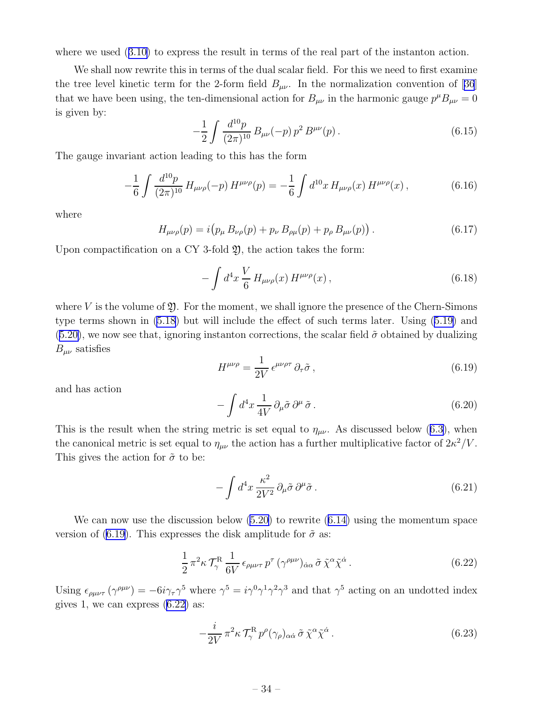<span id="page-35-0"></span>wherewe used  $(3.10)$  $(3.10)$  to express the result in terms of the real part of the instanton action.

We shall now rewrite this in terms of the dual scalar field. For this we need to first examine thetree level kinetic term for the 2-form field  $B_{\mu\nu}$ . In the normalization convention of [[36](#page-58-0)] that we have been using, the ten-dimensional action for  $B_{\mu\nu}$  in the harmonic gauge  $p^{\mu}B_{\mu\nu} = 0$ is given by:

$$
-\frac{1}{2} \int \frac{d^{10}p}{(2\pi)^{10}} B_{\mu\nu}(-p) p^2 B^{\mu\nu}(p).
$$
 (6.15)

The gauge invariant action leading to this has the form

$$
-\frac{1}{6} \int \frac{d^{10}p}{(2\pi)^{10}} H_{\mu\nu\rho}(-p) H^{\mu\nu\rho}(p) = -\frac{1}{6} \int d^{10}x H_{\mu\nu\rho}(x) H^{\mu\nu\rho}(x) , \qquad (6.16)
$$

where

$$
H_{\mu\nu\rho}(p) = i \big( p_{\mu} B_{\nu\rho}(p) + p_{\nu} B_{\rho\mu}(p) + p_{\rho} B_{\mu\nu}(p) \big) . \tag{6.17}
$$

Upon compactification on a CY 3-fold  $\mathfrak{Y}$ , the action takes the form:

$$
-\int d^4x \frac{V}{6} H_{\mu\nu\rho}(x) H^{\mu\nu\rho}(x) ,\qquad (6.18)
$$

where V is the volume of  $\mathfrak{Y}$ . For the moment, we shall ignore the presence of the Chern-Simons type terms shown in [\(5.18](#page-30-0)) but will include the effect of such terms later. Using([5.19\)](#page-30-0) and ([5.20\)](#page-30-0), we now see that, ignoring instanton corrections, the scalar field  $\tilde{\sigma}$  obtained by dualizing  $B_{\mu\nu}$  satisfies

$$
H^{\mu\nu\rho} = \frac{1}{2V} \epsilon^{\mu\nu\rho\tau} \partial_{\tau}\tilde{\sigma}, \qquad (6.19)
$$

and has action

$$
-\int d^4x \frac{1}{4V} \partial_\mu \tilde{\sigma} \, \partial^\mu \tilde{\sigma} \,. \tag{6.20}
$$

Thisis the result when the string metric is set equal to  $\eta_{\mu\nu}$ . As discussed below ([6.3\)](#page-32-0), when the canonical metric is set equal to  $\eta_{\mu\nu}$  the action has a further multiplicative factor of  $2\kappa^2/V$ . This gives the action for  $\tilde{\sigma}$  to be:

$$
-\int d^4x \frac{\kappa^2}{2V^2} \partial_\mu \tilde{\sigma} \,\partial^\mu \tilde{\sigma} \,. \tag{6.21}
$$

We can now use the discussion below [\(5.20\)](#page-30-0) to rewrite([6.14\)](#page-34-0) using the momentum space version of (6.19). This expresses the disk amplitude for  $\tilde{\sigma}$  as:

$$
\frac{1}{2} \pi^2 \kappa \mathcal{T}_{\gamma}^{\mathcal{R}} \frac{1}{6V} \epsilon_{\rho \mu \nu \tau} p^{\tau} (\gamma^{\rho \mu \nu})_{\dot{\alpha} \alpha} \tilde{\sigma} \tilde{\chi}^{\alpha} \tilde{\chi}^{\dot{\alpha}}.
$$
 (6.22)

Using  $\epsilon_{\rho\mu\nu\tau} (\gamma^{\rho\mu\nu}) = -6i\gamma_\tau \gamma^5$  where  $\gamma^5 = i\gamma^0 \gamma^1 \gamma^2 \gamma^3$  and that  $\gamma^5$  acting on an undotted index gives 1, we can express  $(6.22)$  as:

$$
-\frac{i}{2V}\pi^2\kappa\,\mathcal{T}^{\rm R}_{\gamma}\,p^{\rho}(\gamma_{\rho})_{\alpha\dot{\alpha}}\,\tilde{\sigma}\,\tilde{\chi}^{\alpha}\tilde{\chi}^{\dot{\alpha}}\,. \tag{6.23}
$$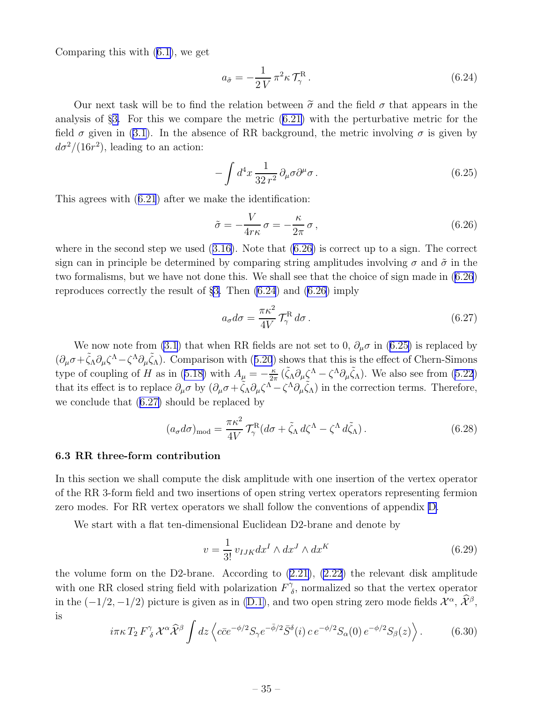<span id="page-36-0"></span>Comparing this with([6.1\)](#page-32-0), we get

$$
a_{\tilde{\sigma}} = -\frac{1}{2V} \pi^2 \kappa \mathcal{T}_{\gamma}^{\mathcal{R}}.
$$
\n(6.24)

Our next task will be to find the relation between  $\tilde{\sigma}$  and the field  $\sigma$  that appears in the analysis of §[3.](#page-14-0) For this we compare the metric([6.21\)](#page-35-0) with the perturbative metric for the field $\sigma$  given in ([3.1\)](#page-15-0). In the absence of RR background, the metric involving  $\sigma$  is given by  $d\sigma^2/(16r^2)$ , leading to an action:

$$
-\int d^4x \frac{1}{32 r^2} \partial_\mu \sigma \partial^\mu \sigma \,. \tag{6.25}
$$

This agrees with([6.21](#page-35-0)) after we make the identification:

$$
\tilde{\sigma} = -\frac{V}{4r\kappa}\,\sigma = -\frac{\kappa}{2\pi}\,\sigma\,,\tag{6.26}
$$

where in the second step we used([3.16\)](#page-18-0). Note that (6.26) is correct up to a sign. The correct sign can in principle be determined by comparing string amplitudes involving  $\sigma$  and  $\tilde{\sigma}$  in the two formalisms, but we have not done this. We shall see that the choice of sign made in (6.26) reproduces correctly the result of §[3.](#page-14-0) Then (6.24) and (6.26) imply

$$
a_{\sigma}d\sigma = \frac{\pi \kappa^2}{4V} \mathcal{T}_{\gamma}^{\rm R} d\sigma. \qquad (6.27)
$$

We now note from [\(3.1](#page-15-0)) that when RR fields are not set to 0,  $\partial_{\mu}\sigma$  in (6.25) is replaced by  $(\partial_{\mu}\sigma+\tilde{\zeta}_{\Lambda}\partial_{\mu}\zeta^{\Lambda}-\zeta^{\Lambda}\partial_{\mu}\tilde{\zeta}_{\Lambda})$ .Comparison with ([5.20](#page-30-0)) shows that this is the effect of Chern-Simons typeof coupling of H as in ([5.18\)](#page-30-0) with  $A_{\mu} = -\frac{\kappa}{2i}$  $\frac{\kappa}{2\pi}(\tilde{\zeta}_{\Lambda}\partial_{\mu}\tilde{\zeta}^{\Lambda} - \zeta^{\Lambda}\partial_{\mu}\tilde{\zeta}_{\Lambda})$ . We also see from [\(5.22](#page-30-0)) that its effect is to replace  $\partial_{\mu}\sigma$  by  $(\partial_{\mu}\sigma + \tilde{\zeta}_{\Lambda}\partial_{\mu}\zeta^{\Lambda} - \zeta^{\Lambda}\partial_{\mu}\tilde{\zeta}_{\Lambda})$  in the correction terms. Therefore, we conclude that (6.27) should be replaced by

$$
(a_{\sigma}d\sigma)_{\text{mod}} = \frac{\pi \kappa^2}{4V} \mathcal{T}_{\gamma}^{\text{R}} (d\sigma + \tilde{\zeta}_{\Lambda} d\zeta^{\Lambda} - \zeta^{\Lambda} d\tilde{\zeta}_{\Lambda}). \qquad (6.28)
$$

#### 6.3 RR three-form contribution

In this section we shall compute the disk amplitude with one insertion of the vertex operator of the RR 3-form field and two insertions of open string vertex operators representing fermion zero modes. For RR vertex operators we shall follow the conventions of appendix [D.](#page-50-0)

We start with a flat ten-dimensional Euclidean D2-brane and denote by

$$
v = \frac{1}{3!} v_{IJK} dx^I \wedge dx^J \wedge dx^K
$$
\n(6.29)

the volume form on the D2-brane. According to([2.21\)](#page-9-0), [\(2.22](#page-9-0)) the relevant disk amplitude with one RR closed string field with polarization  $F^{\gamma}_{\ell}$  $\delta$ , normalized so that the vertex operator in the  $(-1/2, -1/2)$  picture is given as in [\(D.1\)](#page-51-0), and two open string zero mode fields  $\mathcal{X}^{\alpha}$ ,  $\widetilde{\mathcal{X}}^{\beta}$ , is

$$
i\pi\kappa T_2 F^{\gamma}_{\delta} \mathcal{X}^{\alpha} \widehat{\mathcal{X}}^{\beta} \int dz \left\langle c\bar{c}e^{-\phi/2} S_{\gamma} e^{-\bar{\phi}/2} \bar{S}^{\delta}(i) c e^{-\phi/2} S_{\alpha}(0) e^{-\phi/2} S_{\beta}(z) \right\rangle. \tag{6.30}
$$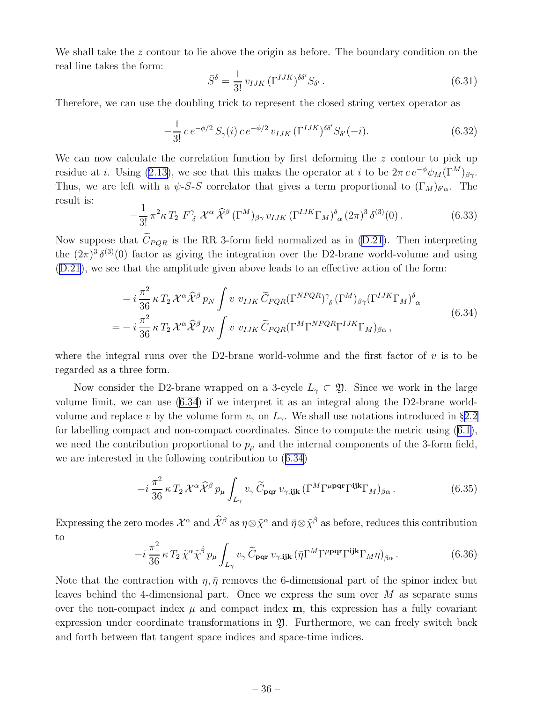<span id="page-37-0"></span>We shall take the z contour to lie above the origin as before. The boundary condition on the real line takes the form:

$$
\bar{S}^{\delta} = \frac{1}{3!} v_{IJK} (\Gamma^{IJK})^{\delta\delta'} S_{\delta'}.
$$
\n(6.31)

Therefore, we can use the doubling trick to represent the closed string vertex operator as

$$
-\frac{1}{3!} c e^{-\phi/2} S_{\gamma}(i) c e^{-\phi/2} v_{IJK} (\Gamma^{IJK})^{\delta\delta'} S_{\delta'}(-i).
$$
 (6.32)

We can now calculate the correlation function by first deforming the z contour to pick up residueat *i*. Using ([2.13\)](#page-8-0), we see that this makes the operator at *i* to be  $2\pi c e^{-\phi} \psi_M(\Gamma^M)_{\beta\gamma}$ . Thus, we are left with a  $\psi$ -S-S correlator that gives a term proportional to  $(\Gamma_M)_{\delta'\alpha}$ . The result is:

$$
-\frac{1}{3!}\pi^2\kappa T_2 F^\gamma_{\ \delta}\ \mathcal{X}^\alpha\ \hat{\mathcal{X}}^\beta\left(\Gamma^M\right)_{\beta\gamma}v_{IJK}\left(\Gamma^{IJK}\Gamma_M\right)^{\delta}{}_{\alpha}\left(2\pi\right)^3\delta^{(3)}(0)\,. \tag{6.33}
$$

Nowsuppose that  $\tilde{C}_{PQR}$  is the RR 3-form field normalized as in ([D.21\)](#page-53-0). Then interpreting the  $(2\pi)^3 \delta^{(3)}(0)$  factor as giving the integration over the D2-brane world-volume and using ([D.21\)](#page-53-0), we see that the amplitude given above leads to an effective action of the form:

$$
-i\frac{\pi^2}{36}\kappa T_2\mathcal{X}^{\alpha}\hat{\mathcal{X}}^{\beta}p_N \int v v_{IJK}\widetilde{C}_{PQR}(\Gamma^{NPQR})^{\gamma}_{\delta}(\Gamma^{M})_{\beta\gamma}(\Gamma^{IJK}\Gamma_M)^{\delta}_{\alpha}
$$
  
=
$$
-i\frac{\pi^2}{36}\kappa T_2\mathcal{X}^{\alpha}\hat{\mathcal{X}}^{\beta}p_N \int v v_{IJK}\widetilde{C}_{PQR}(\Gamma^M\Gamma^{NPQR}\Gamma^{IJK}\Gamma_M)_{\beta\alpha},
$$
(6.34)

where the integral runs over the D2-brane world-volume and the first factor of  $v$  is to be regarded as a three form.

Now consider the D2-brane wrapped on a 3-cycle  $L_{\gamma} \subset \mathfrak{Y}$ . Since we work in the large volume limit, we can use (6.34) if we interpret it as an integral along the D2-brane worldvolume and replace v by the volume form  $v_{\gamma}$  on  $L_{\gamma}$ . We shall use notations introduced in §[2.2](#page-10-0) for labelling compact and non-compact coordinates. Since to compute the metric using([6.1\)](#page-32-0), we need the contribution proportional to  $p_{\mu}$  and the internal components of the 3-form field, we are interested in the following contribution to (6.34)

$$
-i\frac{\pi^2}{36}\kappa T_2\mathcal{X}^\alpha\widehat{\mathcal{X}}^\beta p_\mu \int_{L_\gamma} v_\gamma \widetilde{C}_{\mathbf{pqr}} v_{\gamma,\mathbf{ijk}} \left(\Gamma^M \Gamma^{\mu\mathbf{pqr}} \Gamma^{\mathbf{ijk}} \Gamma_M\right)_{\beta\alpha}.
$$
 (6.35)

Expressing the zero modes  $\mathcal{X}^{\alpha}$  and  $\widehat{\mathcal{X}}^{\beta}$  as  $\eta \otimes \widetilde{\chi}^{\alpha}$  and  $\bar{\eta} \otimes \widetilde{\chi}^{\dot{\beta}}$  as before, reduces this contribution to

$$
-i\frac{\pi^2}{36}\kappa T_2\tilde{\chi}^\alpha\tilde{\chi}^\beta p_\mu \int_{L_\gamma} v_\gamma \tilde{C}_{\mathbf{p}\mathbf{q}\mathbf{r}} v_{\gamma,\mathbf{ijk}} (\bar{\eta} \Gamma^M \Gamma^{\mu \mathbf{p}\mathbf{q}\mathbf{r}} \Gamma^{\mathbf{ijk}} \Gamma_M \eta)_{\dot{\beta}\alpha}.
$$
 (6.36)

Note that the contraction with  $\eta$ ,  $\bar{\eta}$  removes the 6-dimensional part of the spinor index but leaves behind the 4-dimensional part. Once we express the sum over M as separate sums over the non-compact index  $\mu$  and compact index  $m$ , this expression has a fully covariant expression under coordinate transformations in 2. Furthermore, we can freely switch back and forth between flat tangent space indices and space-time indices.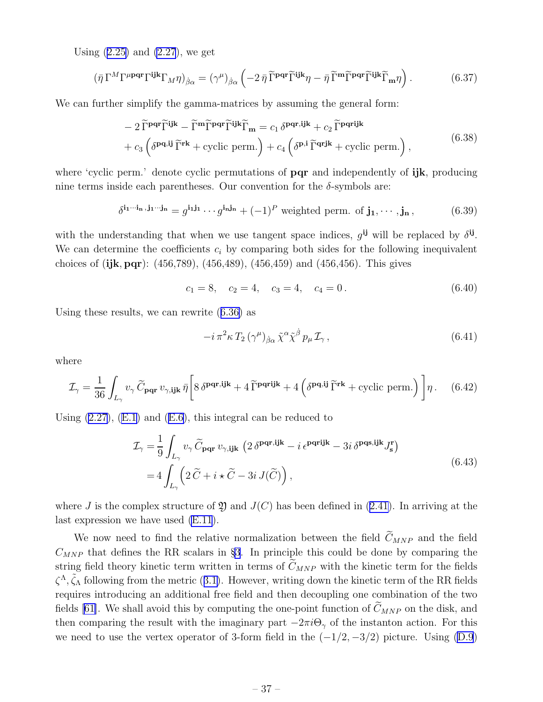<span id="page-38-0"></span>Using $(2.25)$  $(2.25)$  and  $(2.27)$ , we get

$$
(\bar{\eta} \Gamma^M \Gamma^{\mu \mathbf{p} \mathbf{q} \mathbf{r}} \Gamma^{\mathbf{ijk}} \Gamma_M \eta)_{\dot{\beta}\alpha} = (\gamma^\mu)_{\dot{\beta}\alpha} \left( -2 \,\bar{\eta} \,\widetilde{\Gamma}^{\mathbf{p} \mathbf{q} \mathbf{r}} \widetilde{\Gamma}^{\mathbf{ijk}} \eta - \bar{\eta} \,\widetilde{\Gamma}^{\mathbf{m}} \widetilde{\Gamma}^{\mathbf{p} \mathbf{q} \mathbf{r}} \widetilde{\Gamma}^{\mathbf{ijk}} \widetilde{\Gamma}_{\mathbf{m}} \eta \right). \tag{6.37}
$$

We can further simplify the gamma-matrices by assuming the general form:

$$
- 2 \tilde{\Gamma}^{pqr} \tilde{\Gamma}^{ijk} - \tilde{\Gamma}^{m} \tilde{\Gamma}^{pqr} \tilde{\Gamma}^{ijk} \tilde{\Gamma}_{m} = c_1 \delta^{pqr,ijk} + c_2 \tilde{\Gamma}^{pqrijk}
$$

$$
+ c_3 \left( \delta^{pq,ij} \tilde{\Gamma}^{rk} + \text{cyclic perm.} \right) + c_4 \left( \delta^{p,i} \tilde{\Gamma}^{qrjk} + \text{cyclic perm.} \right), \tag{6.38}
$$

where 'cyclic perm.' denote cyclic permutations of **pqr** and independently of **ijk**, producing nine terms inside each parentheses. Our convention for the  $\delta$ -symbols are:

$$
\delta^{\mathbf{i}_1\cdots\mathbf{i}_n,\mathbf{j}_1\cdots\mathbf{j}_n} = g^{\mathbf{i}_1\mathbf{j}_1}\cdots g^{\mathbf{i}_n\mathbf{j}_n} + (-1)^P \text{ weighted perm. of } \mathbf{j}_1,\cdots,\mathbf{j}_n,
$$
 (6.39)

with the understanding that when we use tangent space indices,  $g^{ij}$  will be replaced by  $\delta^{ij}$ . We can determine the coefficients  $c_i$  by comparing both sides for the following inequivalent choices of  $(ijk, pqr)$ :  $(456,789)$ ,  $(456,489)$ ,  $(456,459)$  and  $(456,456)$ . This gives

$$
c_1 = 8, \quad c_2 = 4, \quad c_3 = 4, \quad c_4 = 0. \tag{6.40}
$$

Using these results, we can rewrite([6.36\)](#page-37-0) as

$$
-i\,\pi^2\kappa\,T_2\,(\gamma^\mu)_{\dot\beta\alpha}\,\tilde{\chi}^\alpha\tilde{\chi}^{\dot\beta}\,p_\mu\,\mathcal{I}_\gamma\,,\tag{6.41}
$$

where

$$
\mathcal{I}_{\gamma} = \frac{1}{36} \int_{L_{\gamma}} v_{\gamma} \widetilde{C}_{\mathbf{pqr}} v_{\gamma, \mathbf{ijk}} \,\bar{\eta} \Bigg[ 8 \,\delta^{\mathbf{pqr}, \mathbf{ijk}} + 4 \,\widetilde{\Gamma}^{\mathbf{pqr}, \mathbf{ijk}} + 4 \left( \delta^{\mathbf{pq}, \mathbf{ij}} \,\widetilde{\Gamma}^{\mathbf{rk}} + \text{cyclic perm.} \right) \Bigg] \eta \,. \tag{6.42}
$$

Using $(2.27)$  $(2.27)$ ,  $(E.1)$  and  $(E.6)$  $(E.6)$ , this integral can be reduced to

$$
\mathcal{I}_{\gamma} = \frac{1}{9} \int_{L_{\gamma}} v_{\gamma} \widetilde{C}_{\text{pqr}} v_{\gamma, \textbf{ijk}} \left( 2 \delta^{\text{pqr}, \textbf{ijk}} - i \epsilon^{\text{pqrijk}} - 3i \delta^{\text{pqs}, \textbf{ijk}} J_{\textbf{s}}^{\textbf{r}} \right)
$$
  
= 
$$
4 \int_{L_{\gamma}} \left( 2 \widetilde{C} + i \star \widetilde{C} - 3i J(\widetilde{C}) \right), \qquad (6.43)
$$

whereJ is the complex structure of  $\mathfrak Y$  and  $J(C)$  has been defined in ([2.41\)](#page-13-0). In arriving at the last expression we have used [\(E.11](#page-55-0)).

We now need to find the relative normalization between the field  $\widetilde{C}_{MNP}$  and the field  $C_{MNP}$  that defines the RR scalars in §[3](#page-14-0). In principle this could be done by comparing the string field theory kinetic term written in terms of  $\tilde{C}_{MNP}$  with the kinetic term for the fields  $\zeta^{\Lambda}$ , $\tilde{\zeta}_{\Lambda}$  following from the metric ([3.1\)](#page-15-0). However, writing down the kinetic term of the RR fields requires introducing an additional free field and then decoupling one combination of the two fields [\[61\]](#page-60-0). We shall avoid this by computing the one-point function of  $\tilde{C}_{MNP}$  on the disk, and then comparing the result with the imaginary part  $-2\pi i\Theta_{\gamma}$  of the instanton action. For this weneed to use the vertex operator of 3-form field in the  $(-1/2, -3/2)$  picture. Using ([D.9](#page-52-0))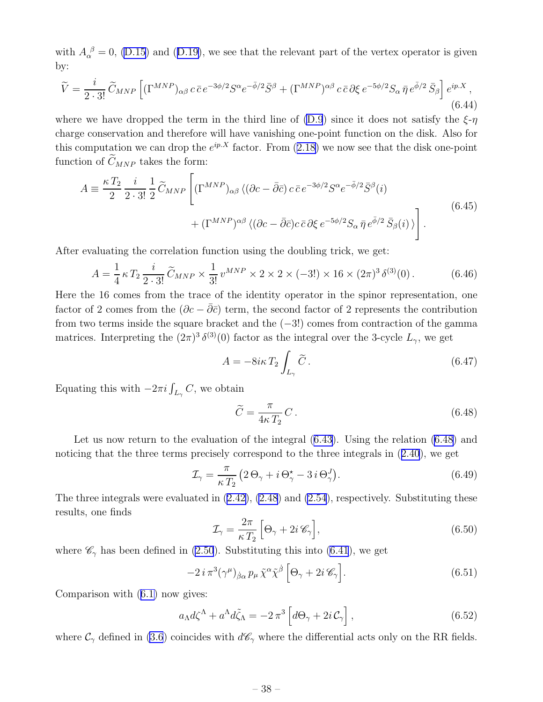<span id="page-39-0"></span>with $A_{\alpha}^{\ \beta} = 0$ , [\(D.15](#page-52-0)) and ([D.19\)](#page-53-0), we see that the relevant part of the vertex operator is given by:

$$
\widetilde{V} = \frac{i}{2 \cdot 3!} \widetilde{C}_{MNP} \left[ (\Gamma^{MNP})_{\alpha\beta} c \,\bar{c} \,e^{-3\phi/2} S^{\alpha} e^{-\bar{\phi}/2} \bar{S}^{\beta} + (\Gamma^{MNP})^{\alpha\beta} c \,\bar{c} \,\partial \xi \,e^{-5\phi/2} S_{\alpha} \,\bar{\eta} \,e^{\bar{\phi}/2} \,\bar{S}_{\beta} \right] e^{ip.X},\tag{6.44}
$$

where we have dropped the term in the third line of [\(D.9](#page-52-0)) since it does not satisfy the  $\xi$ -η charge conservation and therefore will have vanishing one-point function on the disk. Also for thiscomputation we can drop the  $e^{ip.X}$  factor. From  $(2.18)$  $(2.18)$  we now see that the disk one-point function of  $\widetilde{C}_{MNP}$  takes the form:

$$
A \equiv \frac{\kappa T_2}{2} \frac{i}{2 \cdot 3!} \frac{1}{2} \widetilde{C}_{MNP} \left[ (\Gamma^{MNP})_{\alpha\beta} \langle (\partial c - \bar{\partial}\bar{c}) c \bar{c} e^{-3\phi/2} S^{\alpha} e^{-\bar{\phi}/2} \bar{S}^{\beta}(i) \right. \\ \left. + (\Gamma^{MNP})^{\alpha\beta} \langle (\partial c - \bar{\partial}\bar{c}) c \bar{c} \partial \xi e^{-5\phi/2} S_{\alpha} \bar{\eta} e^{\bar{\phi}/2} \bar{S}_{\beta}(i) \rangle \right]. \tag{6.45}
$$

After evaluating the correlation function using the doubling trick, we get:

$$
A = \frac{1}{4} \kappa T_2 \frac{i}{2 \cdot 3!} \widetilde{C}_{MNP} \times \frac{1}{3!} v^{MNP} \times 2 \times 2 \times (-3!) \times 16 \times (2\pi)^3 \delta^{(3)}(0). \tag{6.46}
$$

Here the 16 comes from the trace of the identity operator in the spinor representation, one factor of 2 comes from the  $(\partial c - \overline{\partial} \overline{c})$  term, the second factor of 2 represents the contribution from two terms inside the square bracket and the  $(-3!)$  comes from contraction of the gamma matrices. Interpreting the  $(2\pi)^3 \delta^{(3)}(0)$  factor as the integral over the 3-cycle  $L_{\gamma}$ , we get

$$
A = -8i\kappa T_2 \int_{L_\gamma} \widetilde{C} \,. \tag{6.47}
$$

Equating this with  $-2\pi i \int_{L_{\gamma}} C$ , we obtain

$$
\widetilde{C} = \frac{\pi}{4\kappa T_2} C. \tag{6.48}
$$

Let us now return to the evaluation of the integral([6.43\)](#page-38-0). Using the relation (6.48) and noticing that the three terms precisely correspond to the three integrals in([2.40](#page-13-0)), we get

$$
\mathcal{I}_{\gamma} = \frac{\pi}{\kappa T_2} \left( 2 \Theta_{\gamma} + i \Theta_{\gamma}^{\star} - 3 i \Theta_{\gamma}^{J} \right). \tag{6.49}
$$

The three integrals were evaluated in [\(2.42\)](#page-13-0), [\(2.48](#page-13-0)) and [\(2.54](#page-14-0)), respectively. Substituting these results, one finds

$$
\mathcal{I}_{\gamma} = \frac{2\pi}{\kappa T_2} \left[ \Theta_{\gamma} + 2i \mathcal{C}_{\gamma} \right],\tag{6.50}
$$

where  $\mathscr{C}_{\gamma}$  has been defined in [\(2.50](#page-14-0)). Substituting this into [\(6.41](#page-38-0)), we get

$$
-2 i \pi^3 (\gamma^{\mu})_{\dot{\beta}\alpha} p_{\mu} \tilde{\chi}^{\alpha} \tilde{\chi}^{\dot{\beta}} \left[ \Theta_{\gamma} + 2 i \mathscr{C}_{\gamma} \right]. \tag{6.51}
$$

Comparison with([6.1\)](#page-32-0) now gives:

$$
a_{\Lambda}d\zeta^{\Lambda} + a^{\Lambda}d\tilde{\zeta}_{\Lambda} = -2\,\pi^3 \left[ d\Theta_{\gamma} + 2i\,\mathcal{C}_{\gamma} \right],\tag{6.52}
$$

where  $\mathcal{C}_{\gamma}$  defined in [\(3.6](#page-16-0)) coincides with  $d\mathcal{C}_{\gamma}$  where the differential acts only on the RR fields.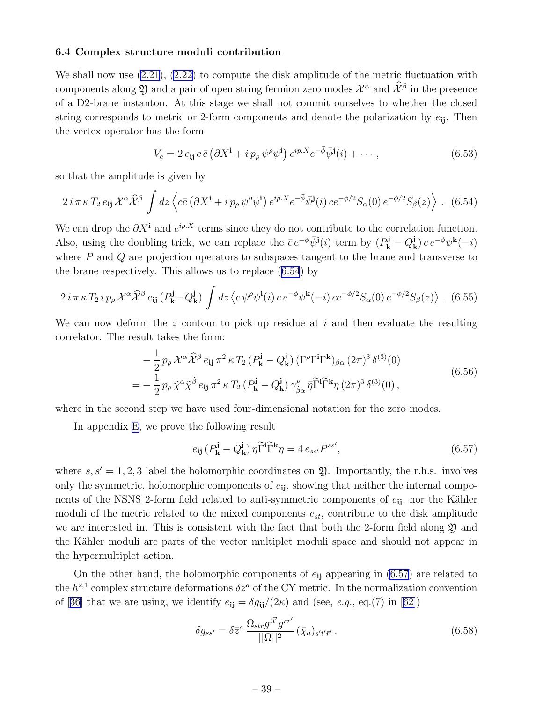#### <span id="page-40-0"></span>6.4 Complex structure moduli contribution

Weshall now use  $(2.21)$  $(2.21)$ ,  $(2.22)$  to compute the disk amplitude of the metric fluctuation with components along  $\mathfrak Y$  and a pair of open string fermion zero modes  $\mathcal X^\alpha$  and  $\hat{\mathcal X}^\beta$  in the presence of a D2-brane instanton. At this stage we shall not commit ourselves to whether the closed string corresponds to metric or 2-form components and denote the polarization by  $e_{ii}$ . Then the vertex operator has the form

$$
V_e = 2 e_{ij} c \bar{c} \left( \partial X^i + i p_\rho \, \psi^\rho \psi^i \right) e^{ip.X} e^{-\bar{\phi}} \bar{\psi}^j(i) + \cdots , \qquad (6.53)
$$

so that the amplitude is given by

$$
2 i \pi \kappa T_2 e_{ij} \mathcal{X}^\alpha \widehat{\mathcal{X}}^\beta \int dz \left\langle c\bar{c} \left( \partial X^i + i \, p_\rho \, \psi^\rho \psi^i \right) e^{ip.X} e^{-\bar{\phi}} \bar{\psi}^j(i) \, c e^{-\phi/2} S_\alpha(0) \, e^{-\phi/2} S_\beta(z) \right\rangle . \tag{6.54}
$$

We can drop the  $\partial X^i$  and  $e^{ip.X}$  terms since they do not contribute to the correlation function. Also, using the doubling trick, we can replace the  $\bar{c} e^{-\bar{\phi}} \bar{\psi}^{\mathbf{j}}(i)$  term by  $(P_{\mathbf{k}}^{\mathbf{j}} - Q_{\mathbf{k}}^{\mathbf{j}})$  $(\mathbf{k}) c e^{-\phi} \psi^{\mathbf{k}}(-i)$ where  $P$  and  $Q$  are projection operators to subspaces tangent to the brane and transverse to the brane respectively. This allows us to replace (6.54) by

$$
2 i \pi \kappa T_2 i p_\rho \mathcal{X}^\alpha \widehat{\mathcal{X}}^\beta e_{ij} (P_\mathbf{k}^{\mathbf{j}} - Q_\mathbf{k}^{\mathbf{j}}) \int dz \langle c \psi^\rho \psi^{\mathbf{i}}(i) c e^{-\phi} \psi^{\mathbf{k}}(-i) c e^{-\phi/2} S_\alpha(0) e^{-\phi/2} S_\beta(z) \rangle .
$$
 (6.55)

We can now deform the z contour to pick up residue at  $i$  and then evaluate the resulting correlator. The result takes the form:

$$
-\frac{1}{2}p_{\rho}\mathcal{X}^{\alpha}\hat{\mathcal{X}}^{\beta}e_{\mathbf{i}\mathbf{j}}\pi^{2}\kappa T_{2}\left(P_{\mathbf{k}}^{\mathbf{j}}-Q_{\mathbf{k}}^{\mathbf{j}}\right)(\Gamma^{\rho}\Gamma^{\mathbf{i}}\Gamma^{\mathbf{k}})_{\beta\alpha}(2\pi)^{3}\delta^{(3)}(0)
$$
  
=\frac{1}{2}p\_{\rho}\tilde{\chi}^{\alpha}\tilde{\chi}^{\dot{\beta}}e\_{\mathbf{i}\mathbf{j}}\pi^{2}\kappa T\_{2}\left(P\_{\mathbf{k}}^{\mathbf{j}}-Q\_{\mathbf{k}}^{\mathbf{j}}\right)\gamma\_{\beta\alpha}^{\rho}\bar{\eta}\tilde{\Gamma}^{\mathbf{i}}\tilde{\Gamma}^{\mathbf{k}}\eta(2\pi)^{3}\delta^{(3)}(0), \tag{6.56}

where in the second step we have used four-dimensional notation for the zero modes.

In appendix [E,](#page-53-0) we prove the following result

$$
e_{ij} \left( P_{\mathbf{k}}^{j} - Q_{\mathbf{k}}^{j} \right) \bar{\eta} \widetilde{\Gamma}^{i} \widetilde{\Gamma}^{k} \eta = 4 \, e_{ss'} P^{ss'}, \tag{6.57}
$$

where  $s, s' = 1, 2, 3$  label the holomorphic coordinates on  $\mathfrak{Y}$ . Importantly, the r.h.s. involves only the symmetric, holomorphic components of  $e_{ij}$ , showing that neither the internal components of the NSNS 2-form field related to anti-symmetric components of  $e_{ij}$ , nor the Kähler moduli of the metric related to the mixed components  $e_{s\bar{t}}$ , contribute to the disk amplitude we are interested in. This is consistent with the fact that both the 2-form field along  $\mathfrak Y$  and the Kähler moduli are parts of the vector multiplet moduli space and should not appear in the hypermultiplet action.

On the other hand, the holomorphic components of  $e_{ij}$  appearing in (6.57) are related to the  $h^{2,1}$  complex structure deformations  $\delta z^a$  of the CY metric. In the normalization convention of[[36\]](#page-58-0) that we are using, we identify  $e_{ij} = \delta g_{ij}/(2\kappa)$  and (see, e.g., eq.(7) in [[62\]](#page-60-0))

$$
\delta g_{ss'} = \delta \bar{z}^a \, \frac{\Omega_{str} g^{t\bar{t}'} g^{r\bar{r}'} }{||\Omega||^2} \left(\bar{\chi}_a\right)_{s'\bar{t}'\bar{r}'}.\tag{6.58}
$$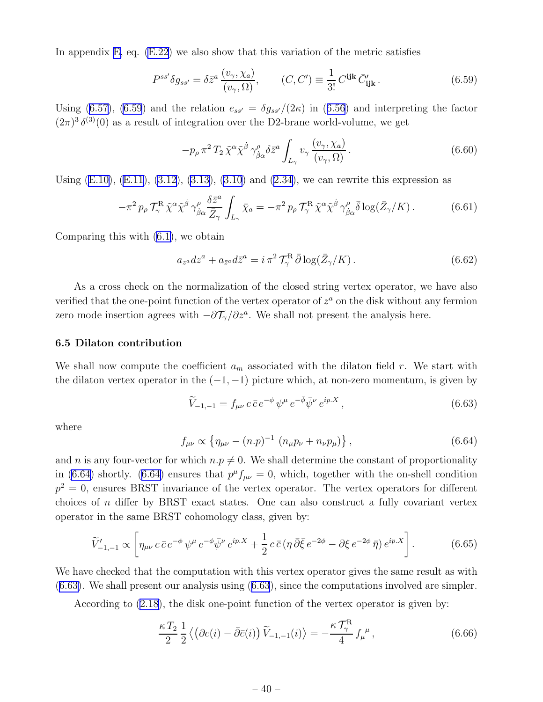<span id="page-41-0"></span>In appendix [E,](#page-53-0) eq. [\(E.22](#page-56-0)) we also show that this variation of the metric satisfies

$$
P^{ss'}\delta g_{ss'} = \delta \bar{z}^a \frac{(v_\gamma, \chi_a)}{(v_\gamma, \Omega)}, \qquad (C, C') \equiv \frac{1}{3!} C^{ijk} \bar{C}'_{ijk}.
$$
 (6.59)

Using [\(6.57\)](#page-40-0),(6.59) and the relation  $e_{ss'} = \delta g_{ss'}/(2\kappa)$  in ([6.56](#page-40-0)) and interpreting the factor  $(2\pi)^3 \delta^{(3)}(0)$  as a result of integration over the D2-brane world-volume, we get

$$
-p_{\rho} \pi^2 T_2 \tilde{\chi}^{\alpha} \tilde{\chi}^{\dot{\beta}} \gamma^{\rho}_{\dot{\beta}\alpha} \delta \bar{z}^a \int_{L_{\gamma}} v_{\gamma} \frac{(v_{\gamma}, \chi_a)}{(v_{\gamma}, \Omega)}.
$$
 (6.60)

Using $(E.10)$  $(E.10)$ ,  $(E.11)$  $(E.11)$ ,  $(3.12)$ ,  $(3.13)$ ,  $(3.10)$  and  $(2.34)$  $(2.34)$ , we can rewrite this expression as

$$
-\pi^2 p_\rho \mathcal{T}_{\gamma}^{\rm R} \tilde{\chi}^{\alpha} \tilde{\chi}^{\dot{\beta}} \gamma^{\rho}_{\dot{\beta}\alpha} \frac{\delta \bar{z}^a}{\bar{Z}_{\gamma}} \int_{L_{\gamma}} \bar{\chi}_a = -\pi^2 p_\rho \mathcal{T}_{\gamma}^{\rm R} \tilde{\chi}^{\alpha} \tilde{\chi}^{\dot{\beta}} \gamma^{\rho}_{\dot{\beta}\alpha} \bar{\delta} \log(\bar{Z}_{\gamma}/K). \tag{6.61}
$$

Comparing this with([6.1\)](#page-32-0), we obtain

$$
a_{z^a}dz^a + a_{\bar{z}^a}d\bar{z}^a = i\,\pi^2\,\mathcal{T}^R_\gamma\,\bar{\partial}\log(\bar{Z}_\gamma/K) \,. \tag{6.62}
$$

As a cross check on the normalization of the closed string vertex operator, we have also verified that the one-point function of the vertex operator of  $z^a$  on the disk without any fermion zero mode insertion agrees with  $-\partial \mathcal{T}_{\gamma}/\partial z^a$ . We shall not present the analysis here.

#### 6.5 Dilaton contribution

We shall now compute the coefficient  $a_m$  associated with the dilaton field r. We start with the dilaton vertex operator in the  $(-1, -1)$  picture which, at non-zero momentum, is given by

$$
\widetilde{V}_{-1,-1} = f_{\mu\nu} c \bar{c} e^{-\phi} \psi^{\mu} e^{-\bar{\phi}} \bar{\psi}^{\nu} e^{ip.X}, \qquad (6.63)
$$

where

$$
f_{\mu\nu} \propto \left\{ \eta_{\mu\nu} - (n.p)^{-1} \left( n_{\mu} p_{\nu} + n_{\nu} p_{\mu} \right) \right\},\tag{6.64}
$$

and n is any four-vector for which  $n.p \neq 0$ . We shall determine the constant of proportionality in (6.64) shortly. (6.64) ensures that  $p^{\mu} f_{\mu\nu} = 0$ , which, together with the on-shell condition  $p^2 = 0$ , ensures BRST invariance of the vertex operator. The vertex operators for different choices of n differ by BRST exact states. One can also construct a fully covariant vertex operator in the same BRST cohomology class, given by:

$$
\widetilde{V}'_{-1,-1} \propto \left[ \eta_{\mu\nu} \, c \, \bar{c} \, e^{-\phi} \, \psi^{\mu} \, e^{-\bar{\phi}} \bar{\psi}^{\nu} \, e^{ip.X} + \frac{1}{2} \, c \, \bar{c} \left( \eta \, \bar{\partial} \bar{\xi} \, e^{-2\bar{\phi}} - \partial \xi \, e^{-2\phi} \, \bar{\eta} \right) e^{ip.X} \right]. \tag{6.65}
$$

We have checked that the computation with this vertex operator gives the same result as with (6.63). We shall present our analysis using (6.63), since the computations involved are simpler.

According to([2.18\)](#page-9-0), the disk one-point function of the vertex operator is given by:

$$
\frac{\kappa T_2}{2} \frac{1}{2} \left\langle \left( \partial c(i) - \bar{\partial} \bar{c}(i) \right) \tilde{V}_{-1,-1}(i) \right\rangle = -\frac{\kappa \mathcal{T}_{\gamma}^{\text{R}}}{4} f_{\mu}^{\ \mu},\tag{6.66}
$$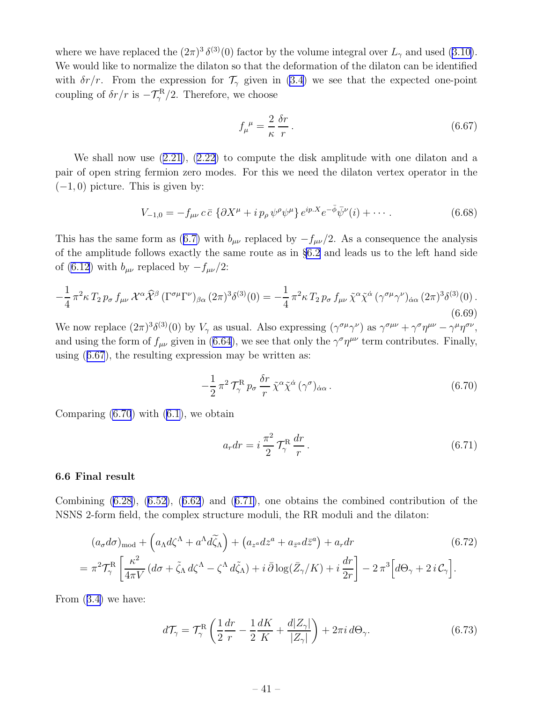<span id="page-42-0"></span>wherewe have replaced the  $(2\pi)^3 \delta^{(3)}(0)$  factor by the volume integral over  $L_{\gamma}$  and used ([3.10\)](#page-18-0). We would like to normalize the dilaton so that the deformation of the dilaton can be identified with  $\delta r/r$ . From the expression for  $\mathcal{T}_{\gamma}$  given in [\(3.4](#page-15-0)) we see that the expected one-point coupling of  $\delta r/r$  is  $-\mathcal{T}_{\gamma}^{\rm R}/2$ . Therefore, we choose

$$
f_{\mu}^{\ \mu} = \frac{2}{\kappa} \frac{\delta r}{r} \,. \tag{6.67}
$$

We shall now use([2.21\)](#page-9-0),([2.22\)](#page-9-0) to compute the disk amplitude with one dilaton and a pair of open string fermion zero modes. For this we need the dilaton vertex operator in the  $(-1, 0)$  picture. This is given by:

$$
V_{-1,0} = -f_{\mu\nu} c \bar{c} \left\{ \partial X^{\mu} + i p_{\rho} \psi^{\rho} \psi^{\mu} \right\} e^{ip.X} e^{-\bar{\phi}} \bar{\psi}^{\nu}(i) + \cdots
$$
 (6.68)

Thishas the same form as ([6.7\)](#page-33-0) with  $b_{\mu\nu}$  replaced by  $-f_{\mu\nu}/2$ . As a consequence the analysis of the amplitude follows exactly the same route as in §[6.2](#page-33-0) and leads us to the left hand side of [\(6.12](#page-34-0)) with  $b_{\mu\nu}$  replaced by  $-f_{\mu\nu}/2$ :

$$
-\frac{1}{4}\pi^2\kappa T_2 p_\sigma f_{\mu\nu} \mathcal{X}^\alpha \widehat{\mathcal{X}}^\beta (\Gamma^{\sigma\mu} \Gamma^\nu)_{\beta\alpha} (2\pi)^3 \delta^{(3)}(0) = -\frac{1}{4}\pi^2\kappa T_2 p_\sigma f_{\mu\nu} \tilde{\chi}^\alpha \tilde{\chi}^\dot{\alpha} (\gamma^{\sigma\mu} \gamma^\nu)_{\dot{\alpha}\alpha} (2\pi)^3 \delta^{(3)}(0) .
$$
\n(6.69)

We now replace  $(2\pi)^3 \delta^{(3)}(0)$  by  $V_\gamma$  as usual. Also expressing  $(\gamma^{\sigma\mu}\gamma^\nu)$  as  $\gamma^{\sigma\mu\nu} + \gamma^\sigma \eta^{\mu\nu} - \gamma^\mu \eta^{\sigma\nu}$ , andusing the form of  $f_{\mu\nu}$  given in ([6.64\)](#page-41-0), we see that only the  $\gamma^{\sigma}\eta^{\mu\nu}$  term contributes. Finally, using (6.67), the resulting expression may be written as:

$$
-\frac{1}{2}\pi^2\,\mathcal{T}_{\gamma}^{\rm R}\,p_{\sigma}\,\frac{\delta r}{r}\,\tilde{\chi}^{\alpha}\tilde{\chi}^{\dot{\alpha}}\,(\gamma^{\sigma})_{\dot{\alpha}\alpha} \,. \tag{6.70}
$$

Comparing $(6.70)$  with  $(6.1)$  $(6.1)$ , we obtain

$$
a_r dr = i \frac{\pi^2}{2} \mathcal{T}_\gamma^{\rm R} \frac{dr}{r}.
$$
\n(6.71)

#### 6.6 Final result

Combining $(6.28)$  $(6.28)$ ,  $(6.52)$  $(6.52)$ ,  $(6.62)$  $(6.62)$  $(6.62)$  and  $(6.71)$ , one obtains the combined contribution of the NSNS 2-form field, the complex structure moduli, the RR moduli and the dilaton:

$$
(a_{\sigma}d\sigma)_{\text{mod}} + (a_{\Lambda}d\zeta^{\Lambda} + a^{\Lambda}d\tilde{\zeta}_{\Lambda}) + (a_{z^a}dz^a + a_{\bar{z}^a}d\bar{z}^a) + a_r dr
$$
(6.72)  
=  $\pi^2 \mathcal{T}_{\gamma}^{\text{R}} \left[ \frac{\kappa^2}{4\pi V} \left( d\sigma + \tilde{\zeta}_{\Lambda} d\zeta^{\Lambda} - \zeta^{\Lambda} d\tilde{\zeta}_{\Lambda} \right) + i \bar{\partial} \log(\bar{Z}_{\gamma}/K) + i \frac{dr}{2r} \right] - 2 \pi^3 \left[ d\Theta_{\gamma} + 2i \mathcal{C}_{\gamma} \right].$ 

From([3.4\)](#page-15-0) we have:

$$
d\mathcal{T}_{\gamma} = \mathcal{T}_{\gamma}^{\mathcal{R}} \left( \frac{1}{2} \frac{dr}{r} - \frac{1}{2} \frac{dK}{K} + \frac{d|Z_{\gamma}|}{|Z_{\gamma}|} \right) + 2\pi i \, d\Theta_{\gamma}.
$$
 (6.73)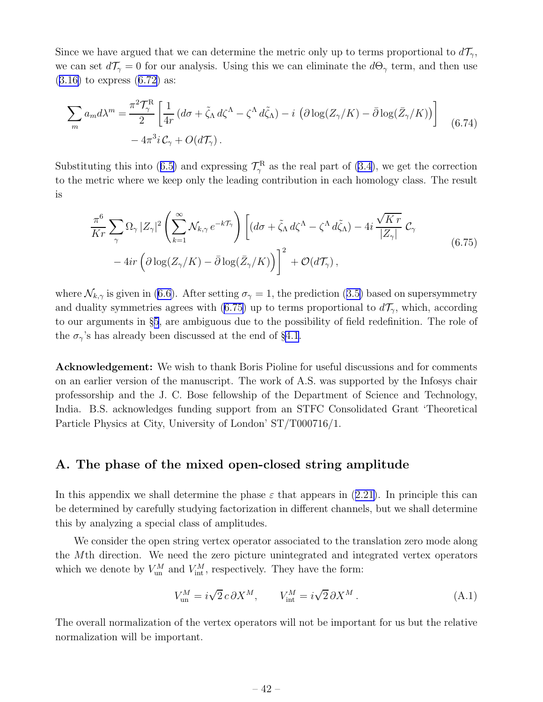<span id="page-43-0"></span>Since we have argued that we can determine the metric only up to terms proportional to  $d\mathcal{T}_{\gamma}$ , we can set  $d\mathcal{T}_{\gamma} = 0$  for our analysis. Using this we can eliminate the  $d\Theta_{\gamma}$  term, and then use  $(3.16)$  $(3.16)$ to express  $(6.72)$  $(6.72)$  as:

$$
\sum_{m} a_{m} d\lambda^{m} = \frac{\pi^{2} \mathcal{T}_{\gamma}^{R}}{2} \left[ \frac{1}{4r} \left( d\sigma + \tilde{\zeta}_{\Lambda} d\zeta^{\Lambda} - \zeta^{\Lambda} d\tilde{\zeta}_{\Lambda} \right) - i \left( \partial \log(Z_{\gamma}/K) - \bar{\partial} \log(\bar{Z}_{\gamma}/K) \right) \right] \tag{6.74}
$$

$$
- 4\pi^{3} i \mathcal{C}_{\gamma} + O(d\mathcal{T}_{\gamma}).
$$

Substitutingthis into ([6.5\)](#page-32-0) and expressing  $\mathcal{T}_{\gamma}^{\text{R}}$  as the real part of [\(3.4](#page-15-0)), we get the correction to the metric where we keep only the leading contribution in each homology class. The result is

$$
\frac{\pi^6}{Kr} \sum_{\gamma} \Omega_{\gamma} |Z_{\gamma}|^2 \left( \sum_{k=1}^{\infty} \mathcal{N}_{k,\gamma} e^{-k\mathcal{T}_{\gamma}} \right) \left[ (d\sigma + \tilde{\zeta}_{\Lambda} d\zeta^{\Lambda} - \zeta^{\Lambda} d\tilde{\zeta}_{\Lambda}) - 4i \frac{\sqrt{Kr}}{|Z_{\gamma}|} \mathcal{C}_{\gamma} - 4ir \left( \partial \log(Z_{\gamma}/K) - \bar{\partial} \log(\bar{Z}_{\gamma}/K) \right) \right]^2 + \mathcal{O}(d\mathcal{T}_{\gamma}), \tag{6.75}
$$

where $\mathcal{N}_{k,\gamma}$  is given in ([6.6\)](#page-33-0). After setting  $\sigma_{\gamma}=1$ , the prediction ([3.5\)](#page-16-0) based on supersymmetry and duality symmetries agrees with (6.75) up to terms proportional to  $d\mathcal{T}_{\gamma}$ , which, according to our arguments in §[5](#page-25-0), are ambiguous due to the possibility of field redefinition. The role of the  $\sigma_{\gamma}$ 's has already been discussed at the end of §[4.1](#page-19-0).

Acknowledgement: We wish to thank Boris Pioline for useful discussions and for comments on an earlier version of the manuscript. The work of A.S. was supported by the Infosys chair professorship and the J. C. Bose fellowship of the Department of Science and Technology, India. B.S. acknowledges funding support from an STFC Consolidated Grant 'Theoretical Particle Physics at City, University of London' ST/T000716/1.

## A. The phase of the mixed open-closed string amplitude

Inthis appendix we shall determine the phase  $\varepsilon$  that appears in ([2.21\)](#page-9-0). In principle this can be determined by carefully studying factorization in different channels, but we shall determine this by analyzing a special class of amplitudes.

We consider the open string vertex operator associated to the translation zero mode along the Mth direction. We need the zero picture unintegrated and integrated vertex operators which we denote by  $V_{\text{un}}^M$  and  $V_{\text{int}}^M$ , respectively. They have the form:

$$
V_{\text{un}}^M = i\sqrt{2} c \,\partial X^M, \qquad V_{\text{int}}^M = i\sqrt{2} \,\partial X^M. \tag{A.1}
$$

The overall normalization of the vertex operators will not be important for us but the relative normalization will be important.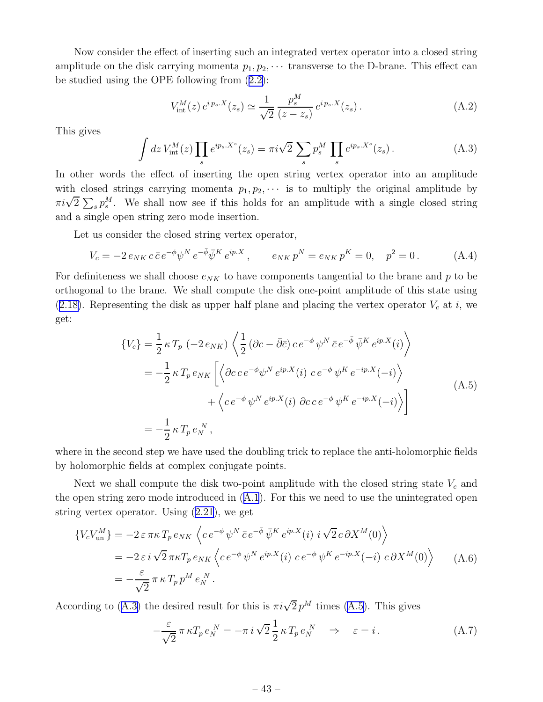Now consider the effect of inserting such an integrated vertex operator into a closed string amplitude on the disk carrying momenta  $p_1, p_2, \cdots$  transverse to the D-brane. This effect can be studied using the OPE following from([2.2\)](#page-6-0):

$$
V_{\text{int}}^{M}(z) e^{i p_s X}(z_s) \simeq \frac{1}{\sqrt{2}} \frac{p_s^M}{(z - z_s)} e^{i p_s X}(z_s). \tag{A.2}
$$

This gives

$$
\int dz V_{\rm int}^M(z) \prod_s e^{ip_s.X^s}(z_s) = \pi i \sqrt{2} \sum_s p_s^M \prod_s e^{ip_s.X^s}(z_s) \,. \tag{A.3}
$$

In other words the effect of inserting the open string vertex operator into an amplitude with closed strings carrying momenta  $p_1, p_2, \cdots$  is to multiply the original amplitude by  $\pi i\sqrt{2} \sum_{s} p_s^M$ . We shall now see if this holds for an amplitude with a single closed string and a single open string zero mode insertion.

Let us consider the closed string vertex operator,

$$
V_c = -2 e_{NK} c \bar{c} e^{-\phi} \psi^N e^{-\bar{\phi}} \bar{\psi}^K e^{ip.X} , \qquad e_{NK} p^N = e_{NK} p^K = 0, \quad p^2 = 0.
$$
 (A.4)

For definiteness we shall choose  $e_{NK}$  to have components tangential to the brane and p to be orthogonal to the brane. We shall compute the disk one-point amplitude of this state using ([2.18\)](#page-9-0). Representing the disk as upper half plane and placing the vertex operator  $V_c$  at i, we get:

$$
\{V_c\} = \frac{1}{2} \kappa T_p \left( -2 e_{NK} \right) \left\langle \frac{1}{2} \left( \partial c - \bar{\partial} \bar{c} \right) c e^{-\phi} \psi^N \bar{c} e^{-\bar{\phi}} \bar{\psi}^K e^{ip.X}(i) \right\rangle
$$
  
\n
$$
= -\frac{1}{2} \kappa T_p e_{NK} \left[ \left\langle \partial c c e^{-\phi} \psi^N e^{ip.X}(i) c e^{-\phi} \psi^K e^{-ip.X}(-i) \right\rangle \right.
$$
  
\n
$$
+ \left\langle c e^{-\phi} \psi^N e^{ip.X}(i) \partial c c e^{-\phi} \psi^K e^{-ip.X}(-i) \right\rangle \right]
$$
  
\n
$$
= -\frac{1}{2} \kappa T_p e_N^N , \qquad (A.5)
$$

where in the second step we have used the doubling trick to replace the anti-holomorphic fields by holomorphic fields at complex conjugate points.

Next we shall compute the disk two-point amplitude with the closed string state  $V_c$  and the open string zero mode introduced in([A.1](#page-43-0)). For this we need to use the unintegrated open string vertex operator. Using [\(2.21](#page-9-0)), we get

$$
\{V_c V_{\text{un}}^M\} = -2 \varepsilon \pi \kappa T_p e_{NK} \left\langle c e^{-\phi} \psi^N \bar{c} e^{-\bar{\phi}} \bar{\psi}^K e^{ip.X}(i) i \sqrt{2} c \partial X^M(0) \right\rangle
$$
  
=  $-2 \varepsilon i \sqrt{2} \pi \kappa T_p e_{NK} \left\langle c e^{-\phi} \psi^N e^{ip.X}(i) c e^{-\phi} \psi^K e^{-ip.X}(-i) c \partial X^M(0) \right\rangle$  (A.6)  
=  $-\frac{\varepsilon}{\sqrt{2}} \pi \kappa T_p p^M e_N^N.$ 

According to (A.3) the desired result for this is  $\pi i \sqrt{2} p^M$  times (A.5). This gives

$$
-\frac{\varepsilon}{\sqrt{2}} \pi \kappa T_p e_N^N = -\pi i \sqrt{2} \frac{1}{2} \kappa T_p e_N^N \quad \Rightarrow \quad \varepsilon = i. \tag{A.7}
$$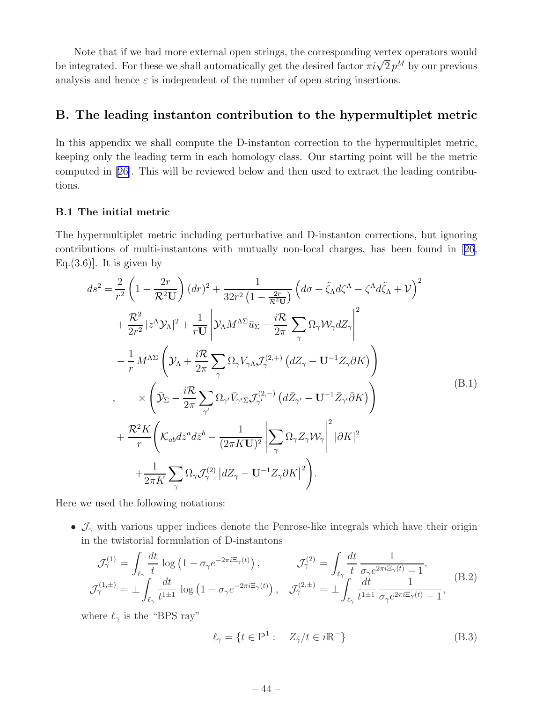<span id="page-45-0"></span>Note that if we had more external open strings, the corresponding vertex operators would be integrated. For these we shall automatically get the desired factor  $\pi i \sqrt{2} p^M$  by our previous analysis and hence  $\varepsilon$  is independent of the number of open string insertions.

## B. The leading instanton contribution to the hypermultiplet metric

In this appendix we shall compute the D-instanton correction to the hypermultiplet metric, keeping only the leading term in each homology class. Our starting point will be the metric computed in[[26\]](#page-58-0). This will be reviewed below and then used to extract the leading contributions.

### B.1 The initial metric

The hypermultiplet metric including perturbative and D-instanton corrections, but ignoring contributions of multi-instantons with mutually non-local charges, has been found in[[26](#page-58-0), Eq. $(3.6)$ ]. It is given by

$$
ds^{2} = \frac{2}{r^{2}} \left( 1 - \frac{2r}{\mathcal{R}^{2} \mathbf{U}} \right) (dr)^{2} + \frac{1}{32r^{2} \left( 1 - \frac{2r}{\mathcal{R}^{2} \mathbf{U}} \right)} \left( d\sigma + \tilde{\zeta}_{\Lambda} d\zeta^{\Lambda} - \zeta^{\Lambda} d\tilde{\zeta}_{\Lambda} + \mathcal{V} \right)^{2}
$$
  
+ 
$$
\frac{\mathcal{R}^{2}}{2r^{2}} |z^{\Lambda} \mathcal{Y}_{\Lambda}|^{2} + \frac{1}{r \mathbf{U}} \left| \mathcal{Y}_{\Lambda} M^{\Lambda \Sigma} \bar{u}_{\Sigma} - \frac{i\mathcal{R}}{2\pi} \sum_{\gamma} \Omega_{\gamma} \mathcal{W}_{\gamma} dZ_{\gamma} \right|^{2}
$$

$$
- \frac{1}{r} M^{\Lambda \Sigma} \left( \mathcal{Y}_{\Lambda} + \frac{i\mathcal{R}}{2\pi} \sum_{\gamma} \Omega_{\gamma} \mathcal{V}_{\gamma \Lambda} \mathcal{I}_{\gamma}^{(2,+)} \left( dZ_{\gamma} - \mathbf{U}^{-1} Z_{\gamma} \partial K \right) \right)
$$

$$
\times \left( \bar{\mathcal{Y}}_{\Sigma} - \frac{i\mathcal{R}}{2\pi} \sum_{\gamma'} \Omega_{\gamma'} \bar{\mathcal{V}}_{\gamma' \Sigma} \mathcal{I}_{\gamma'}^{(2,-)} \left( d\bar{Z}_{\gamma'} - \mathbf{U}^{-1} \bar{Z}_{\gamma'} \bar{\partial} K \right) \right)
$$

$$
+ \frac{\mathcal{R}^{2} K}{r} \left( \mathcal{K}_{a\bar{b}} dz^{a} d\bar{z}^{b} - \frac{1}{(2\pi K \mathbf{U})^{2}} \left| \sum_{\gamma} \Omega_{\gamma} Z_{\gamma} \mathcal{W}_{\gamma} \right|^{2} |\partial K|^{2}
$$

$$
+ \frac{1}{2\pi K} \sum_{\gamma} \Omega_{\gamma} \mathcal{I}_{\gamma}^{(2)} |dZ_{\gamma} - \mathbf{U}^{-1} Z_{\gamma} \partial K|^{2} \right).
$$
(B.1)

Here we used the following notations:

•  $\mathcal{J}_{\gamma}$  with various upper indices denote the Penrose-like integrals which have their origin in the twistorial formulation of D-instantons

$$
\mathcal{J}_{\gamma}^{(1)} = \int_{\ell_{\gamma}} \frac{dt}{t} \log \left( 1 - \sigma_{\gamma} e^{-2\pi i \Xi_{\gamma}(t)} \right), \qquad \mathcal{J}_{\gamma}^{(2)} = \int_{\ell_{\gamma}} \frac{dt}{t} \frac{1}{\sigma_{\gamma} e^{2\pi i \Xi_{\gamma}(t)} - 1},
$$
\n
$$
\mathcal{J}_{\gamma}^{(1,\pm)} = \pm \int_{\ell_{\gamma}} \frac{dt}{t^{1\pm 1}} \log \left( 1 - \sigma_{\gamma} e^{-2\pi i \Xi_{\gamma}(t)} \right), \quad \mathcal{J}_{\gamma}^{(2,\pm)} = \pm \int_{\ell_{\gamma}} \frac{dt}{t^{1\pm 1}} \frac{1}{\sigma_{\gamma} e^{2\pi i \Xi_{\gamma}(t)} - 1}, \qquad (B.2)
$$

where  $\ell_{\gamma}$  is the "BPS ray"

$$
\ell_{\gamma} = \{ t \in \mathbb{P}^1 : \quad Z_{\gamma}/t \in i\mathbb{R}^- \}
$$
 (B.3)

$$
-44-
$$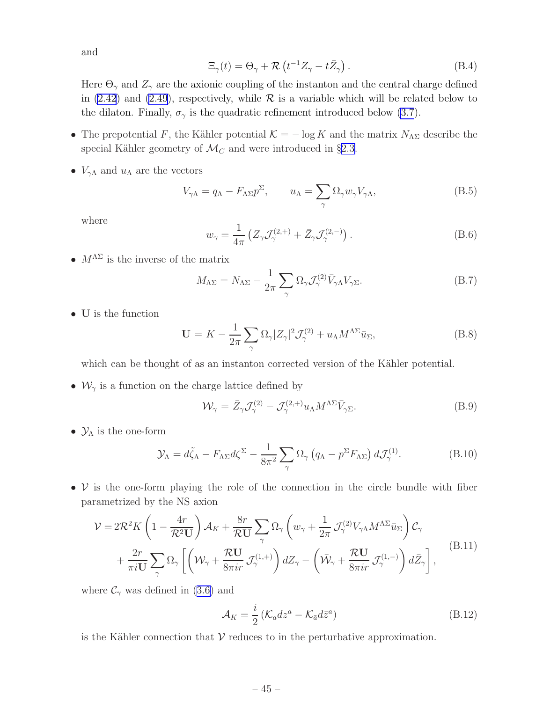<span id="page-46-0"></span>and

$$
\Xi_{\gamma}(t) = \Theta_{\gamma} + \mathcal{R}\left(t^{-1}Z_{\gamma} - t\bar{Z}_{\gamma}\right). \tag{B.4}
$$

Here  $\Theta_{\gamma}$  and  $Z_{\gamma}$  are the axionic coupling of the instanton and the central charge defined in [\(2.42](#page-13-0)) and [\(2.49](#page-14-0)), respectively, while  $\mathcal R$  is a variable which will be related below to the dilaton. Finally,  $\sigma_{\gamma}$  is the quadratic refinement introduced below [\(3.7](#page-17-0)).

- The prepotential F, the Kähler potential  $\mathcal{K} = -\log K$  and the matrix  $N_{\Lambda\Sigma}$  describe the special Kähler geometry of  $\mathcal{M}_C$  and were introduced in §[2.3.](#page-11-0)
- $V_{\gamma\Lambda}$  and  $u_{\Lambda}$  are the vectors

$$
V_{\gamma\Lambda} = q_{\Lambda} - F_{\Lambda \Sigma} p^{\Sigma}, \qquad u_{\Lambda} = \sum_{\gamma} \Omega_{\gamma} w_{\gamma} V_{\gamma\Lambda}, \qquad (B.5)
$$

where

$$
w_{\gamma} = \frac{1}{4\pi} \left( Z_{\gamma} \mathcal{J}_{\gamma}^{(2, +)} + \bar{Z}_{\gamma} \mathcal{J}_{\gamma}^{(2, -)} \right). \tag{B.6}
$$

•  $M^{\Lambda\Sigma}$  is the inverse of the matrix

$$
M_{\Lambda\Sigma} = N_{\Lambda\Sigma} - \frac{1}{2\pi} \sum_{\gamma} \Omega_{\gamma} \mathcal{J}_{\gamma}^{(2)} \bar{V}_{\gamma\Lambda} V_{\gamma\Sigma}.
$$
 (B.7)

• U is the function

$$
\mathbf{U} = K - \frac{1}{2\pi} \sum_{\gamma} \Omega_{\gamma} |Z_{\gamma}|^2 \mathcal{J}_{\gamma}^{(2)} + u_{\Lambda} M^{\Lambda \Sigma} \bar{u}_{\Sigma}, \tag{B.8}
$$

which can be thought of as an instanton corrected version of the Kähler potential.

•  $\mathcal{W}_{\gamma}$  is a function on the charge lattice defined by

$$
\mathcal{W}_{\gamma} = \bar{Z}_{\gamma} \mathcal{J}_{\gamma}^{(2)} - \mathcal{J}_{\gamma}^{(2, +)} u_{\Lambda} M^{\Lambda \Sigma} \bar{V}_{\gamma \Sigma}.
$$
 (B.9)

•  $\mathcal{Y}_\Lambda$  is the one-form

$$
\mathcal{Y}_{\Lambda} = d\tilde{\zeta}_{\Lambda} - F_{\Lambda \Sigma} d\zeta^{\Sigma} - \frac{1}{8\pi^2} \sum_{\gamma} \Omega_{\gamma} \left( q_{\Lambda} - p^{\Sigma} F_{\Lambda \Sigma} \right) d\mathcal{J}_{\gamma}^{(1)}.
$$
 (B.10)

•  $V$  is the one-form playing the role of the connection in the circle bundle with fiber parametrized by the NS axion

$$
\mathcal{V} = 2\mathcal{R}^2 K \left( 1 - \frac{4r}{\mathcal{R}^2 U} \right) \mathcal{A}_K + \frac{8r}{\mathcal{R}U} \sum_{\gamma} \Omega_{\gamma} \left( w_{\gamma} + \frac{1}{2\pi} \mathcal{J}_{\gamma}^{(2)} V_{\gamma \Lambda} M^{\Lambda \Sigma} \bar{u}_{\Sigma} \right) \mathcal{C}_{\gamma} + \frac{2r}{\pi i U} \sum_{\gamma} \Omega_{\gamma} \left[ \left( W_{\gamma} + \frac{\mathcal{R}U}{8\pi i r} \mathcal{J}_{\gamma}^{(1,+)} \right) dZ_{\gamma} - \left( \bar{W}_{\gamma} + \frac{\mathcal{R}U}{8\pi i r} \mathcal{J}_{\gamma}^{(1,-)} \right) d\bar{Z}_{\gamma} \right],
$$
 (B.11)

where $\mathcal{C}_{\gamma}$  was defined in ([3.6\)](#page-16-0) and

$$
\mathcal{A}_K = \frac{i}{2} \left( \mathcal{K}_a dz^a - \mathcal{K}_{\bar{a}} d\bar{z}^a \right) \tag{B.12}
$$

is the Kähler connection that  $V$  reduces to in the perturbative approximation.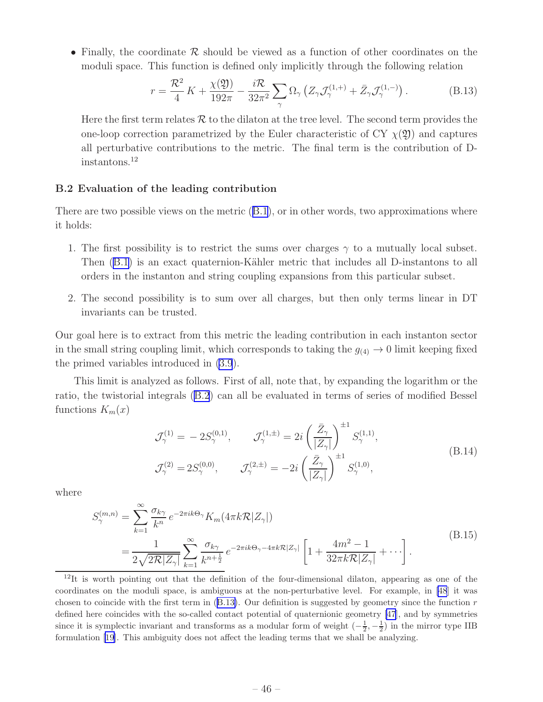<span id="page-47-0"></span>• Finally, the coordinate  $\mathcal R$  should be viewed as a function of other coordinates on the moduli space. This function is defined only implicitly through the following relation

$$
r = \frac{\mathcal{R}^2}{4} K + \frac{\chi(\mathfrak{Y})}{192\pi} - \frac{i\mathcal{R}}{32\pi^2} \sum_{\gamma} \Omega_{\gamma} \left( Z_{\gamma} \mathcal{J}_{\gamma}^{(1, +)} + \bar{Z}_{\gamma} \mathcal{J}_{\gamma}^{(1, -)} \right). \tag{B.13}
$$

Here the first term relates  $\mathcal R$  to the dilaton at the tree level. The second term provides the one-loop correction parametrized by the Euler characteristic of CY  $\chi(\mathfrak{Y})$  and captures all perturbative contributions to the metric. The final term is the contribution of Dinstantons.<sup>12</sup>

#### B.2 Evaluation of the leading contribution

There are two possible views on the metric([B.1](#page-45-0)), or in other words, two approximations where it holds:

- 1. The first possibility is to restrict the sums over charges  $\gamma$  to a mutually local subset. Then([B.1](#page-45-0)) is an exact quaternion-Kähler metric that includes all D-instantons to all orders in the instanton and string coupling expansions from this particular subset.
- 2. The second possibility is to sum over all charges, but then only terms linear in DT invariants can be trusted.

Our goal here is to extract from this metric the leading contribution in each instanton sector in the small string coupling limit, which corresponds to taking the  $g_{(4)} \to 0$  limit keeping fixed the primed variables introduced in [\(3.9](#page-17-0)).

This limit is analyzed as follows. First of all, note that, by expanding the logarithm or the ratio, the twistorial integrals([B.2](#page-45-0)) can all be evaluated in terms of series of modified Bessel functions  $K_m(x)$ 

$$
\mathcal{J}_{\gamma}^{(1)} = -2S_{\gamma}^{(0,1)}, \qquad \mathcal{J}_{\gamma}^{(1,\pm)} = 2i \left(\frac{\bar{Z}_{\gamma}}{|Z_{\gamma}|}\right)^{\pm 1} S_{\gamma}^{(1,1)},
$$
\n
$$
\mathcal{J}_{\gamma}^{(2)} = 2S_{\gamma}^{(0,0)}, \qquad \mathcal{J}_{\gamma}^{(2,\pm)} = -2i \left(\frac{\bar{Z}_{\gamma}}{|Z_{\gamma}|}\right)^{\pm 1} S_{\gamma}^{(1,0)},
$$
\n(B.14)

where

$$
S_{\gamma}^{(m,n)} = \sum_{k=1}^{\infty} \frac{\sigma_{k\gamma}}{k^n} e^{-2\pi i k \Theta_{\gamma}} K_m(4\pi k \mathcal{R}|Z_{\gamma}|)
$$
  
= 
$$
\frac{1}{2\sqrt{2\mathcal{R}|Z_{\gamma}|}} \sum_{k=1}^{\infty} \frac{\sigma_{k\gamma}}{k^{n+\frac{1}{2}}} e^{-2\pi i k \Theta_{\gamma}-4\pi k \mathcal{R}|Z_{\gamma}|} \left[1 + \frac{4m^2 - 1}{32\pi k \mathcal{R}|Z_{\gamma}|} + \cdots \right].
$$
 (B.15)

<sup>&</sup>lt;sup>12</sup>It is worth pointing out that the definition of the four-dimensional dilaton, appearing as one of the coordinates on the moduli space, is ambiguous at the non-perturbative level. For example, in [\[48](#page-59-0)] it was chosen to coincide with the first term in  $(B.13)$ . Our definition is suggested by geometry since the function  $r$ defined here coincides with the so-called contact potential of quaternionic geometry [\[47](#page-59-0)], and by symmetries since it is symplectic invariant and transforms as a modular form of weight  $\left(-\frac{1}{2}, -\frac{1}{2}\right)$  in the mirror type IIB formulation[[19\]](#page-57-0). This ambiguity does not affect the leading terms that we shall be analyzing.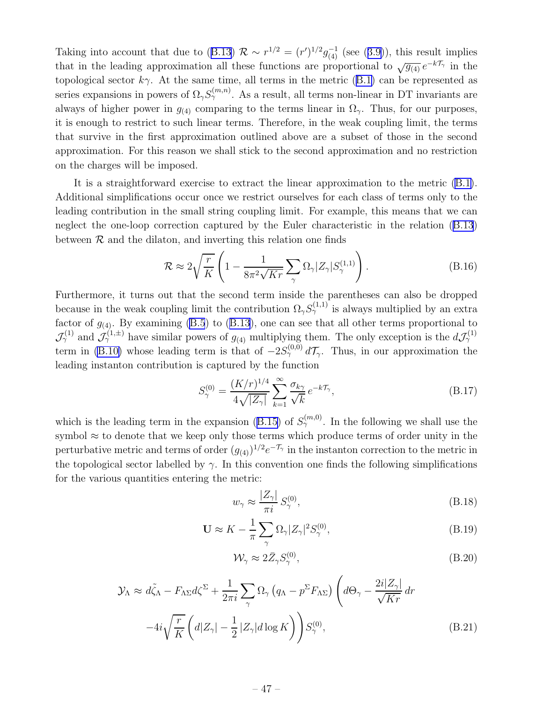Takinginto account that due to ([B.13\)](#page-47-0)  $\mathcal{R} \sim r^{1/2} = (r')^{1/2} g_{(4)}^{-1}$  (see ([3.9\)](#page-17-0)), this result implies that in the leading approximation all these functions are proportional to  $\sqrt{g_{(4)}} e^{-k\mathcal{T}_{\gamma}}$  in the topologicalsector  $k\gamma$ . At the same time, all terms in the metric ([B.1\)](#page-45-0) can be represented as series expansions in powers of  $\Omega_{\gamma}S_{\gamma}^{(m,n)}$ . As a result, all terms non-linear in DT invariants are always of higher power in  $g_{(4)}$  comparing to the terms linear in  $\Omega_{\gamma}$ . Thus, for our purposes, it is enough to restrict to such linear terms. Therefore, in the weak coupling limit, the terms that survive in the first approximation outlined above are a subset of those in the second approximation. For this reason we shall stick to the second approximation and no restriction on the charges will be imposed.

It is a straightforward exercise to extract the linear approximation to the metric [\(B.1\)](#page-45-0). Additional simplifications occur once we restrict ourselves for each class of terms only to the leading contribution in the small string coupling limit. For example, this means that we can neglect the one-loop correction captured by the Euler characteristic in the relation([B.13](#page-47-0)) between  $\mathcal R$  and the dilaton, and inverting this relation one finds

$$
\mathcal{R} \approx 2\sqrt{\frac{r}{K}} \left( 1 - \frac{1}{8\pi^2 \sqrt{Kr}} \sum_{\gamma} \Omega_{\gamma} |Z_{\gamma}| S_{\gamma}^{(1,1)} \right). \tag{B.16}
$$

Furthermore, it turns out that the second term inside the parentheses can also be dropped because in the weak coupling limit the contribution  $\Omega_{\gamma} S_{\gamma}^{(1,1)}$  is always multiplied by an extra factorof  $g_{(4)}$ . By examining [\(B.5](#page-46-0)) to ([B.13](#page-47-0)), one can see that all other terms proportional to  $\mathcal{J}_{\gamma}^{(1)}$  and  $\mathcal{J}_{\gamma}^{(1,\pm)}$  have similar powers of  $g_{(4)}$  multiplying them. The only exception is the  $d\mathcal{J}_{\gamma}^{(1)}$ term in [\(B.10\)](#page-46-0) whose leading term is that of  $-2S_{\gamma}^{(0,0)} d\mathcal{T}_{\gamma}$ . Thus, in our approximation the leading instanton contribution is captured by the function

$$
S_{\gamma}^{(0)} = \frac{(K/r)^{1/4}}{4\sqrt{|Z_{\gamma}|}} \sum_{k=1}^{\infty} \frac{\sigma_{k\gamma}}{\sqrt{k}} e^{-k\mathcal{T}_{\gamma}},
$$
(B.17)

whichis the leading term in the expansion ([B.15\)](#page-47-0) of  $S_{\gamma}^{(m,0)}$ . In the following we shall use the symbol  $\approx$  to denote that we keep only those terms which produce terms of order unity in the perturbative metric and terms of order  $(g_{(4)})^{1/2}e^{-\mathcal{T}_{\gamma}}$  in the instanton correction to the metric in the topological sector labelled by  $\gamma$ . In this convention one finds the following simplifications for the various quantities entering the metric:

$$
w_{\gamma} \approx \frac{|Z_{\gamma}|}{\pi i} S_{\gamma}^{(0)},\tag{B.18}
$$

$$
\mathbf{U} \approx K - \frac{1}{\pi} \sum_{\gamma} \Omega_{\gamma} |Z_{\gamma}|^2 S_{\gamma}^{(0)},\tag{B.19}
$$

$$
\mathcal{W}_{\gamma} \approx 2\bar{Z}_{\gamma} S_{\gamma}^{(0)},\tag{B.20}
$$

$$
\mathcal{Y}_{\Lambda} \approx d\tilde{\zeta}_{\Lambda} - F_{\Lambda \Sigma} d\zeta^{\Sigma} + \frac{1}{2\pi i} \sum_{\gamma} \Omega_{\gamma} (q_{\Lambda} - p^{\Sigma} F_{\Lambda \Sigma}) \left( d\Theta_{\gamma} - \frac{2i |Z_{\gamma}|}{\sqrt{Kr}} dr \right)
$$

$$
-4i \sqrt{\frac{r}{K}} \left( d|Z_{\gamma}| - \frac{1}{2} |Z_{\gamma}| d \log K \right) \mathcal{S}_{\gamma}^{(0)}, \tag{B.21}
$$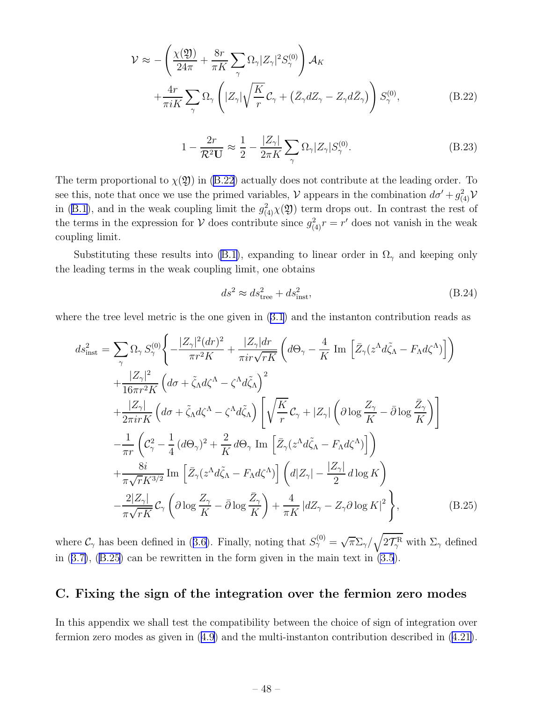<span id="page-49-0"></span>
$$
\mathcal{V} \approx -\left(\frac{\chi(\mathfrak{Y})}{24\pi} + \frac{8r}{\pi K} \sum_{\gamma} \Omega_{\gamma} |Z_{\gamma}|^2 S_{\gamma}^{(0)}\right) \mathcal{A}_{K} + \frac{4r}{\pi i K} \sum_{\gamma} \Omega_{\gamma} \left(|Z_{\gamma}| \sqrt{\frac{K}{r}} \mathcal{C}_{\gamma} + (\bar{Z}_{\gamma} dZ_{\gamma} - Z_{\gamma} d\bar{Z}_{\gamma})\right) S_{\gamma}^{(0)}, \tag{B.22}
$$

$$
1 - \frac{2r}{\mathcal{R}^2 \mathbf{U}} \approx \frac{1}{2} - \frac{|Z_{\gamma}|}{2\pi K} \sum_{\gamma} \Omega_{\gamma} |Z_{\gamma}| S_{\gamma}^{(0)}.
$$
 (B.23)

The term proportional to  $\chi(\mathfrak{Y})$  in (B.22) actually does not contribute at the leading order. To see this, note that once we use the primed variables,  $V$  appears in the combination  $d\sigma' + g_{(4)}^2 V$ in([B.1](#page-45-0)), and in the weak coupling limit the  $g^2_{(4)}\chi(\mathfrak{Y})$  term drops out. In contrast the rest of the terms in the expression for  $V$  does contribute since  $g_{(4)}^2 r = r'$  does not vanish in the weak coupling limit.

Substituting these results into [\(B.1\)](#page-45-0), expanding to linear order in  $\Omega_{\gamma}$  and keeping only the leading terms in the weak coupling limit, one obtains

$$
ds^2 \approx ds_{\text{tree}}^2 + ds_{\text{inst}}^2,\tag{B.24}
$$

where the tree level metric is the one given in [\(3.1](#page-15-0)) and the instanton contribution reads as

$$
ds_{\text{inst}}^{2} = \sum_{\gamma} \Omega_{\gamma} S_{\gamma}^{(0)} \left\{ -\frac{|Z_{\gamma}|^{2} (dr)^{2}}{\pi r^{2} K} + \frac{|Z_{\gamma}| dr}{\pi i r \sqrt{r K}} \left( d\Theta_{\gamma} - \frac{4}{K} \operatorname{Im} \left[ \bar{Z}_{\gamma} (z^{\Lambda} d \tilde{\zeta}_{\Lambda} - F_{\Lambda} d \zeta^{\Lambda}) \right] \right) \right\} + \frac{|Z_{\gamma}|^{2}}{16 \pi r^{2} K} \left( d\sigma + \tilde{\zeta}_{\Lambda} d \zeta^{\Lambda} - \zeta^{\Lambda} d \tilde{\zeta}_{\Lambda} \right)^{2} + \frac{|Z_{\gamma}|}{2 \pi i r K} \left( d\sigma + \tilde{\zeta}_{\Lambda} d \zeta^{\Lambda} - \zeta^{\Lambda} d \tilde{\zeta}_{\Lambda} \right) \left[ \sqrt{\frac{K}{r}} C_{\gamma} + |Z_{\gamma}| \left( \partial \log \frac{Z_{\gamma}}{K} - \bar{\partial} \log \frac{\bar{Z}_{\gamma}}{K} \right) \right] - \frac{1}{\pi r} \left( C_{\gamma}^{2} - \frac{1}{4} (d\Theta_{\gamma})^{2} + \frac{2}{K} d\Theta_{\gamma} \operatorname{Im} \left[ \bar{Z}_{\gamma} (z^{\Lambda} d \tilde{\zeta}_{\Lambda} - F_{\Lambda} d \zeta^{\Lambda}) \right] \right) + \frac{8i}{\pi \sqrt{r} K^{3/2}} \operatorname{Im} \left[ \bar{Z}_{\gamma} (z^{\Lambda} d \tilde{\zeta}_{\Lambda} - F_{\Lambda} d \zeta^{\Lambda}) \right] \left( d|Z_{\gamma}| - \frac{|Z_{\gamma}|}{2} d \log K \right) - \frac{2|Z_{\gamma}|}{\pi \sqrt{r K}} C_{\gamma} \left( \partial \log \frac{Z_{\gamma}}{K} - \bar{\partial} \log \frac{\bar{Z}_{\gamma}}{K} \right) + \frac{4}{\pi K} |dZ_{\gamma} - Z_{\gamma} \partial \log K|^{2} \right\}, \tag{B.25}
$$

where $C_\gamma$  has been defined in ([3.6\)](#page-16-0). Finally, noting that  $S_\gamma^{(0)} = \sqrt{\pi} \Sigma_\gamma / \sqrt{2 \mathcal{T}_\gamma^R}$  with  $\Sigma_\gamma$  defined in([3.7\)](#page-17-0), (B.25) can be rewritten in the form given in the main text in [\(3.5](#page-16-0)).

## C. Fixing the sign of the integration over the fermion zero modes

In this appendix we shall test the compatibility between the choice of sign of integration over fermion zero modes as given in([4.9\)](#page-21-0) and the multi-instanton contribution described in([4.21\)](#page-23-0).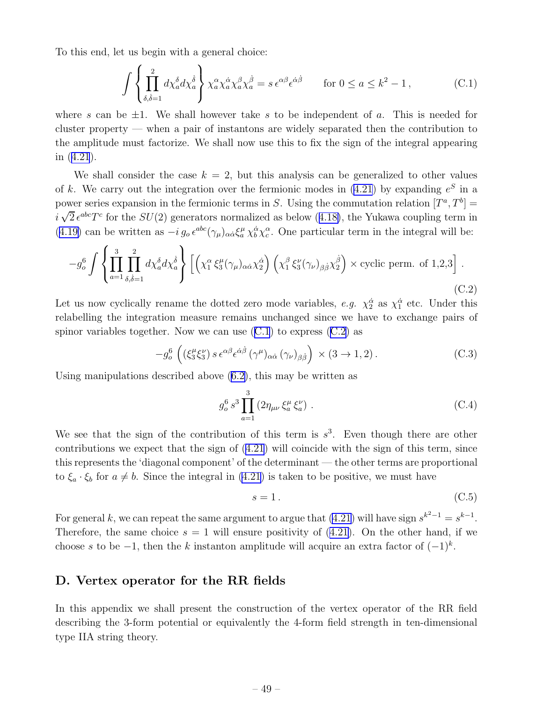<span id="page-50-0"></span>To this end, let us begin with a general choice:

$$
\int \left\{ \prod_{\delta,\dot{\delta}=1}^{2} d\chi_a^{\delta} d\chi_a^{\dot{\delta}} \right\} \chi_a^{\alpha} \chi_a^{\dot{\alpha}} \chi_a^{\beta} \chi_a^{\dot{\beta}} = s \,\epsilon^{\alpha\beta} \epsilon^{\dot{\alpha}\dot{\beta}} \qquad \text{for } 0 \le a \le k^2 - 1,
$$
 (C.1)

where s can be  $\pm 1$ . We shall however take s to be independent of a. This is needed for cluster property — when a pair of instantons are widely separated then the contribution to the amplitude must factorize. We shall now use this to fix the sign of the integral appearing in([4.21](#page-23-0)).

We shall consider the case  $k = 2$ , but this analysis can be generalized to other values of k. We carry out the integration over the fermionic modes in  $(4.21)$  by expanding  $e^{S}$  in a power series expansion in the fermionic terms in S. Using the commutation relation  $[T^a, T^b] =$  $i\sqrt{2} \epsilon^{abc} T^c$  $i\sqrt{2} \epsilon^{abc} T^c$  $i\sqrt{2} \epsilon^{abc} T^c$  for the  $SU(2)$  generators normalized as below ([4.18\)](#page-23-0), the Yukawa coupling term in ([4.19\)](#page-23-0) can be written as  $-i g_o \epsilon^{abc} (\gamma_\mu)_{\alpha\dot{\alpha}} \xi^\mu_a \chi_b^{\dot{\alpha}} \chi_c^{\alpha}$ . One particular term in the integral will be:

$$
-g_o^6 \int \left\{ \prod_{a=1}^3 \prod_{\delta,\dot{\delta}=1}^2 d\chi_a^{\delta} d\chi_a^{\dot{\delta}} \right\} \left[ \left( \chi_1^\alpha \xi_3^\mu (\gamma_\mu)_{\alpha \dot{\alpha}} \chi_2^{\dot{\alpha}} \right) \left( \chi_1^\beta \xi_3^\nu (\gamma_\nu)_{\beta \dot{\beta}} \chi_2^{\dot{\beta}} \right) \times \text{cyclic perm. of 1,2,3} \right].
$$
\n(C.2)

Let us now cyclically rename the dotted zero mode variables, e.g.  $\chi_2^{\dot{\alpha}}$  as  $\chi_1^{\dot{\alpha}}$  etc. Under this relabelling the integration measure remains unchanged since we have to exchange pairs of spinor variables together. Now we can use  $(C.1)$  to express  $(C.2)$  as

$$
-g_o^6\left( (\xi_3^\mu \xi_3^\nu) s \,\epsilon^{\alpha\beta} \epsilon^{\dot{\alpha}\dot{\beta}} \, (\gamma^\mu)_{\alpha\dot{\alpha}} \, (\gamma_\nu)_{\beta\dot{\beta}} \right) \times (3 \to 1, 2). \tag{C.3}
$$

Using manipulations described above([6.2\)](#page-32-0), this may be written as

$$
g_o^6 s^3 \prod_{a=1}^3 (2\eta_{\mu\nu} \xi_a^{\mu} \xi_a^{\nu}) \ . \tag{C.4}
$$

We see that the sign of the contribution of this term is  $s^3$ . Even though there are other contributions we expect that the sign of [\(4.21\)](#page-23-0) will coincide with the sign of this term, since this represents the 'diagonal component' of the determinant — the other terms are proportional to  $\xi_a \cdot \xi_b$  for  $a \neq b$ . Since the integral in [\(4.21](#page-23-0)) is taken to be positive, we must have

$$
s = 1. \tag{C.5}
$$

For general k, we can repeat the same argument to argue that  $(4.21)$  will have sign  $s^{k^2-1} = s^{k-1}$ . Therefore,the same choice  $s = 1$  will ensure positivity of ([4.21\)](#page-23-0). On the other hand, if we choose s to be  $-1$ , then the k instanton amplitude will acquire an extra factor of  $(-1)^k$ .

## D. Vertex operator for the RR fields

In this appendix we shall present the construction of the vertex operator of the RR field describing the 3-form potential or equivalently the 4-form field strength in ten-dimensional type IIA string theory.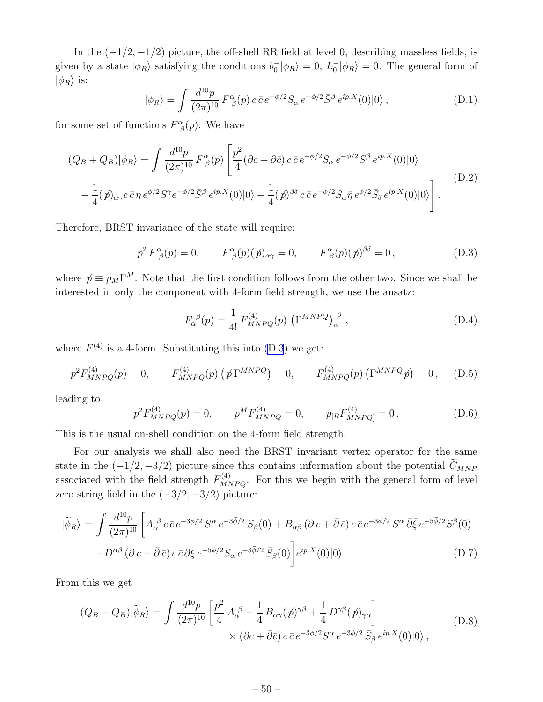<span id="page-51-0"></span>In the  $(-1/2, -1/2)$  picture, the off-shell RR field at level 0, describing massless fields, is given by a state  $|\phi_R\rangle$  satisfying the conditions  $b_0^- |\phi_R\rangle = 0$ ,  $L_0^- |\phi_R\rangle = 0$ . The general form of  $|\phi_R\rangle$  is:

$$
|\phi_R\rangle = \int \frac{d^{10}p}{(2\pi)^{10}} F^{\alpha}_{\ \beta}(p) c \bar{c} e^{-\phi/2} S_{\alpha} e^{-\bar{\phi}/2} \bar{S}^{\beta} e^{ip.X}(0) |0\rangle , \qquad (D.1)
$$

for some set of functions  $F^{\alpha}_{\beta}(p)$ . We have

$$
(Q_B + \bar{Q}_B)|\phi_R\rangle = \int \frac{d^{10}p}{(2\pi)^{10}} F^{\alpha}_{\ \beta}(p) \left[ \frac{p^2}{4} (\partial c + \bar{\partial}\bar{c}) c \bar{c} e^{-\phi/2} S_{\alpha} e^{-\bar{\phi}/2} \bar{S}^{\beta} e^{ip.X}(0) |0\rangle \right. \\ - \frac{1}{4} (\not p)_{\alpha\gamma} c \bar{c} \eta e^{\phi/2} S^{\gamma} e^{-\bar{\phi}/2} \bar{S}^{\beta} e^{ip.X}(0) |0\rangle + \frac{1}{4} (\not p)^{\beta\delta} c \bar{c} e^{-\phi/2} S_{\alpha} \bar{\eta} e^{\bar{\phi}/2} \bar{S}_{\delta} e^{ip.X}(0) |0\rangle \right]. \tag{D.2}
$$

Therefore, BRST invariance of the state will require:

$$
p^2 F^{\alpha}_{\beta}(p) = 0, \qquad F^{\alpha}_{\beta}(p)(p)_{\alpha\gamma} = 0, \qquad F^{\alpha}_{\beta}(p)(p)^{\beta\delta} = 0, \tag{D.3}
$$

where  $p \equiv p_M \Gamma^M$ . Note that the first condition follows from the other two. Since we shall be interested in only the component with 4-form field strength, we use the ansatz:

$$
F_{\alpha}^{\ \beta}(p) = \frac{1}{4!} F_{MNPQ}^{(4)}(p) \left( \Gamma^{MNPQ} \right)_{\alpha}^{\ \beta} , \qquad (D.4)
$$

where  $F^{(4)}$  is a 4-form. Substituting this into (D.3) we get:

$$
p^2 F_{MNPQ}^{(4)}(p) = 0, \qquad F_{MNPQ}^{(4)}(p) \left( p^{\text{NNPQ}} \right) = 0, \qquad F_{MNPQ}^{(4)}(p) \left( \Gamma^{MNPQ} p \right) = 0, \qquad (D.5)
$$

leading to

$$
p^2 F_{MNPQ}^{(4)}(p) = 0, \qquad p^M F_{MNPQ}^{(4)} = 0, \qquad p_{[R} F_{MNPQ]}^{(4)} = 0.
$$
 (D.6)

This is the usual on-shell condition on the 4-form field strength.

For our analysis we shall also need the BRST invariant vertex operator for the same state in the  $(-1/2, -3/2)$  picture since this contains information about the potential  $\tilde{C}_{MNP}$ associated with the field strength  $F^{(4)}_{MNPQ}$ . For this we begin with the general form of level zero string field in the  $(-3/2, -3/2)$  picture:

$$
|\tilde{\phi}_R\rangle = \int \frac{d^{10}p}{(2\pi)^{10}} \left[ A_{\alpha}^{\ \beta} c \,\bar{c} \,e^{-3\phi/2} S^{\alpha} \,e^{-3\bar{\phi}/2} \,\bar{S}_{\beta}(0) + B_{\alpha\beta} \left( \partial c + \bar{\partial} \,\bar{c} \right) c \,\bar{c} \,e^{-3\phi/2} S^{\alpha} \,\bar{\partial}\bar{\xi} \,e^{-5\bar{\phi}/2} \bar{S}^{\beta}(0) \right] \right. \\
\left. + D^{\alpha\beta} \left( \partial c + \bar{\partial} \,\bar{c} \right) c \,\bar{c} \,\partial\xi \,e^{-5\phi/2} S_{\alpha} \,e^{-3\bar{\phi}/2} \,\bar{S}_{\beta}(0) \right] e^{ip.X}(0) |0\rangle. \tag{D.7}
$$

From this we get

$$
(Q_B + \bar{Q}_B)|\widetilde{\phi}_R\rangle = \int \frac{d^{10}p}{(2\pi)^{10}} \left[ \frac{p^2}{4} A_\alpha^{\ \beta} - \frac{1}{4} B_{\alpha\gamma}(p)^{\gamma\beta} + \frac{1}{4} D^{\gamma\beta}(p)_{\gamma\alpha} \right] \times (\partial c + \bar{\partial}\bar{c}) c \,\bar{c} \, e^{-3\bar{\phi}/2} S^\alpha \, e^{-3\bar{\phi}/2} \,\bar{S}_\beta \, e^{ip.X}(0) |0\rangle \,, \tag{D.8}
$$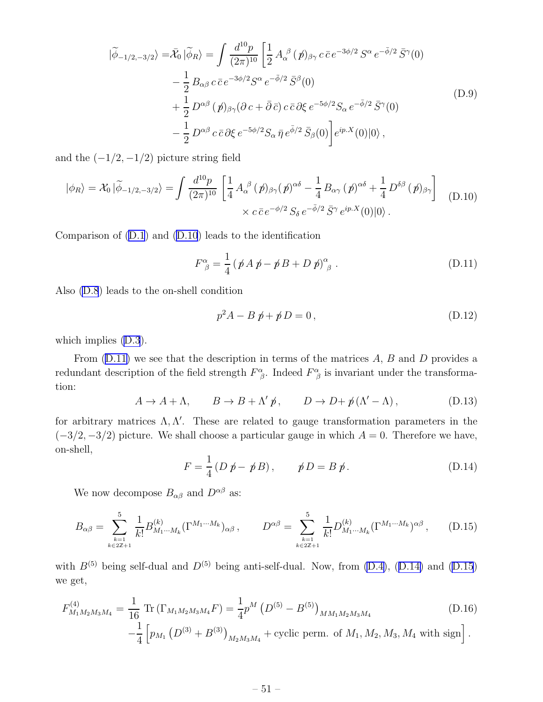<span id="page-52-0"></span>
$$
|\tilde{\phi}_{-1/2,-3/2}\rangle = \bar{\mathcal{X}}_0 |\tilde{\phi}_R\rangle = \int \frac{d^{10}p}{(2\pi)^{10}} \left[ \frac{1}{2} A_\alpha^{\ \beta} (\not p)_{\beta\gamma} c \,\bar{c} \, e^{-3\phi/2} S^\alpha \, e^{-\bar{\phi}/2} \,\bar{S}^\gamma(0) \right. \\ - \frac{1}{2} B_{\alpha\beta} c \,\bar{c} \, e^{-3\phi/2} S^\alpha \, e^{-\bar{\phi}/2} \,\bar{S}^\beta(0) \\ + \frac{1}{2} D^{\alpha\beta} (\not p)_{\beta\gamma} (\partial c + \bar{\partial} \,\bar{c}) \, c \,\bar{c} \, \partial \xi \, e^{-5\phi/2} S_\alpha \, e^{-\bar{\phi}/2} \,\bar{S}^\gamma(0) \\ - \frac{1}{2} D^{\alpha\beta} c \,\bar{c} \, \partial \xi \, e^{-5\phi/2} S_\alpha \, \bar{\eta} \, e^{\bar{\phi}/2} \,\bar{S}_\beta(0) \right] e^{ip.X}(0) |0\rangle \,, \tag{D.9}
$$

and the  $(-1/2, -1/2)$  picture string field

$$
|\phi_R\rangle = \mathcal{X}_0 |\widetilde{\phi}_{-1/2, -3/2}\rangle = \int \frac{d^{10}p}{(2\pi)^{10}} \left[ \frac{1}{4} A_\alpha^{\ \beta} (\not p)_{\beta\gamma} (\not p)^{\alpha\delta} - \frac{1}{4} B_{\alpha\gamma} (\not p)^{\alpha\delta} + \frac{1}{4} D^{\delta\beta} (\not p)_{\beta\gamma} \right] \quad (D.10)
$$

$$
\times c \bar{c} e^{-\phi/2} S_\delta e^{-\bar{\phi}/2} \bar{S}^\gamma e^{ip.X}(0) |0\rangle.
$$

Comparison of [\(D.1](#page-51-0)) and (D.10) leads to the identification

$$
F^{\alpha}_{\ \beta} = \frac{1}{4} \left( \not p A \not p - \not p B + D \not p \right)^{\alpha}_{\ \beta} \,. \tag{D.11}
$$

Also [\(D.8](#page-51-0)) leads to the on-shell condition

$$
p^2 A - B \not p + \not p D = 0, \tag{D.12}
$$

which implies [\(D.3](#page-51-0)).

From  $(D.11)$  we see that the description in terms of the matrices A, B and D provides a redundant description of the field strength  $F^{\alpha}_{\ \beta}$ . Indeed  $F^{\alpha}_{\ \beta}$  is invariant under the transformation:

$$
A \to A + \Lambda, \qquad B \to B + \Lambda' \, \not{p}, \qquad D \to D + \, \not{p} \left( \Lambda' - \Lambda \right), \tag{D.13}
$$

for arbitrary matrices  $\Lambda, \Lambda'$ . These are related to gauge transformation parameters in the  $(-3/2, -3/2)$  picture. We shall choose a particular gauge in which  $A = 0$ . Therefore we have, on-shell,

$$
F = \frac{1}{4} (D \not p - \not p B), \qquad \not p D = B \not p. \tag{D.14}
$$

We now decompose  $B_{\alpha\beta}$  and  $D^{\alpha\beta}$  as:

$$
B_{\alpha\beta} = \sum_{\substack{k=1 \ k \in 2\mathbb{Z}+1}}^5 \frac{1}{k!} B_{M_1\cdots M_k}^{(k)} (\Gamma^{M_1\cdots M_k})_{\alpha\beta} , \qquad D^{\alpha\beta} = \sum_{\substack{k=1 \ k \in 2\mathbb{Z}+1}}^5 \frac{1}{k!} D_{M_1\cdots M_k}^{(k)} (\Gamma^{M_1\cdots M_k})^{\alpha\beta} , \qquad (D.15)
$$

with  $B^{(5)}$  being self-dual and  $D^{(5)}$  being anti-self-dual. Now, from [\(D.4\)](#page-51-0), (D.14) and (D.15) we get,

$$
F_{M_1M_2M_3M_4}^{(4)} = \frac{1}{16} \operatorname{Tr} \left( \Gamma_{M_1M_2M_3M_4} F \right) = \frac{1}{4} p^M \left( D^{(5)} - B^{(5)} \right)_{MM_1M_2M_3M_4}
$$
\n
$$
- \frac{1}{4} \left[ p_{M_1} \left( D^{(3)} + B^{(3)} \right)_{M_2M_3M_4} + \text{cyclic perm. of } M_1, M_2, M_3, M_4 \text{ with sign} \right].
$$
\n(D.16)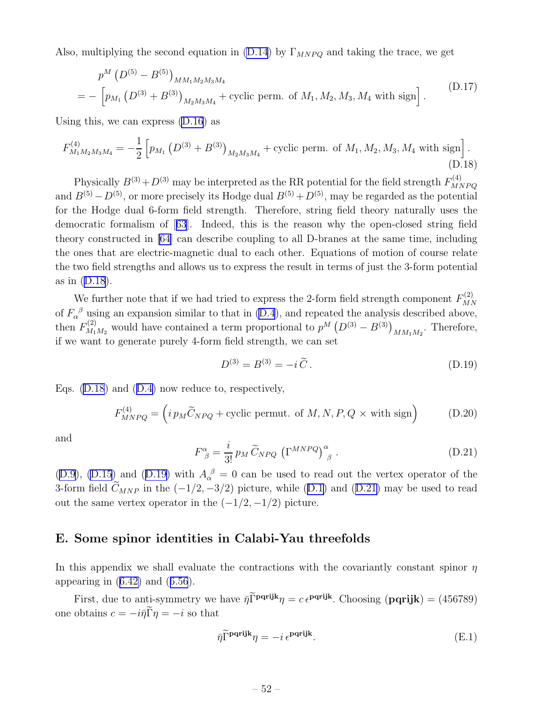<span id="page-53-0"></span>Also, multiplying the second equation in [\(D.14](#page-52-0)) by  $\Gamma_{MNPQ}$  and taking the trace, we get

$$
p^{M} (D^{(5)} - B^{(5)})_{MM_1M_2M_3M_4}
$$
  
= 
$$
- \left[ p_{M_1} (D^{(3)} + B^{(3)})_{M_2M_3M_4} + \text{cyclic perm. of } M_1, M_2, M_3, M_4 \text{ with sign} \right].
$$
 (D.17)

Using this, we can express [\(D.16](#page-52-0)) as

$$
F_{M_1M_2M_3M_4}^{(4)} = -\frac{1}{2} \left[ p_{M_1} \left( D^{(3)} + B^{(3)} \right)_{M_2M_3M_4} + \text{cyclic perm. of } M_1, M_2, M_3, M_4 \text{ with sign} \right].
$$
\n(D.18)

Physically  $B^{(3)} + D^{(3)}$  may be interpreted as the RR potential for the field strength  $F_{M}^{(4)}$  $MNPQ$ and  $B^{(5)} - D^{(5)}$ , or more precisely its Hodge dual  $B^{(5)} + D^{(5)}$ , may be regarded as the potential for the Hodge dual 6-form field strength. Therefore, string field theory naturally uses the democratic formalism of[[63](#page-60-0)]. Indeed, this is the reason why the open-closed string field theory constructed in [\[64](#page-60-0)] can describe coupling to all D-branes at the same time, including the ones that are electric-magnetic dual to each other. Equations of motion of course relate the two field strengths and allows us to express the result in terms of just the 3-form potential as in (D.18).

We further note that if we had tried to express the 2-form field strength component  $F_{MI}^{(2)}$ MN of  $F_\alpha^{\ \beta}$  using an expansion similar to that in [\(D.4](#page-51-0)), and repeated the analysis described above, then  $F_{M_1}^{(2)}$  $N_1^{(2)}$  would have contained a term proportional to  $p^M (D^{(3)} - B^{(3)})_{MM_1M_2}$ . Therefore, if we want to generate purely 4-form field strength, we can set

$$
D^{(3)} = B^{(3)} = -i\,\tilde{C} \,. \tag{D.19}
$$

Eqs. (D.18) and([D.4\)](#page-51-0) now reduce to, respectively,

$$
F_{MNPQ}^{(4)} = \left( i \, p_M \widetilde{C}_{NPQ} + \text{cyclic permut. of } M, N, P, Q \times \text{with sign} \right) \tag{D.20}
$$

and

$$
F^{\alpha}_{\ \beta} = \frac{i}{3!} p_M \widetilde{C}_{NPQ} \left( \Gamma^{MNPQ} \right)^{\alpha}_{\ \beta} . \tag{D.21}
$$

([D.9](#page-52-0)), [\(D.15](#page-52-0)) and (D.19) with  $A_{\alpha}^{\ \beta} = 0$  can be used to read out the vertex operator of the 3-formfield  $\widetilde{C}_{MNP}$  in the  $(-1/2, -3/2)$  picture, while ([D.1\)](#page-51-0) and (D.21) may be used to read out the same vertex operator in the  $(-1/2, -1/2)$  picture.

## E. Some spinor identities in Calabi-Yau threefolds

In this appendix we shall evaluate the contractions with the covariantly constant spinor  $\eta$ appearingin  $(6.42)$  $(6.42)$  and  $(6.56)$  $(6.56)$  $(6.56)$ .

First, due to anti-symmetry we have  $\bar{\eta}$ Γ<sup>pqrijk</sup> $\eta = c e^{pq}$ <sup>rijk</sup>. Choosing (**pqrijk**) = (456789) one obtains  $c = -i\bar{\eta}\tilde{\Gamma}\eta = -i$  so that

$$
\bar{\eta} \tilde{\Gamma}^{\mathbf{pqrijk}} \eta = -i \, \epsilon^{\mathbf{pqrijk}}. \tag{E.1}
$$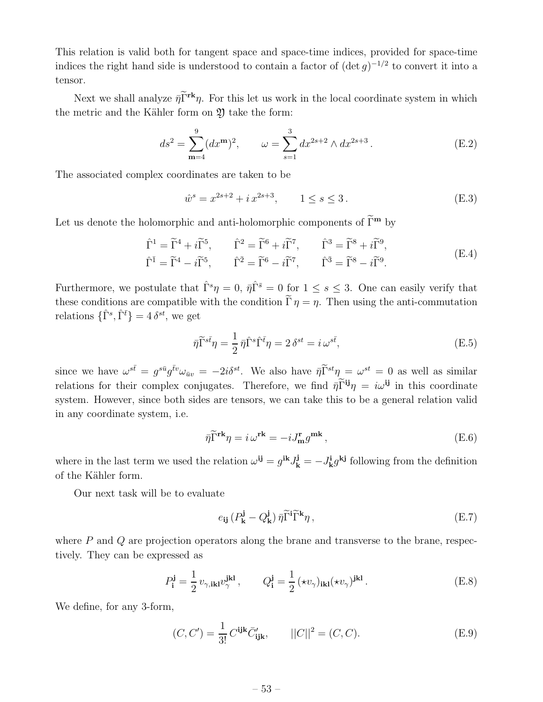<span id="page-54-0"></span>This relation is valid both for tangent space and space-time indices, provided for space-time indices the right hand side is understood to contain a factor of  $(\det g)^{-1/2}$  to convert it into a tensor.

Next we shall analyze  $\bar{\eta} \tilde{\Gamma}^{\mathbf{rk}} \eta$ . For this let us work in the local coordinate system in which the metric and the Kähler form on  $\mathfrak Y$  take the form:

$$
ds^{2} = \sum_{m=4}^{9} (dx^{m})^{2}, \qquad \omega = \sum_{s=1}^{3} dx^{2s+2} \wedge dx^{2s+3}.
$$
 (E.2)

The associated complex coordinates are taken to be

$$
\hat{w}^s = x^{2s+2} + i x^{2s+3}, \qquad 1 \le s \le 3. \tag{E.3}
$$

Let us denote the holomorphic and anti-holomorphic components of  $\widetilde{\Gamma}^{\mathbf{m}}$  by

$$
\hat{\Gamma}^1 = \widetilde{\Gamma}^4 + i\widetilde{\Gamma}^5, \qquad \hat{\Gamma}^2 = \widetilde{\Gamma}^6 + i\widetilde{\Gamma}^7, \qquad \hat{\Gamma}^3 = \widetilde{\Gamma}^8 + i\widetilde{\Gamma}^9,
$$
  

$$
\hat{\Gamma}^{\bar{1}} = \widetilde{\Gamma}^4 - i\widetilde{\Gamma}^5, \qquad \hat{\Gamma}^{\bar{2}} = \widetilde{\Gamma}^6 - i\widetilde{\Gamma}^7, \qquad \hat{\Gamma}^{\bar{3}} = \widetilde{\Gamma}^8 - i\widetilde{\Gamma}^9.
$$
 (E.4)

Furthermore, we postulate that  $\hat{\Gamma}^s \eta = 0$ ,  $\bar{\eta} \hat{\Gamma}^{\bar{s}} = 0$  for  $1 \leq s \leq 3$ . One can easily verify that these conditions are compatible with the condition  $\Gamma \eta = \eta$ . Then using the anti-commutation relations  $\{\hat{\Gamma}^s, \hat{\Gamma}^{\bar{t}}\} = 4 \delta^{st}$ , we get

$$
\bar{\eta}\tilde{\Gamma}^{s\bar{t}}\eta = \frac{1}{2}\,\bar{\eta}\hat{\Gamma}^s\hat{\Gamma}^{\bar{t}}\eta = 2\,\delta^{st} = i\,\omega^{s\bar{t}},\tag{E.5}
$$

since we have  $\omega^{s\bar{t}} = g^{s\bar{u}}g^{\bar{t}v}\omega_{\bar{u}v} = -2i\delta^{st}$ . We also have  $\bar{\eta} \tilde{\Gamma}^{st} \eta = \omega^{st} = 0$  as well as similar relations for their complex conjugates. Therefore, we find  $\bar{\eta} \tilde{\Gamma}^{ij} \eta = i \omega^{ij}$  in this coordinate system. However, since both sides are tensors, we can take this to be a general relation valid in any coordinate system, i.e.

$$
\bar{\eta}\tilde{\Gamma}^{\mathbf{rk}}\eta = i\,\omega^{\mathbf{rk}} = -iJ_{\mathbf{m}}^{\mathbf{r}}g^{\mathbf{mk}},\tag{E.6}
$$

where in the last term we used the relation  $\omega^{ij} = g^{ik} J^j_k = -J^i_k g^{kj}$  following from the definition of the Kähler form.

Our next task will be to evaluate

$$
e_{ij} \left( P_{\mathbf{k}}^{\mathbf{j}} - Q_{\mathbf{k}}^{\mathbf{j}} \right) \bar{\eta} \widetilde{\Gamma}^i \widetilde{\Gamma}^k \eta \,, \tag{E.7}
$$

where  $P$  and  $Q$  are projection operators along the brane and transverse to the brane, respectively. They can be expressed as

$$
P_{\mathbf{i}}^{\mathbf{j}} = \frac{1}{2} v_{\gamma, \mathbf{i} \mathbf{k} \mathbf{l}} v_{\gamma}^{\mathbf{j} \mathbf{k} \mathbf{l}}, \qquad Q_{\mathbf{i}}^{\mathbf{j}} = \frac{1}{2} (\star v_{\gamma})_{\mathbf{i} \mathbf{k} \mathbf{l}} (\star v_{\gamma})^{\mathbf{j} \mathbf{k} \mathbf{l}}.
$$
 (E.8)

We define, for any 3-form,

$$
(C, C') = \frac{1}{3!} C^{ijk} \bar{C}'_{ijk}, \qquad ||C||^2 = (C, C). \tag{E.9}
$$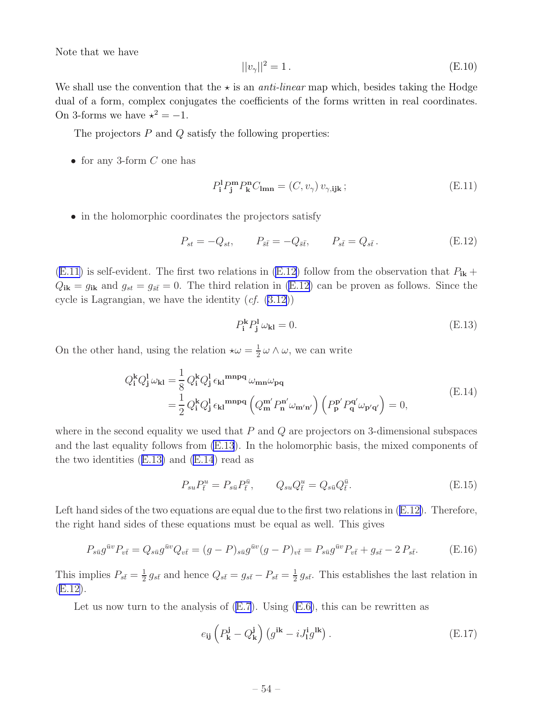<span id="page-55-0"></span>Note that we have

$$
||v_{\gamma}||^{2} = 1.
$$
 (E.10)

We shall use the convention that the  $\star$  is an *anti-linear* map which, besides taking the Hodge dual of a form, complex conjugates the coefficients of the forms written in real coordinates. On 3-forms we have  $\star^2 = -1$ .

The projectors  $P$  and  $Q$  satisfy the following properties:

• for any 3-form  $C$  one has

$$
P_{\mathbf{i}}^{\mathbf{l}} P_{\mathbf{j}}^{\mathbf{m}} P_{\mathbf{k}}^{\mathbf{n}} C_{\mathbf{lmn}} = (C, v_{\gamma}) v_{\gamma, \mathbf{i}\mathbf{j}\mathbf{k}} ; \tag{E.11}
$$

• in the holomorphic coordinates the projectors satisfy

$$
P_{st} = -Q_{st}, \t P_{\bar{s}\bar{t}} = -Q_{\bar{s}\bar{t}}, \t P_{s\bar{t}} = Q_{s\bar{t}}.
$$
(E.12)

 $(E.11)$  is self-evident. The first two relations in  $(E.12)$  follow from the observation that  $P_{ik}$  +  $Q_{ik} = g_{ik}$  and  $g_{st} = g_{\bar{s}\bar{t}} = 0$ . The third relation in (E.12) can be proven as follows. Since the cycle is Lagrangian, we have the identity  $(cf. (3.12))$  $(cf. (3.12))$  $(cf. (3.12))$ 

$$
P_{\mathbf{i}}^{\mathbf{k}} P_{\mathbf{j}}^{\mathbf{l}} \omega_{\mathbf{k}\mathbf{l}} = 0. \tag{E.13}
$$

On the other hand, using the relation  $\star \omega = \frac{1}{2}$  $\frac{1}{2}\omega \wedge \omega$ , we can write

$$
Q_{\mathbf{i}}^{\mathbf{k}} Q_{\mathbf{j}}^{\mathbf{l}} \omega_{\mathbf{k}\mathbf{l}} = \frac{1}{8} Q_{\mathbf{i}}^{\mathbf{k}} Q_{\mathbf{j}}^{\mathbf{l}} \epsilon_{\mathbf{k}\mathbf{l}}^{\mathbf{mnpq}} \omega_{\mathbf{mn}} \omega_{\mathbf{pq}}
$$
\n
$$
= \frac{1}{2} Q_{\mathbf{i}}^{\mathbf{k}} Q_{\mathbf{j}}^{\mathbf{l}} \epsilon_{\mathbf{k}\mathbf{l}}^{\mathbf{mnpq}} \left( Q_{\mathbf{m}}^{\mathbf{m'}} P_{\mathbf{n}}^{\mathbf{n'}} \omega_{\mathbf{m'n'}} \right) \left( P_{\mathbf{p}}^{\mathbf{p'}} P_{\mathbf{q}}^{\mathbf{q'}} \omega_{\mathbf{p'}\mathbf{q'}} \right) = 0,
$$
\n(E.14)

where in the second equality we used that  $P$  and  $Q$  are projectors on 3-dimensional subspaces and the last equality follows from (E.13). In the holomorphic basis, the mixed components of the two identities  $(E.13)$  and  $(E.14)$  read as

$$
P_{su}P_t^u = P_{s\bar{u}}P_{\bar{t}}^{\bar{u}}, \qquad Q_{su}Q_{\bar{t}}^u = Q_{s\bar{u}}Q_{\bar{t}}^{\bar{u}}.
$$
(E.15)

Left hand sides of the two equations are equal due to the first two relations in  $(E.12)$ . Therefore, the right hand sides of these equations must be equal as well. This gives

$$
P_{s\bar{u}}g^{\bar{u}v}P_{v\bar{t}} = Q_{s\bar{u}}g^{\bar{u}v}Q_{v\bar{t}} = (g - P)_{s\bar{u}}g^{\bar{u}v}(g - P)_{v\bar{t}} = P_{s\bar{u}}g^{\bar{u}v}P_{v\bar{t}} + g_{s\bar{t}} - 2P_{s\bar{t}}.
$$
(E.16)

This implies  $P_{s\bar{t}} = \frac{1}{2}$  $\frac{1}{2} g_{s\bar{t}}$  and hence  $Q_{s\bar{t}} = g_{s\bar{t}} - P_{s\bar{t}} = \frac{1}{2}$  $\frac{1}{2} g_{s\bar{t}}$ . This establishes the last relation in (E.12).

Letus now turn to the analysis of  $(E.7)$ . Using  $(E.6)$  $(E.6)$ , this can be rewritten as

$$
e_{ij}\left(P_{\mathbf{k}}^{j}-Q_{\mathbf{k}}^{j}\right)\left(g^{i\mathbf{k}}-iJ_{1}^{i}g^{l\mathbf{k}}\right).
$$
\n(E.17)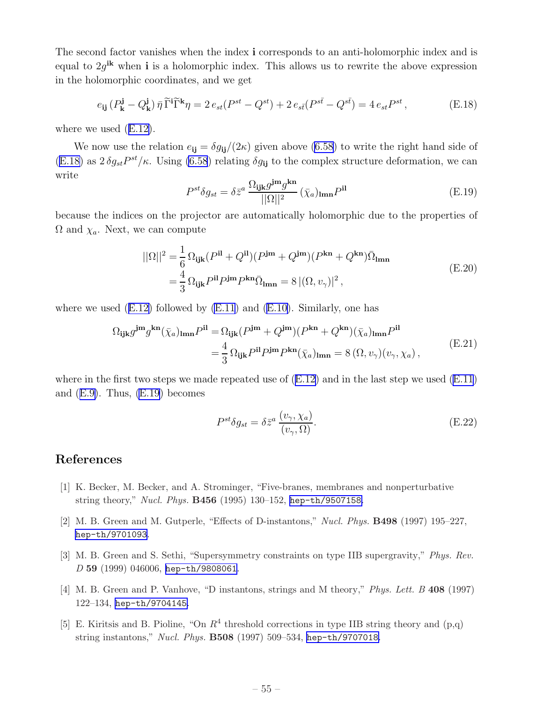<span id="page-56-0"></span>The second factor vanishes when the index i corresponds to an anti-holomorphic index and is equal to  $2g^{ik}$  when **i** is a holomorphic index. This allows us to rewrite the above expression in the holomorphic coordinates, and we get

$$
e_{ij}(P_{\mathbf{k}}^{\mathbf{j}} - Q_{\mathbf{k}}^{\mathbf{j}})\bar{\eta}\widetilde{\Gamma}^{i}\widetilde{\Gamma}^{k}\eta = 2 e_{st}(P^{st} - Q^{st}) + 2 e_{st}(P^{st} - Q^{st}) = 4 e_{st}P^{st},\tag{E.18}
$$

where we used([E.12\)](#page-55-0).

We now use the relation  $e_{ii} = \delta g_{ii}/(2\kappa)$  given above [\(6.58\)](#page-40-0) to write the right hand side of (E.18) as  $2 \delta g_{st} P^{st}/\kappa$ . Using [\(6.58](#page-40-0)) relating  $\delta g_{ij}$  to the complex structure deformation, we can write

$$
P^{st}\delta g_{st} = \delta \bar{z}^a \frac{\Omega_{\mathbf{ijk}} g^{\mathbf{im}} g^{\mathbf{kn}}}{||\Omega||^2} (\bar{\chi}_a)_{\mathbf{lmn}} P^{\mathbf{il}}
$$
(E.19)

because the indices on the projector are automatically holomorphic due to the properties of  $\Omega$  and  $\chi_a$ . Next, we can compute

$$
||\Omega||^2 = \frac{1}{6} \Omega_{ijk} (P^{il} + Q^{il})(P^{jm} + Q^{jm})(P^{kn} + Q^{kn})\overline{\Omega}_{lmn}
$$
  

$$
= \frac{4}{3} \Omega_{ijk} P^{il} P^{jm} P^{kn} \overline{\Omega}_{lmn} = 8 |(\Omega, v_{\gamma})|^2,
$$
 (E.20)

wherewe used  $(E.12)$  $(E.12)$  followed by  $(E.11)$  and  $(E.10)$  $(E.10)$ . Similarly, one has

$$
\Omega_{ijk}g^{jm}g^{kn}(\bar{\chi}_a)_{lmn}P^{il} = \Omega_{ijk}(P^{jm} + Q^{jm})(P^{kn} + Q^{kn})(\bar{\chi}_a)_{lmn}P^{il}
$$
  

$$
= \frac{4}{3}\Omega_{ijk}P^{il}P^{jm}P^{kn}(\bar{\chi}_a)_{lmn} = 8(\Omega, v_{\gamma})(v_{\gamma}, \chi_a),
$$
 (E.21)

wherein the first two steps we made repeated use of  $(E.12)$  $(E.12)$  and in the last step we used  $(E.11)$ and $(E.9)$  $(E.9)$ . Thus,  $(E.19)$  becomes

$$
P^{st}\delta g_{st} = \delta \bar{z}^a \frac{(v_\gamma, \chi_a)}{(v_\gamma, \Omega)}.
$$
\n(E.22)

## References

- [1] K. Becker, M. Becker, and A. Strominger, "Five-branes, membranes and nonperturbative string theory," *Nucl. Phys.* B456 (1995) 130–152, [hep-th/9507158](http://www.arXiv.org/abs/hep-th/9507158).
- [2] M. B. Green and M. Gutperle, "Effects of D-instantons," *Nucl. Phys.* B498 (1997) 195–227, [hep-th/9701093](http://www.arXiv.org/abs/hep-th/9701093).
- [3] M. B. Green and S. Sethi, "Supersymmetry constraints on type IIB supergravity," *Phys. Rev. D* 59 (1999) 046006, [hep-th/9808061](http://www.arXiv.org/abs/hep-th/9808061).
- [4] M. B. Green and P. Vanhove, "D instantons, strings and M theory," *Phys. Lett. B* 408 (1997) 122–134, [hep-th/9704145](http://www.arXiv.org/abs/hep-th/9704145).
- [5] E. Kiritsis and B. Pioline, "On  $R^4$  threshold corrections in type IIB string theory and  $(p,q)$ string instantons," *Nucl. Phys.* B508 (1997) 509–534, [hep-th/9707018](http://www.arXiv.org/abs/hep-th/9707018).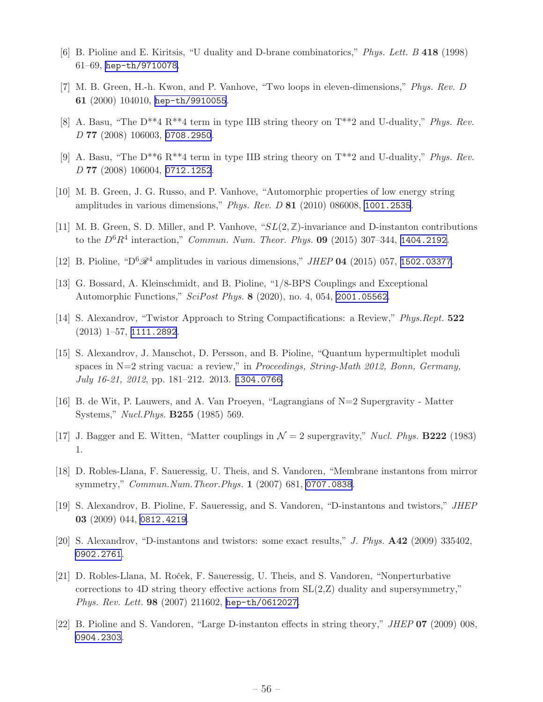- <span id="page-57-0"></span>[6] B. Pioline and E. Kiritsis, "U duality and D-brane combinatorics," *Phys. Lett. B* 418 (1998) 61–69, [hep-th/9710078](http://www.arXiv.org/abs/hep-th/9710078).
- [7] M. B. Green, H.-h. Kwon, and P. Vanhove, "Two loops in eleven-dimensions," *Phys. Rev. D* 61 (2000) 104010, [hep-th/9910055](http://www.arXiv.org/abs/hep-th/9910055).
- [8] A. Basu, "The D\*\*4 R\*\*4 term in type IIB string theory on T\*\*2 and U-duality," *Phys. Rev. D* 77 (2008) 106003, [0708.2950](http://www.arXiv.org/abs/0708.2950).
- [9] A. Basu, "The D\*\*6 R\*\*4 term in type IIB string theory on T\*\*2 and U-duality," *Phys. Rev. D* 77 (2008) 106004, [0712.1252](http://www.arXiv.org/abs/0712.1252).
- [10] M. B. Green, J. G. Russo, and P. Vanhove, "Automorphic properties of low energy string amplitudes in various dimensions," *Phys. Rev. D* 81 (2010) 086008, [1001.2535](http://www.arXiv.org/abs/1001.2535).
- [11] M. B. Green, S. D. Miller, and P. Vanhove, "SL(2,**Z**)-invariance and D-instanton contributions to the  $D^6R^4$  interaction," *Commun. Num. Theor. Phys.* **09** (2015) 307-344, [1404.2192](http://www.arXiv.org/abs/1404.2192).
- [12] B. Pioline, " $D^6\mathscr{R}^4$  amplitudes in various dimensions," *JHEP* 04 (2015) 057, [1502.03377](http://www.arXiv.org/abs/1502.03377).
- [13] G. Bossard, A. Kleinschmidt, and B. Pioline, "1/8-BPS Couplings and Exceptional Automorphic Functions," *SciPost Phys.* 8 (2020), no. 4, 054, [2001.05562](http://www.arXiv.org/abs/2001.05562).
- [14] S. Alexandrov, "Twistor Approach to String Compactifications: a Review," *Phys.Rept.* 522 (2013) 1–57, [1111.2892](http://www.arXiv.org/abs/1111.2892).
- [15] S. Alexandrov, J. Manschot, D. Persson, and B. Pioline, "Quantum hypermultiplet moduli spaces in N=2 string vacua: a review," in *Proceedings, String-Math 2012, Bonn, Germany, July 16-21, 2012*, pp. 181–212. 2013. [1304.0766](http://www.arXiv.org/abs/1304.0766).
- [16] B. de Wit, P. Lauwers, and A. Van Proeyen, "Lagrangians of N=2 Supergravity Matter Systems," *Nucl.Phys.* B255 (1985) 569.
- [17] J. Bagger and E. Witten, "Matter couplings in  $\mathcal{N}=2$  supergravity," *Nucl. Phys.* **B222** (1983) 1.
- [18] D. Robles-Llana, F. Saueressig, U. Theis, and S. Vandoren, "Membrane instantons from mirror symmetry," *Commun.Num.Theor.Phys.* 1 (2007) 681, [0707.0838](http://www.arXiv.org/abs/0707.0838).
- [19] S. Alexandrov, B. Pioline, F. Saueressig, and S. Vandoren, "D-instantons and twistors," *JHEP* 03 (2009) 044, [0812.4219](http://www.arXiv.org/abs/0812.4219).
- [20] S. Alexandrov, "D-instantons and twistors: some exact results," *J. Phys.* A42 (2009) 335402, [0902.2761](http://www.arXiv.org/abs/0902.2761).
- [21] D. Robles-Llana, M. Roček, F. Saueressig, U. Theis, and S. Vandoren, "Nonperturbative corrections to 4D string theory effective actions from  $SL(2,Z)$  duality and supersymmetry," *Phys. Rev. Lett.* 98 (2007) 211602, [hep-th/0612027](http://www.arXiv.org/abs/hep-th/0612027).
- [22] B. Pioline and S. Vandoren, "Large D-instanton effects in string theory," *JHEP* 07 (2009) 008, [0904.2303](http://www.arXiv.org/abs/0904.2303).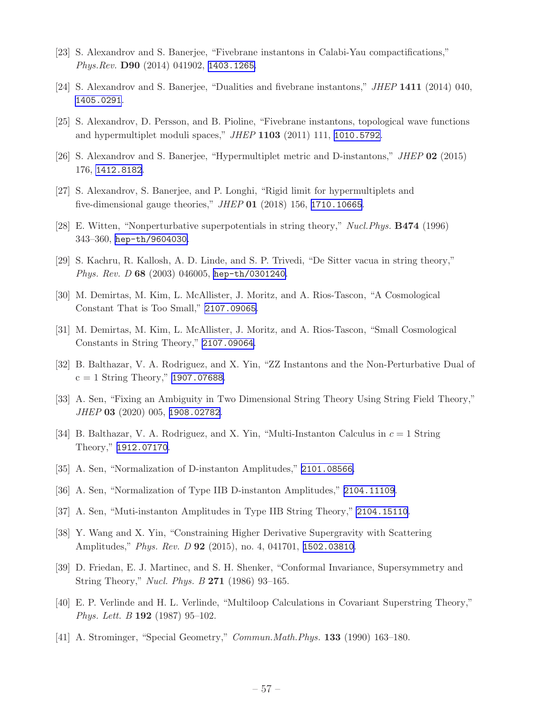- <span id="page-58-0"></span>[23] S. Alexandrov and S. Banerjee, "Fivebrane instantons in Calabi-Yau compactifications," *Phys.Rev.* D90 (2014) 041902, [1403.1265](http://www.arXiv.org/abs/1403.1265).
- [24] S. Alexandrov and S. Banerjee, "Dualities and fivebrane instantons," *JHEP* 1411 (2014) 040, [1405.0291](http://www.arXiv.org/abs/1405.0291).
- [25] S. Alexandrov, D. Persson, and B. Pioline, "Fivebrane instantons, topological wave functions and hypermultiplet moduli spaces," *JHEP* 1103 (2011) 111, [1010.5792](http://www.arXiv.org/abs/1010.5792).
- [26] S. Alexandrov and S. Banerjee, "Hypermultiplet metric and D-instantons," *JHEP* 02 (2015) 176, [1412.8182](http://www.arXiv.org/abs/1412.8182).
- [27] S. Alexandrov, S. Banerjee, and P. Longhi, "Rigid limit for hypermultiplets and five-dimensional gauge theories," *JHEP* 01 (2018) 156, [1710.10665](http://www.arXiv.org/abs/1710.10665).
- [28] E. Witten, "Nonperturbative superpotentials in string theory," *Nucl.Phys.* B474 (1996) 343–360, [hep-th/9604030](http://www.arXiv.org/abs/hep-th/9604030).
- [29] S. Kachru, R. Kallosh, A. D. Linde, and S. P. Trivedi, "De Sitter vacua in string theory," *Phys. Rev. D* 68 (2003) 046005, [hep-th/0301240](http://www.arXiv.org/abs/hep-th/0301240).
- [30] M. Demirtas, M. Kim, L. McAllister, J. Moritz, and A. Rios-Tascon, "A Cosmological Constant That is Too Small," [2107.09065](http://www.arXiv.org/abs/2107.09065).
- [31] M. Demirtas, M. Kim, L. McAllister, J. Moritz, and A. Rios-Tascon, "Small Cosmological Constants in String Theory," [2107.09064](http://www.arXiv.org/abs/2107.09064).
- [32] B. Balthazar, V. A. Rodriguez, and X. Yin, "ZZ Instantons and the Non-Perturbative Dual of  $c = 1$  String Theory," [1907.07688](http://www.arXiv.org/abs/1907.07688).
- [33] A. Sen, "Fixing an Ambiguity in Two Dimensional String Theory Using String Field Theory," *JHEP* 03 (2020) 005, [1908.02782](http://www.arXiv.org/abs/1908.02782).
- [34] B. Balthazar, V. A. Rodriguez, and X. Yin, "Multi-Instanton Calculus in  $c = 1$  String Theory," [1912.07170](http://www.arXiv.org/abs/1912.07170).
- [35] A. Sen, "Normalization of D-instanton Amplitudes," [2101.08566](http://www.arXiv.org/abs/2101.08566).
- [36] A. Sen, "Normalization of Type IIB D-instanton Amplitudes," [2104.11109](http://www.arXiv.org/abs/2104.11109).
- [37] A. Sen, "Muti-instanton Amplitudes in Type IIB String Theory," [2104.15110](http://www.arXiv.org/abs/2104.15110).
- [38] Y. Wang and X. Yin, "Constraining Higher Derivative Supergravity with Scattering Amplitudes," *Phys. Rev. D* 92 (2015), no. 4, 041701, [1502.03810](http://www.arXiv.org/abs/1502.03810).
- [39] D. Friedan, E. J. Martinec, and S. H. Shenker, "Conformal Invariance, Supersymmetry and String Theory," *Nucl. Phys. B* 271 (1986) 93–165.
- [40] E. P. Verlinde and H. L. Verlinde, "Multiloop Calculations in Covariant Superstring Theory," *Phys. Lett. B* 192 (1987) 95–102.
- [41] A. Strominger, "Special Geometry," *Commun.Math.Phys.* 133 (1990) 163–180.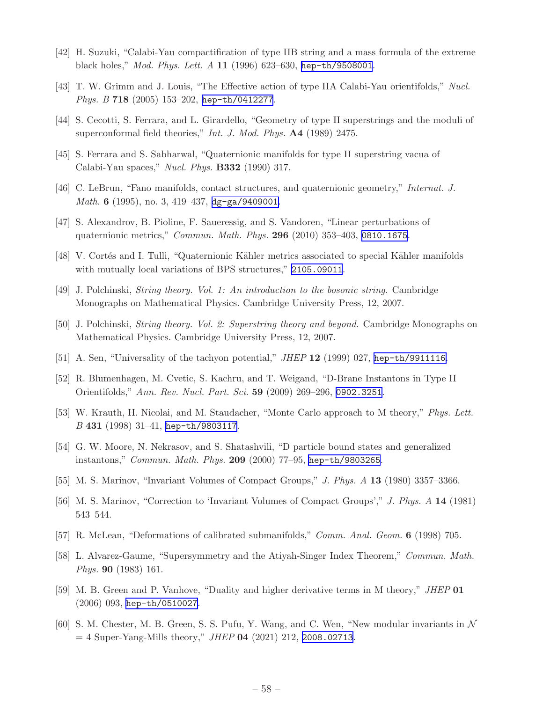- <span id="page-59-0"></span>[42] H. Suzuki, "Calabi-Yau compactification of type IIB string and a mass formula of the extreme black holes," *Mod. Phys. Lett. A* 11 (1996) 623–630, [hep-th/9508001](http://www.arXiv.org/abs/hep-th/9508001).
- [43] T. W. Grimm and J. Louis, "The Effective action of type IIA Calabi-Yau orientifolds," *Nucl. Phys. B* 718 (2005) 153–202, [hep-th/0412277](http://www.arXiv.org/abs/hep-th/0412277).
- [44] S. Cecotti, S. Ferrara, and L. Girardello, "Geometry of type II superstrings and the moduli of superconformal field theories," *Int. J. Mod. Phys.* A4 (1989) 2475.
- [45] S. Ferrara and S. Sabharwal, "Quaternionic manifolds for type II superstring vacua of Calabi-Yau spaces," *Nucl. Phys.* B332 (1990) 317.
- [46] C. LeBrun, "Fano manifolds, contact structures, and quaternionic geometry," *Internat. J. Math.* 6 (1995), no. 3, 419–437, [dg-ga/9409001](http://www.arXiv.org/abs/dg-ga/9409001).
- [47] S. Alexandrov, B. Pioline, F. Saueressig, and S. Vandoren, "Linear perturbations of quaternionic metrics," *Commun. Math. Phys.* 296 (2010) 353–403, [0810.1675](http://www.arXiv.org/abs/0810.1675).
- [48] V. Cortés and I. Tulli, "Quaternionic Kähler metrics associated to special Kähler manifolds with mutually local variations of BPS structures," [2105.09011](http://www.arXiv.org/abs/2105.09011).
- [49] J. Polchinski, *String theory. Vol. 1: An introduction to the bosonic string*. Cambridge Monographs on Mathematical Physics. Cambridge University Press, 12, 2007.
- [50] J. Polchinski, *String theory. Vol. 2: Superstring theory and beyond*. Cambridge Monographs on Mathematical Physics. Cambridge University Press, 12, 2007.
- [51] A. Sen, "Universality of the tachyon potential," *JHEP* 12 (1999) 027, [hep-th/9911116](http://www.arXiv.org/abs/hep-th/9911116).
- [52] R. Blumenhagen, M. Cvetic, S. Kachru, and T. Weigand, "D-Brane Instantons in Type II Orientifolds," *Ann. Rev. Nucl. Part. Sci.* 59 (2009) 269–296, [0902.3251](http://www.arXiv.org/abs/0902.3251).
- [53] W. Krauth, H. Nicolai, and M. Staudacher, "Monte Carlo approach to M theory," *Phys. Lett. B* 431 (1998) 31–41, [hep-th/9803117](http://www.arXiv.org/abs/hep-th/9803117).
- [54] G. W. Moore, N. Nekrasov, and S. Shatashvili, "D particle bound states and generalized instantons," *Commun. Math. Phys.* 209 (2000) 77–95, [hep-th/9803265](http://www.arXiv.org/abs/hep-th/9803265).
- [55] M. S. Marinov, "Invariant Volumes of Compact Groups," *J. Phys. A* 13 (1980) 3357–3366.
- [56] M. S. Marinov, "Correction to 'Invariant Volumes of Compact Groups'," *J. Phys. A* 14 (1981) 543–544.
- [57] R. McLean, "Deformations of calibrated submanifolds," *Comm. Anal. Geom.* 6 (1998) 705.
- [58] L. Alvarez-Gaume, "Supersymmetry and the Atiyah-Singer Index Theorem," *Commun. Math. Phys.* 90 (1983) 161.
- [59] M. B. Green and P. Vanhove, "Duality and higher derivative terms in M theory," *JHEP* 01 (2006) 093, [hep-th/0510027](http://www.arXiv.org/abs/hep-th/0510027).
- $[60]$  S. M. Chester, M. B. Green, S. S. Pufu, Y. Wang, and C. Wen, "New modular invariants in  $\mathcal N$ = 4 Super-Yang-Mills theory," *JHEP* 04 (2021) 212, [2008.02713](http://www.arXiv.org/abs/2008.02713).